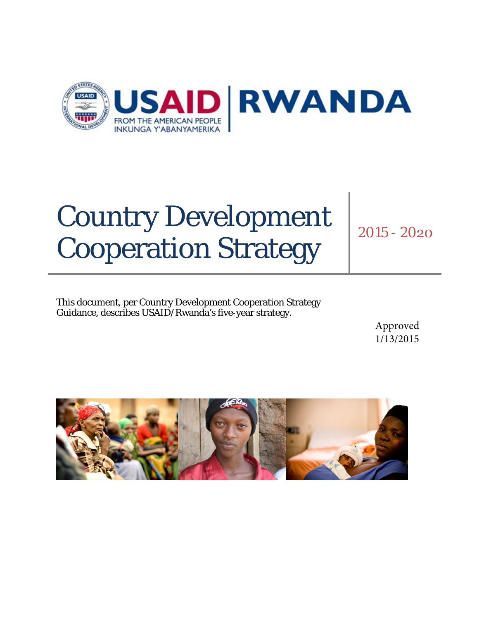

# Country Development Cooperation Strategy

2015 - 2020

This document, per Country Development Cooperation Strategy Guidance, describes USAID/Rwanda's five-year strategy.

> Approved 1/13/2015

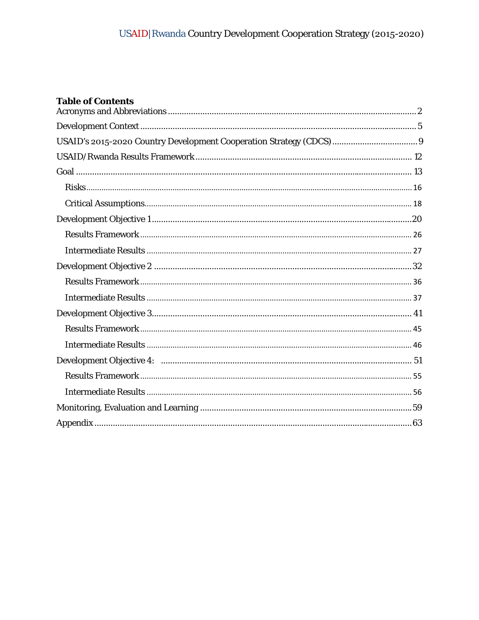# **Table of Contents**

| USAID's 2015-2020 Country Development Cooperation Strategy (CDCS)  9 |
|----------------------------------------------------------------------|
|                                                                      |
|                                                                      |
|                                                                      |
|                                                                      |
|                                                                      |
|                                                                      |
|                                                                      |
|                                                                      |
|                                                                      |
|                                                                      |
|                                                                      |
|                                                                      |
|                                                                      |
|                                                                      |
|                                                                      |
|                                                                      |
|                                                                      |
|                                                                      |
|                                                                      |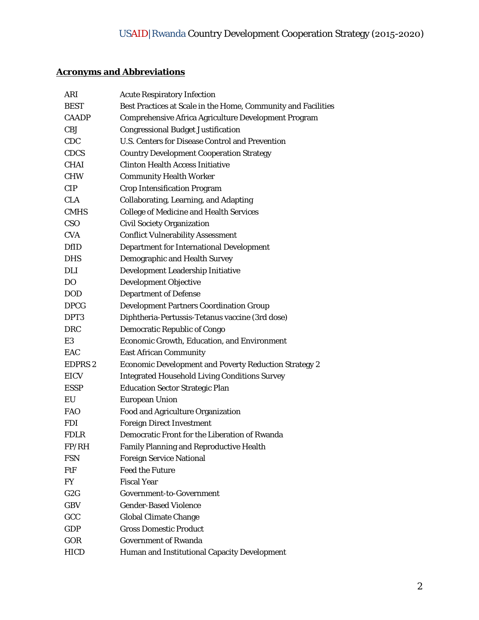# **Acronyms and Abbreviations**

| ARI            | <b>Acute Respiratory Infection</b>                            |
|----------------|---------------------------------------------------------------|
| <b>BEST</b>    | Best Practices at Scale in the Home, Community and Facilities |
| <b>CAADP</b>   | Comprehensive Africa Agriculture Development Program          |
| <b>CBJ</b>     | <b>Congressional Budget Justification</b>                     |
| <b>CDC</b>     | <b>U.S. Centers for Disease Control and Prevention</b>        |
| <b>CDCS</b>    | <b>Country Development Cooperation Strategy</b>               |
| <b>CHAI</b>    | <b>Clinton Health Access Initiative</b>                       |
| <b>CHW</b>     | <b>Community Health Worker</b>                                |
| <b>CIP</b>     | <b>Crop Intensification Program</b>                           |
| <b>CLA</b>     | <b>Collaborating, Learning, and Adapting</b>                  |
| <b>CMHS</b>    | <b>College of Medicine and Health Services</b>                |
| <b>CSO</b>     | <b>Civil Society Organization</b>                             |
| <b>CVA</b>     | <b>Conflict Vulnerability Assessment</b>                      |
| <b>DfID</b>    | <b>Department for International Development</b>               |
| <b>DHS</b>     | <b>Demographic and Health Survey</b>                          |
| <b>DLI</b>     | Development Leadership Initiative                             |
| DO             | <b>Development Objective</b>                                  |
| <b>DOD</b>     | <b>Department of Defense</b>                                  |
| <b>DPCG</b>    | <b>Development Partners Coordination Group</b>                |
| DPT3           | Diphtheria-Pertussis-Tetanus vaccine (3rd dose)               |
| <b>DRC</b>     | <b>Democratic Republic of Congo</b>                           |
| E <sub>3</sub> | <b>Economic Growth, Education, and Environment</b>            |
| EAC            | <b>East African Community</b>                                 |
| <b>EDPRS 2</b> | <b>Economic Development and Poverty Reduction Strategy 2</b>  |
| <b>EICV</b>    | <b>Integrated Household Living Conditions Survey</b>          |
| <b>ESSP</b>    | <b>Education Sector Strategic Plan</b>                        |
| EU             | <b>European Union</b>                                         |
| <b>FAO</b>     | Food and Agriculture Organization                             |
| <b>FDI</b>     | <b>Foreign Direct Investment</b>                              |
| <b>FDLR</b>    | Democratic Front for the Liberation of Rwanda                 |
| FP/RH          | <b>Family Planning and Reproductive Health</b>                |
| <b>FSN</b>     | <b>Foreign Service National</b>                               |
| FtF            | <b>Feed the Future</b>                                        |
| FY             | <b>Fiscal Year</b>                                            |
| G2G            | <b>Government-to-Government</b>                               |
| <b>GBV</b>     | <b>Gender-Based Violence</b>                                  |
| GCC            | <b>Global Climate Change</b>                                  |
| <b>GDP</b>     | <b>Gross Domestic Product</b>                                 |
| GOR            | <b>Government of Rwanda</b>                                   |
| <b>HICD</b>    | Human and Institutional Capacity Development                  |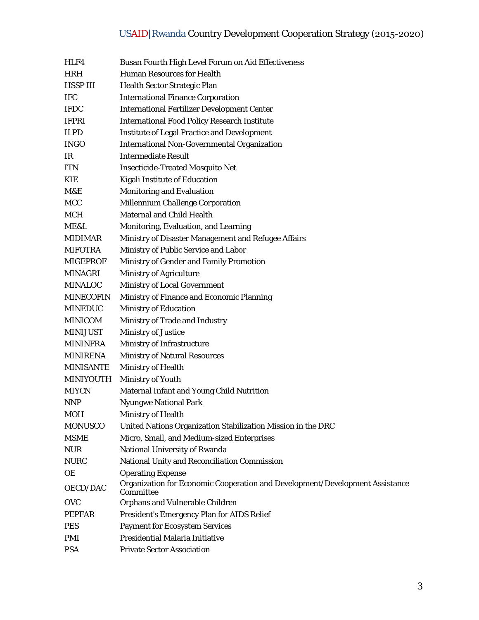# USAID|Rwanda Country Development Cooperation Strategy (2015-2020)

| HLF4             | Busan Fourth High Level Forum on Aid Effectiveness                                        |
|------------------|-------------------------------------------------------------------------------------------|
| <b>HRH</b>       | <b>Human Resources for Health</b>                                                         |
| <b>HSSP III</b>  | Health Sector Strategic Plan                                                              |
| <b>IFC</b>       | <b>International Finance Corporation</b>                                                  |
| <b>IFDC</b>      | <b>International Fertilizer Development Center</b>                                        |
| <b>IFPRI</b>     | <b>International Food Policy Research Institute</b>                                       |
| <b>ILPD</b>      | <b>Institute of Legal Practice and Development</b>                                        |
| <b>INGO</b>      | <b>International Non-Governmental Organization</b>                                        |
| IR               | <b>Intermediate Result</b>                                                                |
| <b>ITN</b>       | <b>Insecticide-Treated Mosquito Net</b>                                                   |
| KIE              | <b>Kigali Institute of Education</b>                                                      |
| M&E              | <b>Monitoring and Evaluation</b>                                                          |
| <b>MCC</b>       | Millennium Challenge Corporation                                                          |
| <b>MCH</b>       | <b>Maternal and Child Health</b>                                                          |
| ME&L             | Monitoring, Evaluation, and Learning                                                      |
| <b>MIDIMAR</b>   | Ministry of Disaster Management and Refugee Affairs                                       |
| <b>MIFOTRA</b>   | Ministry of Public Service and Labor                                                      |
| <b>MIGEPROF</b>  | Ministry of Gender and Family Promotion                                                   |
| <b>MINAGRI</b>   | <b>Ministry of Agriculture</b>                                                            |
| <b>MINALOC</b>   | <b>Ministry of Local Government</b>                                                       |
| <b>MINECOFIN</b> | Ministry of Finance and Economic Planning                                                 |
| <b>MINEDUC</b>   | <b>Ministry of Education</b>                                                              |
| <b>MINICOM</b>   | Ministry of Trade and Industry                                                            |
| <b>MINIJUST</b>  | <b>Ministry of Justice</b>                                                                |
| <b>MININFRA</b>  | <b>Ministry of Infrastructure</b>                                                         |
| <b>MINIRENA</b>  | <b>Ministry of Natural Resources</b>                                                      |
| <b>MINISANTE</b> | <b>Ministry of Health</b>                                                                 |
| <b>MINIYOUTH</b> | <b>Ministry of Youth</b>                                                                  |
| <b>MIYCN</b>     | Maternal Infant and Young Child Nutrition                                                 |
| <b>NNP</b>       | <b>Nyungwe National Park</b>                                                              |
| MOH              | <b>Ministry of Health</b>                                                                 |
| <b>MONUSCO</b>   | United Nations Organization Stabilization Mission in the DRC                              |
| <b>MSME</b>      | Micro, Small, and Medium-sized Enterprises                                                |
| <b>NUR</b>       | <b>National University of Rwanda</b>                                                      |
| <b>NURC</b>      | National Unity and Reconciliation Commission                                              |
| <b>OE</b>        | <b>Operating Expense</b>                                                                  |
| <b>OECD/DAC</b>  | Organization for Economic Cooperation and Development/Development Assistance<br>Committee |
| <b>OVC</b>       | <b>Orphans and Vulnerable Children</b>                                                    |
| <b>PEPFAR</b>    | President's Emergency Plan for AIDS Relief                                                |
| <b>PES</b>       | <b>Payment for Ecosystem Services</b>                                                     |
| <b>PMI</b>       | Presidential Malaria Initiative                                                           |
| <b>PSA</b>       | <b>Private Sector Association</b>                                                         |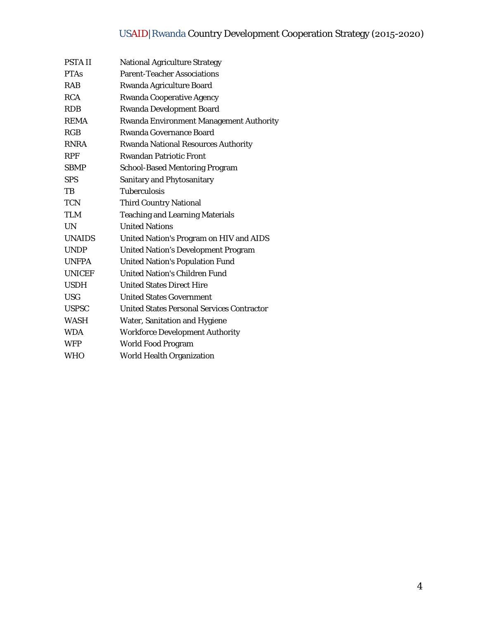# USAID|Rwanda Country Development Cooperation Strategy (2015-2020)

| <b>PSTAII</b> | <b>National Agriculture Strategy</b>              |
|---------------|---------------------------------------------------|
| <b>PTAs</b>   | <b>Parent-Teacher Associations</b>                |
| <b>RAB</b>    | Rwanda Agriculture Board                          |
| <b>RCA</b>    | <b>Rwanda Cooperative Agency</b>                  |
| <b>RDB</b>    | <b>Rwanda Development Board</b>                   |
| <b>REMA</b>   | <b>Rwanda Environment Management Authority</b>    |
| RGB           | Rwanda Governance Board                           |
| <b>RNRA</b>   | <b>Rwanda National Resources Authority</b>        |
| <b>RPF</b>    | <b>Rwandan Patriotic Front</b>                    |
| <b>SBMP</b>   | <b>School-Based Mentoring Program</b>             |
| <b>SPS</b>    | <b>Sanitary and Phytosanitary</b>                 |
| TB            | <b>Tuberculosis</b>                               |
| <b>TCN</b>    | <b>Third Country National</b>                     |
| <b>TLM</b>    | <b>Teaching and Learning Materials</b>            |
| <b>UN</b>     | <b>United Nations</b>                             |
| <b>UNAIDS</b> | United Nation's Program on HIV and AIDS           |
| <b>UNDP</b>   | <b>United Nation's Development Program</b>        |
| <b>UNFPA</b>  | <b>United Nation's Population Fund</b>            |
| <b>UNICEF</b> | <b>United Nation's Children Fund</b>              |
| <b>USDH</b>   | <b>United States Direct Hire</b>                  |
| <b>USG</b>    | <b>United States Government</b>                   |
| <b>USPSC</b>  | <b>United States Personal Services Contractor</b> |
| <b>WASH</b>   | Water, Sanitation and Hygiene                     |
| <b>WDA</b>    | <b>Workforce Development Authority</b>            |
| <b>WFP</b>    | <b>World Food Program</b>                         |
| <b>WHO</b>    | <b>World Health Organization</b>                  |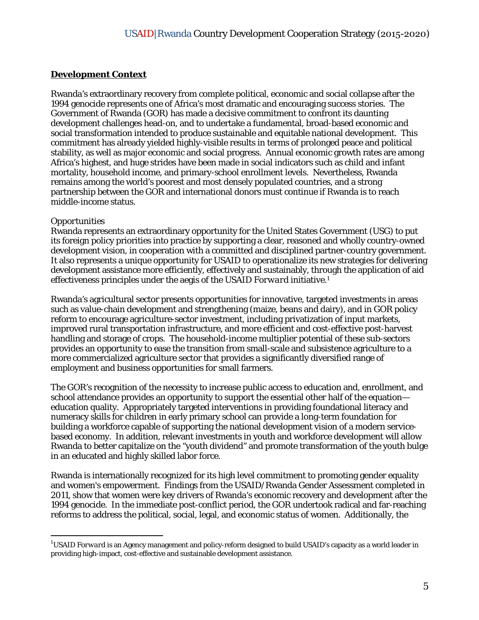#### **Development Context**

Rwanda's extraordinary recovery from complete political, economic and social collapse after the 1994 genocide represents one of Africa's most dramatic and encouraging success stories. The Government of Rwanda (GOR) has made a decisive commitment to confront its daunting development challenges head-on, and to undertake a fundamental, broad-based economic and social transformation intended to produce sustainable and equitable national development. This commitment has already yielded highly-visible results in terms of prolonged peace and political stability, as well as major economic and social progress. Annual economic growth rates are among Africa's highest, and huge strides have been made in social indicators such as child and infant mortality, household income, and primary-school enrollment levels. Nevertheless, Rwanda remains among the world's poorest and most densely populated countries, and a strong partnership between the GOR and international donors must continue if Rwanda is to reach middle-income status.

#### *Opportunities*

Rwanda represents an extraordinary opportunity for the United States Government (USG) to put its foreign policy priorities into practice by supporting a clear, reasoned and wholly country-owned development vision, in cooperation with a committed and disciplined partner-country government. It also represents a unique opportunity for USAID to operationalize its new strategies for delivering development assistance more efficiently, effectively and sustainably, through the application of aid effectiveness principles under the aegis of the USAID *Forward* initiative.1

Rwanda's agricultural sector presents opportunities for innovative, targeted investments in areas such as value-chain development and strengthening (maize, beans and dairy), and in GOR policy reform to encourage agriculture-sector investment, including privatization of input markets, improved rural transportation infrastructure, and more efficient and cost-effective post-harvest handling and storage of crops. The household-income multiplier potential of these sub-sectors provides an opportunity to ease the transition from small-scale and subsistence agriculture to a more commercialized agriculture sector that provides a significantly diversified range of employment and business opportunities for small farmers.

The GOR's recognition of the necessity to increase public access to education and, enrollment, and school attendance provides an opportunity to support the essential other half of the equation education quality. Appropriately targeted interventions in providing foundational literacy and numeracy skills for children in early primary school can provide a long-term foundation for building a workforce capable of supporting the national development vision of a modern servicebased economy. In addition, relevant investments in youth and workforce development will allow Rwanda to better capitalize on the "youth dividend" and promote transformation of the youth bulge in an educated and highly skilled labor force.

Rwanda is internationally recognized for its high level commitment to promoting gender equality and women's empowerment. Findings from the USAID/Rwanda Gender Assessment completed in 2011, show that women were key drivers of Rwanda's economic recovery and development after the 1994 genocide. In the immediate post-conflict period, the GOR undertook radical and far-reaching reforms to address the political, social, legal, and economic status of women. Additionally, the

<sup>&</sup>lt;sup>1</sup>USAID *Forward* is an Agency management and policy-reform designed to build USAID's capacity as a world leader in providing high-impact, cost-effective and sustainable development assistance.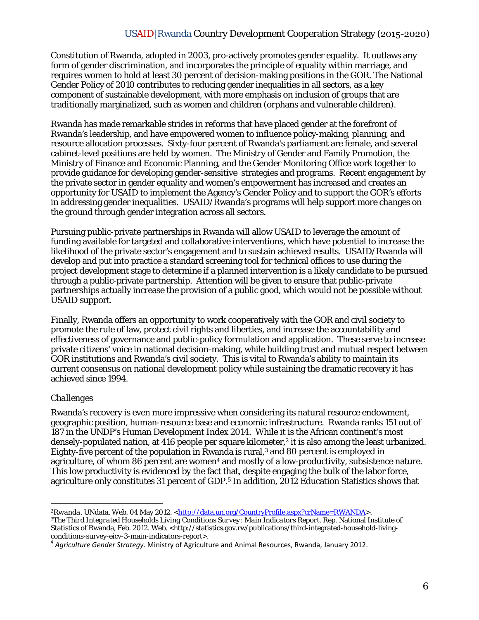Constitution of Rwanda, adopted in 2003, pro-actively promotes gender equality. It outlaws any form of gender discrimination, and incorporates the principle of equality within marriage, and requires women to hold at least 30 percent of decision-making positions in the GOR. The National Gender Policy of 2010 contributes to reducing gender inequalities in all sectors, as a key component of sustainable development, with more emphasis on inclusion of groups that are traditionally marginalized, such as women and children (orphans and vulnerable children).

Rwanda has made remarkable strides in reforms that have placed gender at the forefront of Rwanda's leadership, and have empowered women to influence policy-making, planning, and resource allocation processes. Sixty-four percent of Rwanda's parliament are female, and several cabinet-level positions are held by women. The Ministry of Gender and Family Promotion, the Ministry of Finance and Economic Planning, and the Gender Monitoring Office work together to provide guidance for developing gender-sensitive strategies and programs. Recent engagement by the private sector in gender equality and women's empowerment has increased and creates an opportunity for USAID to implement the Agency's Gender Policy and to support the GOR's efforts in addressing gender inequalities. USAID/Rwanda's programs will help support more changes on the ground through gender integration across all sectors.

Pursuing public-private partnerships in Rwanda will allow USAID to leverage the amount of funding available for targeted and collaborative interventions, which have potential to increase the likelihood of the private sector's engagement and to sustain achieved results. USAID/Rwanda will develop and put into practice a standard screening tool for technical offices to use during the project development stage to determine if a planned intervention is a likely candidate to be pursued through a public-private partnership. Attention will be given to ensure that public-private partnerships actually increase the provision of a public good, which would not be possible without USAID support.

Finally, Rwanda offers an opportunity to work cooperatively with the GOR and civil society to promote the rule of law, protect civil rights and liberties, and increase the accountability and effectiveness of governance and public-policy formulation and application. These serve to increase private citizens' voice in national decision-making, while building trust and mutual respect between GOR institutions and Rwanda's civil society. This is vital to Rwanda's ability to maintain its current consensus on national development policy while sustaining the dramatic recovery it has achieved since 1994.

#### *Challenges*

Rwanda's recovery is even more impressive when considering its natural resource endowment, geographic position, human-resource base and economic infrastructure. Rwanda ranks 151 out of 187 in the UNDP's Human Development Index 2014. While it is the African continent's most densely-populated nation, at 416 people per square kilometer,<sup>2</sup> it is also among the least urbanized. Eighty-five percent of the population in Rwanda is rural,<sup>3</sup> and 80 percent is employed in agriculture, of whom 86 percent are women<sup>4</sup> and mostly of a low-productivity, subsistence nature. This low productivity is evidenced by the fact that, despite engaging the bulk of the labor force, agriculture only constitutes 31 percent of GDP.<sup>5</sup> In addition, 2012 Education Statistics shows that

<sup>&</sup>lt;sup>2</sup>*Rwanda*. UNdata. Web. 04 May 2012. <<u>http://data.un.org/CountryProfile.aspx?crName=RWANDA</u>>.<br><sup>3</sup>*The Third Integrated Households Living Conditions Survey: Main Indicators Report*. Rep. National Institute of

Statistics of Rwanda, Feb. 2012. Web. <http://statistics.gov.rw/publications/third-integrated-household-living-conditions-survey-eicv-3-main-indicators-report>.

conditions-survey-eicv-3-main-indicators-report>. <sup>4</sup> *Agriculture Gender Strategy.* Ministry of Agriculture and Animal Resources, Rwanda, January 2012.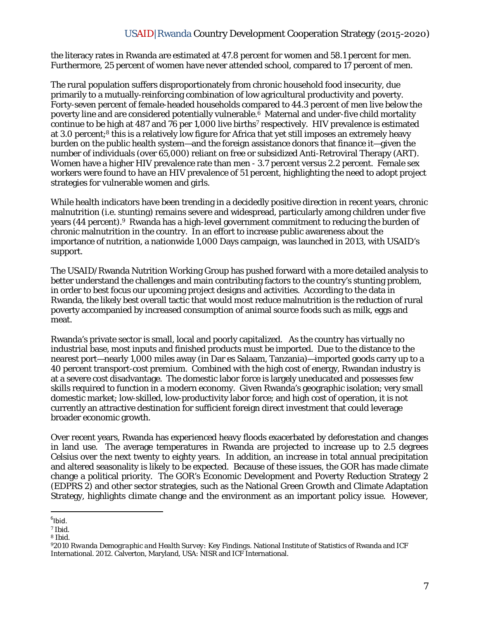# USAID|Rwanda Country Development Cooperation Strategy (2015-2020)

the literacy rates in Rwanda are estimated at 47.8 percent for women and 58.1 percent for men. Furthermore, 25 percent of women have never attended school, compared to 17 percent of men.

The rural population suffers disproportionately from chronic household food insecurity, due primarily to a mutually-reinforcing combination of low agricultural productivity and poverty. Forty-seven percent of female-headed households compared to 44.3 percent of men live below the poverty line and are considered potentially vulnerable.6 Maternal and under-five child mortality continue to be high at 487 and 76 per 1,000 live births<sup>7</sup> respectively. HIV prevalence is estimated at 3.0 percent;<sup>8</sup> this is a relatively low figure for Africa that yet still imposes an extremely heavy burden on the public health system—and the foreign assistance donors that finance it—given the number of individuals (over 65,000) reliant on free or subsidized Anti-Retroviral Therapy (ART). Women have a higher HIV prevalence rate than men - 3.7 percent versus 2.2 percent. Female sex workers were found to have an HIV prevalence of 51 percent, highlighting the need to adopt project strategies for vulnerable women and girls.

While health indicators have been trending in a decidedly positive direction in recent years, chronic malnutrition (i.e. stunting) remains severe and widespread, particularly among children under five years (44 percent).9 Rwanda has a high-level government commitment to reducing the burden of chronic malnutrition in the country. In an effort to increase public awareness about the importance of nutrition, a nationwide 1,000 Days campaign, was launched in 2013, with USAID's support.

The USAID/Rwanda Nutrition Working Group has pushed forward with a more detailed analysis to better understand the challenges and main contributing factors to the country's stunting problem, in order to best focus our upcoming project designs and activities. According to the data in Rwanda, the likely best overall tactic that would most reduce malnutrition is the reduction of rural poverty accompanied by increased consumption of animal source foods such as milk, eggs and meat.

Rwanda's private sector is small, local and poorly capitalized. As the country has virtually no industrial base, most inputs and finished products must be imported. Due to the distance to the nearest port—nearly 1,000 miles away (in Dar es Salaam, Tanzania)—imported goods carry up to a 40 percent transport-cost premium. Combined with the high cost of energy, Rwandan industry is at a severe cost disadvantage. The domestic labor force is largely uneducated and possesses few skills required to function in a modern economy. Given Rwanda's geographic isolation; very small domestic market; low-skilled, low-productivity labor force; and high cost of operation, it is not currently an attractive destination for sufficient foreign direct investment that could leverage broader economic growth.

Over recent years, Rwanda has experienced heavy floods exacerbated by deforestation and changes in land use. The average temperatures in Rwanda are projected to increase up to 2.5 degrees Celsius over the next twenty to eighty years. In addition, an increase in total annual precipitation and altered seasonality is likely to be expected. Because of these issues, the GOR has made climate change a political priority. The GOR's Economic Development and Poverty Reduction Strategy 2 (EDPRS 2) and other sector strategies, such as the National Green Growth and Climate Adaptation Strategy, highlights climate change and the environment as an important policy issue. However,

 $<sup>6</sup>$ Ibid.</sup>

<sup>7</sup> Ibid.

<sup>8</sup> Ibid.

<sup>9</sup>*2010 Rwanda Demographic and Health Survey: Key Findings*. National Institute of Statistics of Rwanda and ICF International. 2012. Calverton, Maryland, USA: NISR and ICF International.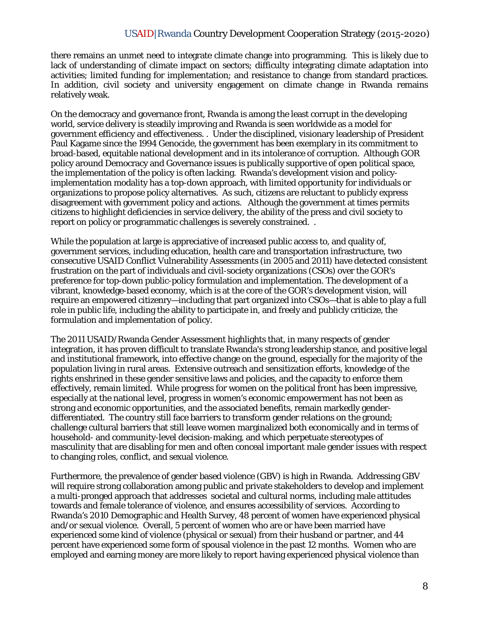#### USAID|Rwanda Country Development Cooperation Strategy (2015-2020)

there remains an unmet need to integrate climate change into programming. This is likely due to lack of understanding of climate impact on sectors; difficulty integrating climate adaptation into activities; limited funding for implementation; and resistance to change from standard practices. In addition, civil society and university engagement on climate change in Rwanda remains relatively weak.

On the democracy and governance front, Rwanda is among the least corrupt in the developing world, service delivery is steadily improving and Rwanda is seen worldwide as a model for government efficiency and effectiveness. . Under the disciplined, visionary leadership of President Paul Kagame since the 1994 Genocide, the government has been exemplary in its commitment to broad-based, equitable national development and in its intolerance of corruption. Although GOR policy around Democracy and Governance issues is publically supportive of open political space, the implementation of the policy is often lacking. Rwanda's development vision and policyimplementation modality has a top-down approach, with limited opportunity for individuals or organizations to propose policy alternatives. As such, citizens are reluctant to publicly express disagreement with government policy and actions. Although the government at times permits citizens to highlight deficiencies in service delivery, the ability of the press and civil society to report on policy or programmatic challenges is severely constrained. .

While the population at large is appreciative of increased public access to, and quality of, government services, including education, health care and transportation infrastructure, two consecutive USAID Conflict Vulnerability Assessments (in 2005 and 2011) have detected consistent frustration on the part of individuals and civil-society organizations (CSOs) over the GOR's preference for top-down public-policy formulation and implementation. The development of a vibrant, knowledge-based economy, which is at the core of the GOR's development vision, will require an empowered citizenry—including that part organized into CSOs—that is able to play a full role in public life, including the ability to participate in, and freely and publicly criticize, the formulation and implementation of policy.

The 2011 USAID/Rwanda Gender Assessment highlights that, in many respects of gender integration, it has proven difficult to translate Rwanda's strong leadership stance, and positive legal and institutional framework, into effective change on the ground, especially for the majority of the population living in rural areas. Extensive outreach and sensitization efforts, knowledge of the rights enshrined in these gender sensitive laws and policies, and the capacity to enforce them effectively, remain limited. While progress for women on the political front has been impressive, especially at the national level, progress in women's economic empowerment has not been as strong and economic opportunities, and the associated benefits, remain markedly genderdifferentiated. The country still face barriers to transform gender relations on the ground; challenge cultural barriers that still leave women marginalized both economically and in terms of household- and community-level decision-making, and which perpetuate stereotypes of masculinity that are disabling for men and often conceal important male gender issues with respect to changing roles, conflict, and sexual violence.

Furthermore, the prevalence of gender based violence (GBV) is high in Rwanda. Addressing GBV will require strong collaboration among public and private stakeholders to develop and implement a multi-pronged approach that addresses societal and cultural norms, including male attitudes towards and female tolerance of violence, and ensures accessibility of services. According to Rwanda's 2010 Demographic and Health Survey, 48 percent of women have experienced physical and/or sexual violence. Overall, 5 percent of women who are or have been married have experienced some kind of violence (physical or sexual) from their husband or partner, and 44 percent have experienced some form of spousal violence in the past 12 months. Women who are employed and earning money are more likely to report having experienced physical violence than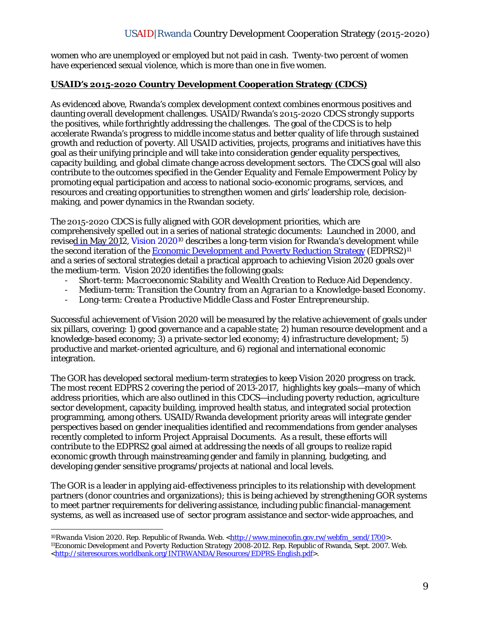women who are unemployed or employed but not paid in cash. Twenty-two percent of women have experienced sexual violence, which is more than one in five women.

#### **USAID's 2015-2020 Country Development Cooperation Strategy (CDCS)**

As evidenced above, Rwanda's complex development context combines enormous positives and daunting overall development challenges. USAID/Rwanda's 2015-2020 CDCS strongly supports the positives, while forthrightly addressing the challenges. The goal of the CDCS is to help accelerate Rwanda's progress to middle income status and better quality of life through sustained growth and reduction of poverty. All USAID activities, projects, programs and initiatives have this goal as their unifying principle and will take into consideration gender equality perspectives, capacity building, and global climate change across development sectors. The CDCS goal will also contribute to the outcomes specified in the Gender Equality and Female Empowerment Policy by promoting equal participation and access to national socio-economic programs, services, and resources and creating opportunities to strengthen women and girls' leadership role, decisionmaking, and power dynamics in the Rwandan society.

The 2015-2020 CDCS is fully aligned with GOR development priorities, which are comprehensively spelled out in a series of national strategic documents: Launched in 2000, and revised in May 2012, Vision 2020<sup>10</sup> describes a long-term vision for Rwanda's development while the second iteration of the Economic Development and Poverty Reduction Strategy (EDPRS2)<sup>11</sup> and a series of sectoral strategies detail a practical approach to achieving Vision 2020 goals over the medium-term. Vision 2020 identifies the following goals:

- Short-term: *Macroeconomic Stability and Wealth Creation to Reduce Aid Dependency*.
- Medium-term: *Transition the Country from an Agrarian to a Knowledge-based Economy*.
- Long-term: *Create a Productive Middle Class and Foster Entrepreneurship*.

Successful achievement of Vision 2020 will be measured by the relative achievement of goals under six pillars, covering: 1) good governance and a capable state; 2) human resource development and a knowledge-based economy; 3) a private-sector led economy; 4) infrastructure development; 5) productive and market-oriented agriculture, and 6) regional and international economic integration.

The GOR has developed sectoral medium-term strategies to keep Vision 2020 progress on track. The most recent EDPRS 2 covering the period of 2013-2017, highlights key goals—many of which address priorities, which are also outlined in this CDCS—including poverty reduction, agriculture sector development, capacity building, improved health status, and integrated social protection programming, among others. USAID/Rwanda development priority areas will integrate gender perspectives based on gender inequalities identified and recommendations from gender analyses recently completed to inform Project Appraisal Documents. As a result, these efforts will contribute to the EDPRS2 goal aimed at addressing the needs of all groups to realize rapid economic growth through mainstreaming gender and family in planning, budgeting, and developing gender sensitive programs/projects at national and local levels.

The GOR is a leader in applying aid-effectiveness principles to its relationship with development partners (donor countries and organizations); this is being achieved by strengthening GOR systems to meet partner requirements for delivering assistance, including public financial-management systems, as well as increased use of sector program assistance and sector-wide approaches, and

<sup>&</sup>lt;sup>10</sup>*Rwanda Vision 2020*. Rep. Republic of Rwanda. Web. <<u>http://www.minecofin.gov.rw/webfm\_send/1700</u>>. 11*Economic Development and Poverty Reduction Strategy 2008-2012*. Rep. Republic of Rwanda, Sept. 2007. Web.

<sup>&</sup>lt;http://siteresources.worldbank.org/INTRWANDA/Resources/EDPRS-English.pdf>.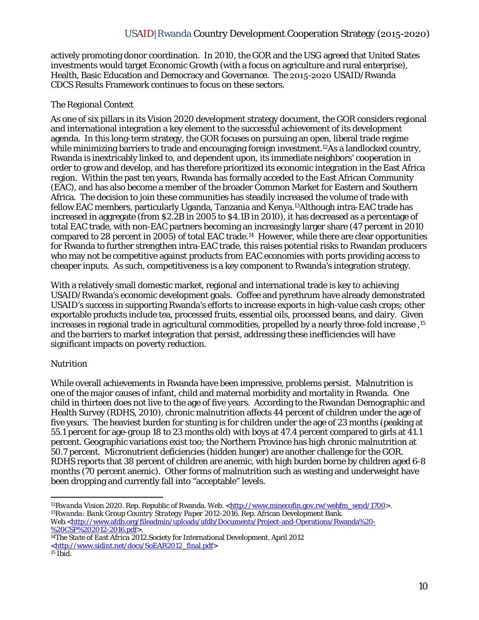actively promoting donor coordination. In 2010, the GOR and the USG agreed that United States investments would target Economic Growth (with a focus on agriculture and rural enterprise), Health, Basic Education and Democracy and Governance. The 2015-2020 USAID/Rwanda CDCS Results Framework continues to focus on these sectors.

#### *The Regional Context*

As one of six pillars in its Vision 2020 development strategy document, the GOR considers regional and international integration a key element to the successful achievement of its development agenda. In this long-term strategy, the GOR focuses on pursuing an open, liberal trade regime while minimizing barriers to trade and encouraging foreign investment.<sup>12</sup>As a landlocked country, Rwanda is inextricably linked to, and dependent upon, its immediate neighbors' cooperation in order to grow and develop, and has therefore prioritized its economic integration in the East Africa region. Within the past ten years, Rwanda has formally acceded to the East African Community (EAC), and has also become a member of the broader Common Market for Eastern and Southern Africa. The decision to join these communities has steadily increased the volume of trade with fellow EAC members, particularly Uganda, Tanzania and Kenya.13Although intra-EAC trade has increased in aggregate (from \$2.2B in 2005 to \$4.1B in 2010), it has decreased as a percentage of total EAC trade, with non-EAC partners becoming an increasingly larger share (47 percent in 2010 compared to 28 percent in 2005) of total EAC trade.14 However, while there are clear opportunities for Rwanda to further strengthen intra-EAC trade, this raises potential risks to Rwandan producers who may not be competitive against products from EAC economies with ports providing access to cheaper inputs. As such, competitiveness is a key component to Rwanda's integration strategy.

With a relatively small domestic market, regional and international trade is key to achieving USAID/Rwanda's economic development goals. Coffee and pyrethrum have already demonstrated USAID's success in supporting Rwanda's efforts to increase exports in high-value cash crops; other exportable products include tea, processed fruits, essential oils, processed beans, and dairy. Given increases in regional trade in agricultural commodities, propelled by a nearly three-fold increase ,15 and the barriers to market integration that persist, addressing these inefficiencies will have significant impacts on poverty reduction.

#### *Nutrition*

While overall achievements in Rwanda have been impressive, problems persist. Malnutrition is one of the major causes of infant, child and maternal morbidity and mortality in Rwanda. One child in thirteen does not live to the age of five years. According to the Rwandan Demographic and Health Survey (RDHS, 2010), chronic malnutrition affects 44 percent of children under the age of five years. The heaviest burden for stunting is for children under the age of 23 months (peaking at 55.1 percent for age-group 18 to 23 months old) with boys at 47.4 percent compared to girls at 41.1 percent. Geographic variations exist too; the Northern Province has high chronic malnutrition at 50.7 percent. Micronutrient deficiencies (hidden hunger) are another challenge for the GOR. RDHS reports that 38 percent of children are anemic, with high burden borne by children aged 6-8 months (70 percent anemic). Other forms of malnutrition such as wasting and underweight have been dropping and currently fall into "acceptable" levels.

<sup>&</sup>lt;sup>12</sup>*Rwanda Vision 2020*. Rep. Republic of Rwanda. Web. <<u>http://www.minecofin.gov.rw/webfm\_send/1700</u>>. 13*Rwanda: Bank Group Country Strategy Paper 2012-2016*. Rep. African Development Bank. Web.<<u>http://www.afdb.org/fileadmin/uploads/afdb/Documents/Project-and-Operations/Rwanda%20-%20CSP%202012-2016.pdf></u>

<sup>&</sup>lt;sup>14</sup>The State of East Africa 2012. Society for International Development. April 2012 <http://www.sidint.net/docs/SoEAR2012\_final.pdf><br><sup>15</sup> Ibid.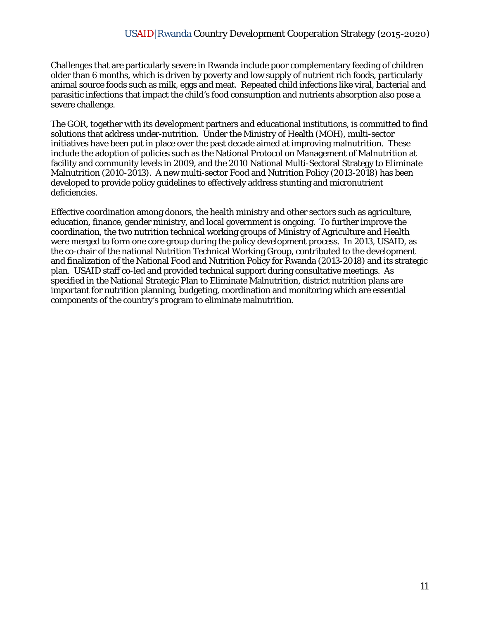Challenges that are particularly severe in Rwanda include poor complementary feeding of children older than 6 months, which is driven by poverty and low supply of nutrient rich foods, particularly animal source foods such as milk, eggs and meat. Repeated child infections like viral, bacterial and parasitic infections that impact the child's food consumption and nutrients absorption also pose a severe challenge.

The GOR, together with its development partners and educational institutions, is committed to find solutions that address under-nutrition. Under the Ministry of Health (MOH), multi-sector initiatives have been put in place over the past decade aimed at improving malnutrition. These include the adoption of policies such as the National Protocol on Management of Malnutrition at facility and community levels in 2009, and the 2010 National Multi-Sectoral Strategy to Eliminate Malnutrition (2010-2013). A new multi-sector Food and Nutrition Policy (2013-2018) has been developed to provide policy guidelines to effectively address stunting and micronutrient deficiencies.

Effective coordination among donors, the health ministry and other sectors such as agriculture, education, finance, gender ministry, and local government is ongoing. To further improve the coordination, the two nutrition technical working groups of Ministry of Agriculture and Health were merged to form one core group during the policy development process. In 2013, USAID, as the co-chair of the national Nutrition Technical Working Group, contributed to the development and finalization of the National Food and Nutrition Policy for Rwanda (2013-2018) and its strategic plan. USAID staff co-led and provided technical support during consultative meetings. As specified in the National Strategic Plan to Eliminate Malnutrition, district nutrition plans are important for nutrition planning, budgeting, coordination and monitoring which are essential components of the country's program to eliminate malnutrition.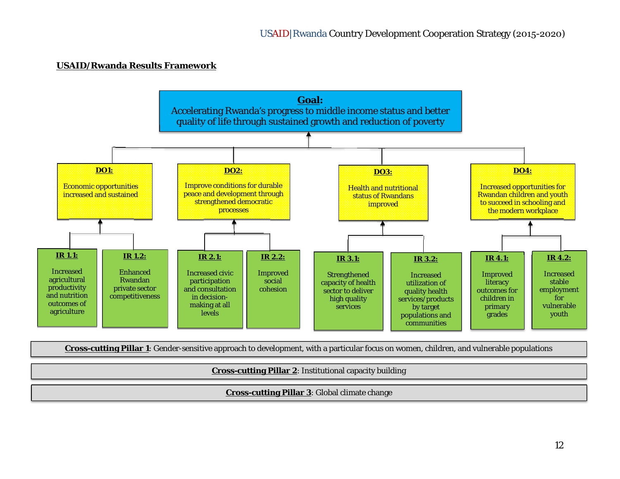#### **USAID/Rwanda Results Framework**



**Cross-cutting Pillar 1**: Gender-sensitive approach to development, with a particular focus on women, children, and vulnerable populations

**Cross-cutting Pillar 2**: Institutional capacity building

**Cross-cutting Pillar 3**: Global climate change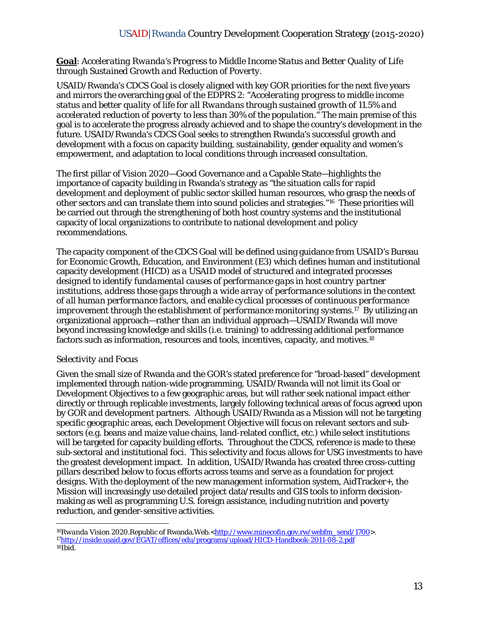#### **Goal**: *Accelerating Rwanda's Progress to Middle Income Status and Better Quality of Life through Sustained Growth and Reduction of Poverty.*

USAID/Rwanda's CDCS Goal is closely aligned with key GOR priorities for the next five years and mirrors the overarching goal of the EDPRS 2: "*Accelerating progress to middle income status and better quality of life for all Rwandans through sustained growth of 11.5% and accelerated reduction of poverty to less than 30% of the population*." The main premise of this goal is to accelerate the progress already achieved and to shape the country's development in the future. USAID/Rwanda's CDCS Goal seeks to strengthen Rwanda's successful growth and development with a focus on capacity building, sustainability, gender equality and women's empowerment, and adaptation to local conditions through increased consultation.

The first pillar of Vision 2020—Good Governance and a Capable State—highlights the importance of capacity building in Rwanda's strategy as "the situation calls for rapid development and deployment of public sector skilled human resources, who grasp the needs of other sectors and can translate them into sound policies and strategies."16 These priorities will be carried out through the strengthening of both host country systems and the institutional capacity of local organizations to contribute to national development and policy recommendations.

The capacity component of the CDCS Goal will be defined using guidance from USAID's Bureau for Economic Growth, Education, and Environment (E3) which defines human and institutional capacity development (HICD) as *a USAID model of structured and integrated processes designed to identify fundamental causes of performance gaps in host country partner institutions, address those gaps through a wide array of performance solutions in the context of all human performance factors, and enable cyclical processes of continuous performance improvement through the establishment of performance monitoring systems*. 17 By utilizing an organizational approach—rather than an individual approach—USAID/Rwanda will move beyond increasing knowledge and skills (i.e. training) to addressing additional performance factors such as information, resources and tools, incentives, capacity, and motives.<sup>18</sup>

#### *Selectivity and Focus*

Given the small size of Rwanda and the GOR's stated preference for "broad-based" development implemented through nation-wide programming, USAID/Rwanda will not limit its Goal or Development Objectives to a few geographic areas, but will rather seek national impact either directly or through replicable investments, largely following technical areas of focus agreed upon by GOR and development partners. Although USAID/Rwanda as a Mission will not be targeting specific geographic areas, each Development Objective will focus on relevant sectors and subsectors (e.g. beans and maize value chains, land-related conflict, etc.) while select institutions will be targeted for capacity building efforts. Throughout the CDCS, reference is made to these sub-sectoral and institutional foci. This selectivity and focus allows for USG investments to have the greatest development impact. In addition, USAID/Rwanda has created three cross-cutting pillars described below to focus efforts across teams and serve as a foundation for project designs. With the deployment of the new management information system, AidTracker+, the Mission will increasingly use detailed project data/results and GIS tools to inform decisionmaking as well as programming U.S. foreign assistance, including nutrition and poverty reduction, and gender-sensitive activities.

<sup>&</sup>lt;sup>16</sup>*Rwanda Vision 2020*.Republic of Rwanda.Web.<http://www.minecofin.gov.rw/webfm\_send/1700>.<br><sup>17</sup>http://inside.usaid.gov/EGAT/offices/edu/programs/upload/HICD-Handbook-2011-08-2.pdf  $18$ Ibid.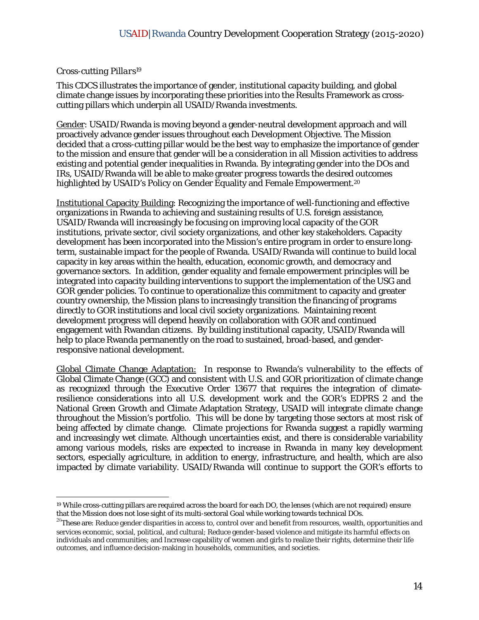#### *Cross-cutting Pillars19*

This CDCS illustrates the importance of gender, institutional capacity building, and global climate change issues by incorporating these priorities into the Results Framework as crosscutting pillars which underpin all USAID/Rwanda investments.

Gender: USAID/Rwanda is moving beyond a gender-neutral development approach and will proactively advance gender issues throughout each Development Objective. The Mission decided that a cross-cutting pillar would be the best way to emphasize the importance of gender to the mission and ensure that gender will be a consideration in all Mission activities to address existing and potential gender inequalities in Rwanda. By integrating gender into the DOs and IRs, USAID/Rwanda will be able to make greater progress towards the desired outcomes highlighted by USAID's Policy on Gender Equality and Female Empowerment.<sup>20</sup>

Institutional Capacity Building: Recognizing the importance of well-functioning and effective organizations in Rwanda to achieving and sustaining results of U.S. foreign assistance, USAID/Rwanda will increasingly be focusing on improving local capacity of the GOR institutions, private sector, civil society organizations, and other key stakeholders. Capacity development has been incorporated into the Mission's entire program in order to ensure longterm, sustainable impact for the people of Rwanda. USAID/Rwanda will continue to build local capacity in key areas within the health, education, economic growth, and democracy and governance sectors. In addition, gender equality and female empowerment principles will be integrated into capacity building interventions to support the implementation of the USG and GOR gender policies. To continue to operationalize this commitment to capacity and greater country ownership, the Mission plans to increasingly transition the financing of programs directly to GOR institutions and local civil society organizations. Maintaining recent development progress will depend heavily on collaboration with GOR and continued engagement with Rwandan citizens. By building institutional capacity, USAID/Rwanda will help to place Rwanda permanently on the road to sustained, broad-based, and genderresponsive national development.

Global Climate Change Adaptation: In response to Rwanda's vulnerability to the effects of Global Climate Change (GCC) and consistent with U.S. and GOR prioritization of climate change as recognized through the Executive Order 13677 that requires the integration of climateresilience considerations into all U.S. development work and the GOR's EDPRS 2 and the National Green Growth and Climate Adaptation Strategy, USAID will integrate climate change throughout the Mission's portfolio. This will be done by targeting those sectors at most risk of being affected by climate change. Climate projections for Rwanda suggest a rapidly warming and increasingly wet climate. Although uncertainties exist, and there is considerable variability among various models, risks are expected to increase in Rwanda in many key development sectors, especially agriculture, in addition to energy, infrastructure, and health, which are also impacted by climate variability. USAID/Rwanda will continue to support the GOR's efforts to

<sup>19</sup> While cross-cutting pillars are required across the board for each DO, the lenses (which are not required) ensure that the Mission does not lose sight of its multi-sectoral Goal while working towards technical DOs.

 $20$ These are: Reduce gender disparities in access to, control over and benefit from resources, wealth, opportunities and services economic, social, political, and cultural; Reduce gender-based violence and mitigate its harmful effects on individuals and communities; and Increase capability of women and girls to realize their rights, determine their life outcomes, and influence decision-making in households, communities, and societies.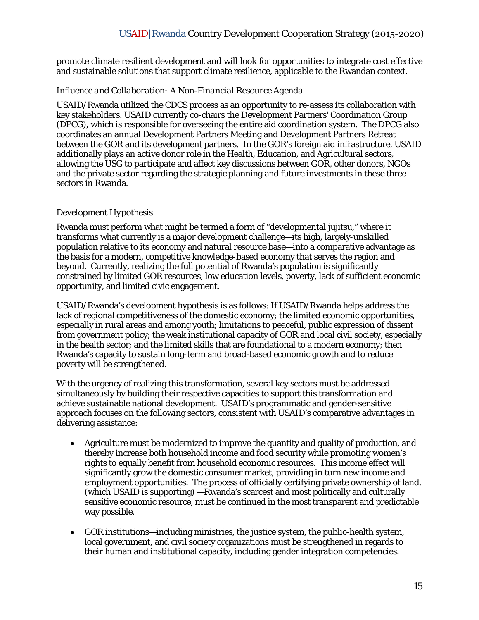promote climate resilient development and will look for opportunities to integrate cost effective and sustainable solutions that support climate resilience, applicable to the Rwandan context.

#### *Influence and Collaboration: A Non-Financial Resource Agenda*

USAID/Rwanda utilized the CDCS process as an opportunity to re-assess its collaboration with key stakeholders. USAID currently co-chairs the Development Partners' Coordination Group (DPCG), which is responsible for overseeing the entire aid coordination system. The DPCG also coordinates an annual Development Partners Meeting and Development Partners Retreat between the GOR and its development partners. In the GOR's foreign aid infrastructure, USAID additionally plays an active donor role in the Health, Education, and Agricultural sectors, allowing the USG to participate and affect key discussions between GOR, other donors, NGOs and the private sector regarding the strategic planning and future investments in these three sectors in Rwanda.

#### *Development Hypothesis*

Rwanda must perform what might be termed a form of "developmental jujitsu," where it transforms what currently is a major development challenge—its high, largely-unskilled population relative to its economy and natural resource base—into a comparative advantage as the basis for a modern, competitive knowledge-based economy that serves the region and beyond. Currently, realizing the full potential of Rwanda's population is significantly constrained by limited GOR resources, low education levels, poverty, lack of sufficient economic opportunity, and limited civic engagement.

USAID/Rwanda's development hypothesis is as follows: If USAID/Rwanda helps address the lack of regional competitiveness of the domestic economy; the limited economic opportunities, especially in rural areas and among youth; limitations to peaceful, public expression of dissent from government policy; the weak institutional capacity of GOR and local civil society, especially in the health sector; and the limited skills that are foundational to a modern economy; then Rwanda's capacity to sustain long-term and broad-based economic growth and to reduce poverty will be strengthened.

With the urgency of realizing this transformation, several key sectors must be addressed simultaneously by building their respective capacities to support this transformation and achieve sustainable national development. USAID's programmatic and gender-sensitive approach focuses on the following sectors, consistent with USAID's comparative advantages in delivering assistance:

- Agriculture must be modernized to improve the quantity and quality of production, and thereby increase both household income and food security while promoting women's rights to equally benefit from household economic resources. This income effect will significantly grow the domestic consumer market, providing in turn new income and employment opportunities. The process of officially certifying private ownership of land, (which USAID is supporting) —Rwanda's scarcest and most politically and culturally sensitive economic resource, must be continued in the most transparent and predictable way possible.
- GOR institutions—including ministries, the justice system, the public-health system, local government, and civil society organizations must be strengthened in regards to their human and institutional capacity, including gender integration competencies.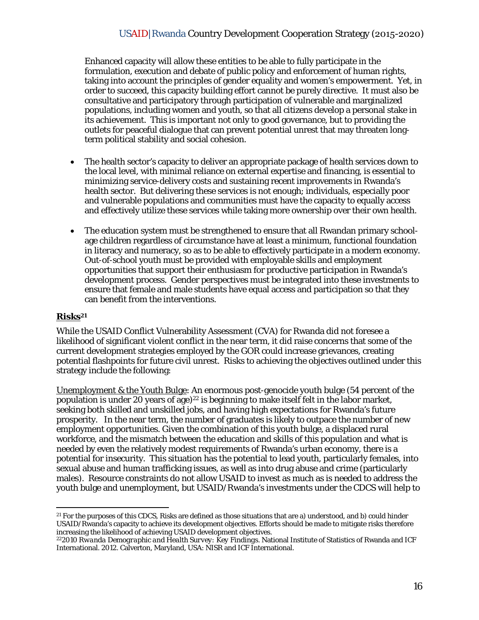# USAID|Rwanda Country Development Cooperation Strategy (2015-2020)

Enhanced capacity will allow these entities to be able to fully participate in the formulation, execution and debate of public policy and enforcement of human rights, taking into account the principles of gender equality and women's empowerment. Yet, in order to succeed, this capacity building effort cannot be purely directive. It must also be consultative and participatory through participation of vulnerable and marginalized populations, including women and youth, so that all citizens develop a personal stake in its achievement. This is important not only to good governance, but to providing the outlets for peaceful dialogue that can prevent potential unrest that may threaten longterm political stability and social cohesion.

- The health sector's capacity to deliver an appropriate package of health services down to the local level, with minimal reliance on external expertise and financing, is essential to minimizing service-delivery costs and sustaining recent improvements in Rwanda's health sector. But delivering these services is not enough; individuals, especially poor and vulnerable populations and communities must have the capacity to equally access and effectively utilize these services while taking more ownership over their own health.
- The education system must be strengthened to ensure that all Rwandan primary schoolage children regardless of circumstance have at least a minimum, functional foundation in literacy and numeracy, so as to be able to effectively participate in a modern economy. Out-of-school youth must be provided with employable skills and employment opportunities that support their enthusiasm for productive participation in Rwanda's development process. Gender perspectives must be integrated into these investments to ensure that female and male students have equal access and participation so that they can benefit from the interventions.

#### **Risks21**

While the USAID Conflict Vulnerability Assessment (CVA) for Rwanda did not foresee a likelihood of significant violent conflict in the near term, it did raise concerns that some of the current development strategies employed by the GOR could increase grievances, creating potential flashpoints for future civil unrest. Risks to achieving the objectives outlined under this strategy include the following:

Unemployment & the Youth Bulge: An enormous post-genocide youth bulge (54 percent of the population is under 20 years of age)<sup>22</sup> is beginning to make itself felt in the labor market, seeking both skilled and unskilled jobs, and having high expectations for Rwanda's future prosperity. In the near term, the number of graduates is likely to outpace the number of new employment opportunities. Given the combination of this youth bulge, a displaced rural workforce, and the mismatch between the education and skills of this population and what is needed by even the relatively modest requirements of Rwanda's urban economy, there is a potential for insecurity. This situation has the potential to lead youth, particularly females, into sexual abuse and human trafficking issues, as well as into drug abuse and crime (particularly males). Resource constraints do not allow USAID to invest as much as is needed to address the youth bulge and unemployment, but USAID/Rwanda's investments under the CDCS will help to

<sup>21</sup> For the purposes of this CDCS, *Risks* are defined as those situations that are a) understood, and b) could hinder USAID/Rwanda's capacity to achieve its development objectives. Efforts should be made to mitigate risks therefore increasing the likelihood of achieving USAID development objectives.

<sup>22</sup>*2010 Rwanda Demographic and Health Survey: Key Findings*. National Institute of Statistics of Rwanda and ICF International. 2012. Calverton, Maryland, USA: NISR and ICF International.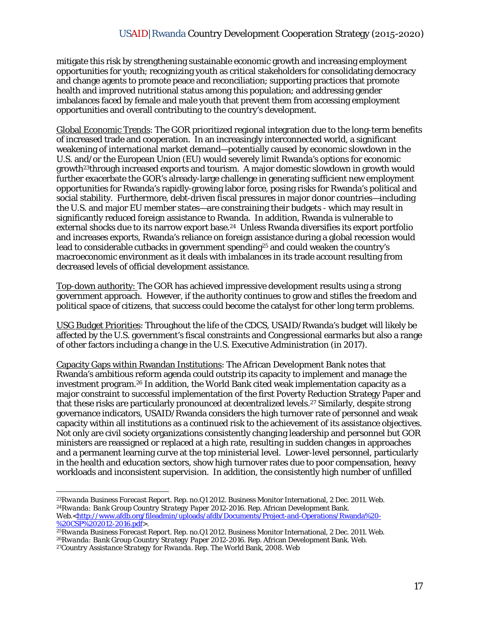mitigate this risk by strengthening sustainable economic growth and increasing employment opportunities for youth; recognizing youth as critical stakeholders for consolidating democracy and change agents to promote peace and reconciliation; supporting practices that promote health and improved nutritional status among this population; and addressing gender imbalances faced by female and male youth that prevent them from accessing employment opportunities and overall contributing to the country's development.

Global Economic Trends: The GOR prioritized regional integration due to the long-term benefits of increased trade and cooperation. In an increasingly interconnected world, a significant weakening of international market demand—potentially caused by economic slowdown in the U.S. and/or the European Union (EU) would severely limit Rwanda's options for economic growth23through increased exports and tourism. A major domestic slowdown in growth would further exacerbate the GOR's already-large challenge in generating sufficient new employment opportunities for Rwanda's rapidly-growing labor force, posing risks for Rwanda's political and social stability. Furthermore, debt-driven fiscal pressures in major donor countries—including the U.S. and major EU member states—are constraining their budgets - which may result in significantly reduced foreign assistance to Rwanda. In addition, Rwanda is vulnerable to external shocks due to its narrow export base.<sup>24</sup> Unless Rwanda diversifies its export portfolio and increases exports, Rwanda's reliance on foreign assistance during a global recession would lead to considerable cutbacks in government spending<sup>25</sup> and could weaken the country's macroeconomic environment as it deals with imbalances in its trade account resulting from decreased levels of official development assistance.

Top-down authority: The GOR has achieved impressive development results using a strong government approach. However, if the authority continues to grow and stifles the freedom and political space of citizens, that success could become the catalyst for other long term problems.

USG Budget Priorities: Throughout the life of the CDCS, USAID/Rwanda's budget will likely be affected by the U.S. government's fiscal constraints and Congressional earmarks but also a range of other factors including a change in the U.S. Executive Administration (in 2017).

Capacity Gaps within Rwandan Institutions: The African Development Bank notes that Rwanda's ambitious reform agenda could outstrip its capacity to implement and manage the investment program.26 In addition, the World Bank cited weak implementation capacity as a major constraint to successful implementation of the first Poverty Reduction Strategy Paper and that these risks are particularly pronounced at decentralized levels.27 Similarly, despite strong governance indicators, USAID/Rwanda considers the high turnover rate of personnel and weak capacity within all institutions as a continued risk to the achievement of its assistance objectives. Not only are civil society organizations consistently changing leadership and personnel but GOR ministers are reassigned or replaced at a high rate, resulting in sudden changes in approaches and a permanent learning curve at the top ministerial level. Lower-level personnel, particularly in the health and education sectors, show high turnover rates due to poor compensation, heavy workloads and inconsistent supervision. In addition, the consistently high number of unfilled

<sup>23</sup>*Rwanda Business Forecast Report*. Rep. no.Q1 2012. Business Monitor International, 2 Dec. 2011. Web. 24*Rwanda: Bank Group Country Strategy Paper 2012-2016*. Rep. African Development Bank. Web.<http://www.afdb.org/fileadmin/uploads/afdb/Documents/Project-and-Operations/Rwanda%20-%20CSP%202012-2016.pdf>

<sup>&</sup>lt;sup>25</sup> Rwanda Business Forecast Report. Rep. no.Q1 2012. Business Monitor International, 2 Dec. 2011. Web.<br><sup>26</sup> Rwanda: Bank Group Country Strategy Paper 2012-2016. Rep. African Development Bank. Web.<br><sup>27</sup> Country Assistance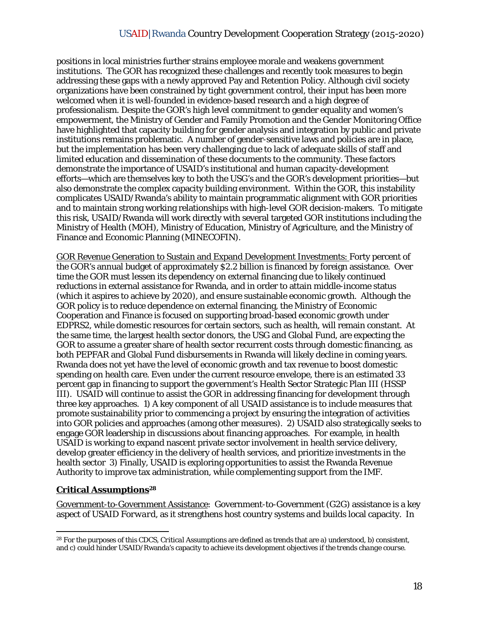# USAID|Rwanda Country Development Cooperation Strategy (2015-2020)

positions in local ministries further strains employee morale and weakens government institutions. The GOR has recognized these challenges and recently took measures to begin addressing these gaps with a newly approved Pay and Retention Policy. Although civil society organizations have been constrained by tight government control, their input has been more welcomed when it is well-founded in evidence-based research and a high degree of professionalism. Despite the GOR's high level commitment to gender equality and women's empowerment, the Ministry of Gender and Family Promotion and the Gender Monitoring Office have highlighted that capacity building for gender analysis and integration by public and private institutions remains problematic. A number of gender-sensitive laws and policies are in place, but the implementation has been very challenging due to lack of adequate skills of staff and limited education and dissemination of these documents to the community. These factors demonstrate the importance of USAID's institutional and human capacity-development efforts—which are themselves key to both the USG's and the GOR's development priorities—but also demonstrate the complex capacity building environment. Within the GOR, this instability complicates USAID/Rwanda's ability to maintain programmatic alignment with GOR priorities and to maintain strong working relationships with high-level GOR decision-makers. To mitigate this risk, USAID/Rwanda will work directly with several targeted GOR institutions including the Ministry of Health (MOH), Ministry of Education, Ministry of Agriculture, and the Ministry of Finance and Economic Planning (MINECOFIN).

GOR Revenue Generation to Sustain and Expand Development Investments: Forty percent of the GOR's annual budget of approximately \$2.2 billion is financed by foreign assistance. Over time the GOR must lessen its dependency on external financing due to likely continued reductions in external assistance for Rwanda, and in order to attain middle-income status (which it aspires to achieve by 2020), and ensure sustainable economic growth. Although the GOR policy is to reduce dependence on external financing, the Ministry of Economic Cooperation and Finance is focused on supporting broad-based economic growth under EDPRS2, while domestic resources for certain sectors, such as health, will remain constant. At the same time, the largest health sector donors, the USG and Global Fund, are expecting the GOR to assume a greater share of health sector recurrent costs through domestic financing, as both PEPFAR and Global Fund disbursements in Rwanda will likely decline in coming years. Rwanda does not yet have the level of economic growth and tax revenue to boost domestic spending on health care. Even under the current resource envelope, there is an estimated 33 percent gap in financing to support the government's Health Sector Strategic Plan III (HSSP III). USAID will continue to assist the GOR in addressing financing for development through three key approaches. 1) A key component of all USAID assistance is to include measures that promote sustainability prior to commencing a project by ensuring the integration of activities into GOR policies and approaches (among other measures). 2) USAID also strategically seeks to engage GOR leadership in discussions about financing approaches. For example, in health USAID is working to expand nascent private sector involvement in health service delivery, develop greater efficiency in the delivery of health services, and prioritize investments in the health sector 3) Finally, USAID is exploring opportunities to assist the Rwanda Revenue Authority to improve tax administration, while complementing support from the IMF.

#### **Critical Assumptions28**

Government-to-Government Assistance: Government-to-Government (G2G) assistance is a key aspect of USAID *Forward,* as it strengthens host country systems and builds local capacity. In

<sup>28</sup> For the purposes of this CDCS, *Critical Assumptions* are defined as trends that are a) understood, b) consistent, and c) could hinder USAID/Rwanda's capacity to achieve its development objectives *if the trends change course*.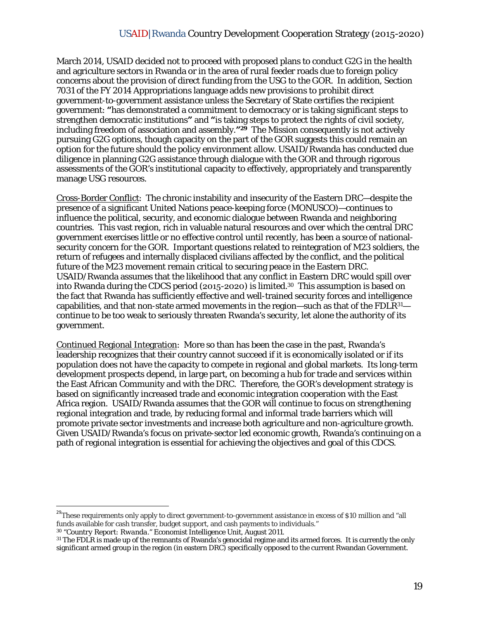# USAID|Rwanda Country Development Cooperation Strategy (2015-2020)

March 2014, USAID decided not to proceed with proposed plans to conduct G2G in the health and agriculture sectors in Rwanda or in the area of rural feeder roads due to foreign policy concerns about the provision of direct funding from the USG to the GOR. In addition, Section 7031 of the FY 2014 Appropriations language adds new provisions to prohibit direct government-to-government assistance unless the Secretary of State certifies the recipient government: **"**has demonstrated a commitment to democracy or is taking significant steps to strengthen democratic institutions**"** and **"**is taking steps to protect the rights of civil society, including freedom of association and assembly.**"29** The Mission consequently is not actively pursuing G2G options, though capacity on the part of the GOR suggests this could remain an option for the future should the policy environment allow. USAID/Rwanda has conducted due diligence in planning G2G assistance through dialogue with the GOR and through rigorous assessments of the GOR's institutional capacity to effectively, appropriately and transparently manage USG resources.

Cross-Border Conflict: The chronic instability and insecurity of the Eastern DRC—despite the presence of a significant United Nations peace-keeping force (MONUSCO)—continues to influence the political, security, and economic dialogue between Rwanda and neighboring countries. This vast region, rich in valuable natural resources and over which the central DRC government exercises little or no effective control until recently, has been a source of nationalsecurity concern for the GOR. Important questions related to reintegration of M23 soldiers, the return of refugees and internally displaced civilians affected by the conflict, and the political future of the M23 movement remain critical to securing peace in the Eastern DRC. USAID/Rwanda assumes that the likelihood that any conflict in Eastern DRC would spill over into Rwanda during the CDCS period (2015-2020) is limited.30 This assumption is based on the fact that Rwanda has sufficiently effective and well-trained security forces and intelligence capabilities, and that non-state armed movements in the region—such as that of the FDLR<sup>31</sup> continue to be too weak to seriously threaten Rwanda's security, let alone the authority of its government.

Continued Regional Integration: More so than has been the case in the past, Rwanda's leadership recognizes that their country cannot succeed if it is economically isolated or if its population does not have the capacity to compete in regional and global markets. Its long-term development prospects depend, in large part, on becoming a hub for trade and services within the East African Community and with the DRC. Therefore, the GOR's development strategy is based on significantly increased trade and economic integration cooperation with the East Africa region. USAID/Rwanda assumes that the GOR will continue to focus on strengthening regional integration and trade, by reducing formal and informal trade barriers which will promote private sector investments and increase both agriculture and non-agriculture growth. Given USAID/Rwanda's focus on private-sector led economic growth, Rwanda's continuing on a path of regional integration is essential for achieving the objectives and goal of this CDCS.

<sup>&</sup>lt;sup>29</sup>These requirements only apply to direct government-to-government assistance in excess of \$10 million and "all funds available for cash transfer, budget support, and cash payments to individuals."<br><sup>30</sup> "*Country Report: Rwanda.*" Economist Intelligence Unit, August 2011.

<sup>&</sup>lt;sup>31</sup> The FDLR is made up of the remnants of Rwanda's genocidal regime and its armed forces. It is currently the only significant armed group in the region (in eastern DRC) specifically opposed to the current Rwandan Government.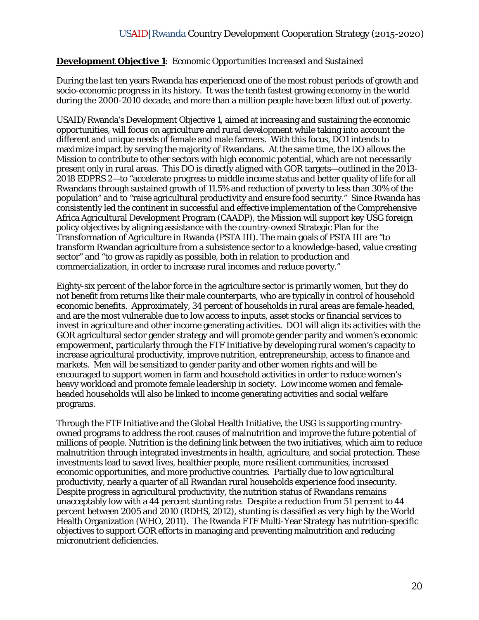#### **Development Objective 1**: *Economic Opportunities Increased and Sustained*

During the last ten years Rwanda has experienced one of the most robust periods of growth and socio-economic progress in its history. It was the tenth fastest growing economy in the world during the 2000-2010 decade, and more than a million people have been lifted out of poverty.

USAID/Rwanda's Development Objective 1, aimed at increasing and sustaining the economic opportunities, will focus on agriculture and rural development while taking into account the different and unique needs of female and male farmers. With this focus, DO1 intends to maximize impact by serving the majority of Rwandans. At the same time, the DO allows the Mission to contribute to other sectors with high economic potential, which are not necessarily present only in rural areas. This DO is directly aligned with GOR targets—outlined in the 2013- 2018 EDPRS 2—to "accelerate progress to middle income status and better quality of life for all Rwandans through sustained growth of 11.5% and reduction of poverty to less than 30% of the population" and to "raise agricultural productivity and ensure food security." Since Rwanda has consistently led the continent in successful and effective implementation of the Comprehensive Africa Agricultural Development Program (CAADP), the Mission will support key USG foreign policy objectives by aligning assistance with the country-owned Strategic Plan for the Transformation of Agriculture in Rwanda (PSTA III). The main goals of PSTA III are "to transform Rwandan agriculture from a subsistence sector to a knowledge-based, value creating sector" and "to grow as rapidly as possible, both in relation to production and commercialization, in order to increase rural incomes and reduce poverty."

Eighty-six percent of the labor force in the agriculture sector is primarily women, but they do not benefit from returns like their male counterparts, who are typically in control of household economic benefits. Approximately, 34 percent of households in rural areas are female-headed, and are the most vulnerable due to low access to inputs, asset stocks or financial services to invest in agriculture and other income generating activities. DO1 will align its activities with the GOR agricultural sector gender strategy and will promote gender parity and women's economic empowerment, particularly through the FTF Initiative by developing rural women's capacity to increase agricultural productivity, improve nutrition, entrepreneurship, access to finance and markets. Men will be sensitized to gender parity and other women rights and will be encouraged to support women in farm and household activities in order to reduce women's heavy workload and promote female leadership in society. Low income women and femaleheaded households will also be linked to income generating activities and social welfare programs.

Through the FTF Initiative and the Global Health Initiative, the USG is supporting countryowned programs to address the root causes of malnutrition and improve the future potential of millions of people. Nutrition is the defining link between the two initiatives, which aim to reduce malnutrition through integrated investments in health, agriculture, and social protection. These investments lead to saved lives, healthier people, more resilient communities, increased economic opportunities, and more productive countries. Partially due to low agricultural productivity, nearly a quarter of all Rwandan rural households experience food insecurity. Despite progress in agricultural productivity, the nutrition status of Rwandans remains unacceptably low with a 44 percent stunting rate. Despite a reduction from 51 percent to 44 percent between 2005 and 2010 (RDHS, 2012), stunting is classified as very high by the World Health Organization (WHO, 2011). The Rwanda FTF Multi-Year Strategy has nutrition-specific objectives to support GOR efforts in managing and preventing malnutrition and reducing micronutrient deficiencies.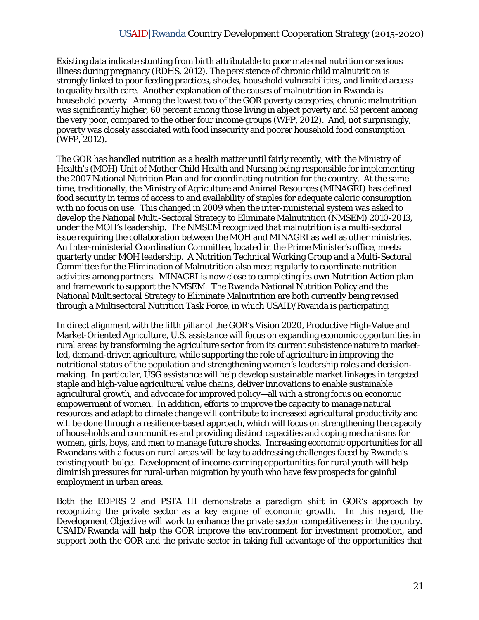Existing data indicate stunting from birth attributable to poor maternal nutrition or serious illness during pregnancy (RDHS, 2012). The persistence of chronic child malnutrition is strongly linked to poor feeding practices, shocks, household vulnerabilities, and limited access to quality health care. Another explanation of the causes of malnutrition in Rwanda is household poverty. Among the lowest two of the GOR poverty categories, chronic malnutrition was significantly higher, 60 percent among those living in abject poverty and 53 percent among the very poor, compared to the other four income groups (WFP, 2012). And, not surprisingly, poverty was closely associated with food insecurity and poorer household food consumption (WFP, 2012).

The GOR has handled nutrition as a health matter until fairly recently, with the Ministry of Health's (MOH) Unit of Mother Child Health and Nursing being responsible for implementing the 2007 National Nutrition Plan and for coordinating nutrition for the country. At the same time, traditionally, the Ministry of Agriculture and Animal Resources (MINAGRI) has defined food security in terms of access to and availability of staples for adequate caloric consumption with no focus on use. This changed in 2009 when the inter-ministerial system was asked to develop the National Multi-Sectoral Strategy to Eliminate Malnutrition (NMSEM) 2010-2013, under the MOH's leadership. The NMSEM recognized that malnutrition is a multi-sectoral issue requiring the collaboration between the MOH and MINAGRI as well as other ministries. An Inter-ministerial Coordination Committee, located in the Prime Minister's office, meets quarterly under MOH leadership. A Nutrition Technical Working Group and a Multi-Sectoral Committee for the Elimination of Malnutrition also meet regularly to coordinate nutrition activities among partners. MINAGRI is now close to completing its own Nutrition Action plan and framework to support the NMSEM. The Rwanda National Nutrition Policy and the National Multisectoral Strategy to Eliminate Malnutrition are both currently being revised through a Multisectoral Nutrition Task Force, in which USAID/Rwanda is participating.

In direct alignment with the fifth pillar of the GOR's Vision 2020, Productive High-Value and Market-Oriented Agriculture, U.S. assistance will focus on expanding economic opportunities in rural areas by transforming the agriculture sector from its current subsistence nature to marketled, demand-driven agriculture, while supporting the role of agriculture in improving the nutritional status of the population and strengthening women's leadership roles and decisionmaking. In particular, USG assistance will help develop sustainable market linkages in targeted staple and high-value agricultural value chains, deliver innovations to enable sustainable agricultural growth, and advocate for improved policy—all with a strong focus on economic empowerment of women. In addition, efforts to improve the capacity to manage natural resources and adapt to climate change will contribute to increased agricultural productivity and will be done through a resilience-based approach, which will focus on strengthening the capacity of households and communities and providing distinct capacities and coping mechanisms for women, girls, boys, and men to manage future shocks. Increasing economic opportunities for all Rwandans with a focus on rural areas will be key to addressing challenges faced by Rwanda's existing youth bulge. Development of income-earning opportunities for rural youth will help diminish pressures for rural-urban migration by youth who have few prospects for gainful employment in urban areas.

Both the EDPRS 2 and PSTA III demonstrate a paradigm shift in GOR's approach by recognizing the private sector as a key engine of economic growth. In this regard, the Development Objective will work to enhance the private sector competitiveness in the country. USAID/Rwanda will help the GOR improve the environment for investment promotion, and support both the GOR and the private sector in taking full advantage of the opportunities that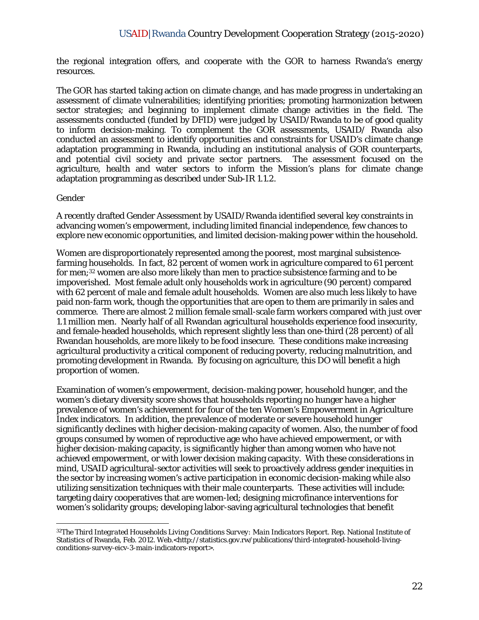the regional integration offers, and cooperate with the GOR to harness Rwanda's energy resources.

The GOR has started taking action on climate change, and has made progress in undertaking an assessment of climate vulnerabilities; identifying priorities; promoting harmonization between sector strategies; and beginning to implement climate change activities in the field. The assessments conducted (funded by DFID) were judged by USAID/Rwanda to be of good quality to inform decision-making. To complement the GOR assessments, USAID/ Rwanda also conducted an assessment to identify opportunities and constraints for USAID's climate change adaptation programming in Rwanda, including an institutional analysis of GOR counterparts, and potential civil society and private sector partners. The assessment focused on the agriculture, health and water sectors to inform the Mission's plans for climate change adaptation programming as described under Sub-IR 1.1.2.

#### *Gender*

A recently drafted Gender Assessment by USAID/Rwanda identified several key constraints in advancing women's empowerment, including limited financial independence, few chances to explore new economic opportunities, and limited decision-making power within the household.

Women are disproportionately represented among the poorest, most marginal subsistencefarming households. In fact, 82 percent of women work in agriculture compared to 61 percent for men;32 women are also more likely than men to practice subsistence farming and to be impoverished. Most female adult only households work in agriculture (90 percent) compared with 62 percent of male and female adult households. Women are also much less likely to have paid non-farm work, though the opportunities that are open to them are primarily in sales and commerce. There are almost 2 million female small-scale farm workers compared with just over 1.1 million men. Nearly half of all Rwandan agricultural households experience food insecurity, and female-headed households, which represent slightly less than one-third (28 percent) of all Rwandan households, are more likely to be food insecure. These conditions make increasing agricultural productivity a critical component of reducing poverty, reducing malnutrition, and promoting development in Rwanda. By focusing on agriculture, this DO will benefit a high proportion of women.

Examination of women's empowerment, decision-making power, household hunger, and the women's dietary diversity score shows that households reporting no hunger have a higher prevalence of women's achievement for four of the ten Women's Empowerment in Agriculture Index indicators. In addition, the prevalence of moderate or severe household hunger significantly declines with higher decision-making capacity of women. Also, the number of food groups consumed by women of reproductive age who have achieved empowerment, or with higher decision-making capacity, is significantly higher than among women who have not achieved empowerment, or with lower decision making capacity. With these considerations in mind, USAID agricultural-sector activities will seek to proactively address gender inequities in the sector by increasing women's active participation in economic decision-making while also utilizing sensitization techniques with their male counterparts. These activities will include: targeting dairy cooperatives that are women-led; designing microfinance interventions for women's solidarity groups; developing labor-saving agricultural technologies that benefit

<sup>32</sup>*The Third Integrated Households Living Conditions Survey: Main Indicators Report*. Rep. National Institute of Statistics of Rwanda, Feb. 2012. Web.<http://statistics.gov.rw/publications/third-integrated-household-livingconditions-survey-eicv-3-main-indicators-report>.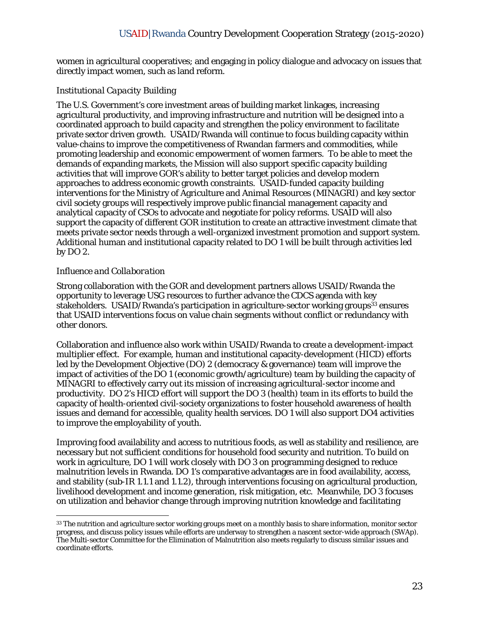women in agricultural cooperatives; and engaging in policy dialogue and advocacy on issues that directly impact women, such as land reform.

#### *Institutional Capacity Building*

The U.S. Government's core investment areas of building market linkages, increasing agricultural productivity, and improving infrastructure and nutrition will be designed into a coordinated approach to build capacity and strengthen the policy environment to facilitate private sector driven growth. USAID/Rwanda will continue to focus building capacity within value-chains to improve the competitiveness of Rwandan farmers and commodities, while promoting leadership and economic empowerment of women farmers. To be able to meet the demands of expanding markets, the Mission will also support specific capacity building activities that will improve GOR's ability to better target policies and develop modern approaches to address economic growth constraints. USAID-funded capacity building interventions for the Ministry of Agriculture and Animal Resources (MINAGRI) and key sector civil society groups will respectively improve public financial management capacity and analytical capacity of CSOs to advocate and negotiate for policy reforms. USAID will also support the capacity of different GOR institution to create an attractive investment climate that meets private sector needs through a well-organized investment promotion and support system. Additional human and institutional capacity related to DO 1 will be built through activities led by DO 2.

#### *Influence and Collaboration*

Strong collaboration with the GOR and development partners allows USAID/Rwanda the opportunity to leverage USG resources to further advance the CDCS agenda with key stakeholders. USAID/Rwanda's participation in agriculture-sector working groups<sup>33</sup> ensures that USAID interventions focus on value chain segments without conflict or redundancy with other donors.

Collaboration and influence also work within USAID/Rwanda to create a development-impact multiplier effect. For example, human and institutional capacity-development (HICD) efforts led by the Development Objective (DO) 2 (democracy & governance) team will improve the impact of activities of the DO 1 (economic growth/agriculture) team by building the capacity of MINAGRI to effectively carry out its mission of increasing agricultural-sector income and productivity. DO 2's HICD effort will support the DO 3 (health) team in its efforts to build the capacity of health-oriented civil-society organizations to foster household awareness of health issues and demand for accessible, quality health services. DO 1 will also support DO4 activities to improve the employability of youth.

Improving food availability and access to nutritious foods, as well as stability and resilience, are necessary but not sufficient conditions for household food security and nutrition. To build on work in agriculture, DO 1 will work closely with DO 3 on programming designed to reduce malnutrition levels in Rwanda. DO 1's comparative advantages are in food availability, access, and stability (sub-IR 1.1.1 and 1.1.2), through interventions focusing on agricultural production, livelihood development and income generation, risk mitigation, etc. Meanwhile, DO 3 focuses on utilization and behavior change through improving nutrition knowledge and facilitating

<sup>&</sup>lt;sup>33</sup> The nutrition and agriculture sector working groups meet on a monthly basis to share information, monitor sector progress, and discuss policy issues while efforts are underway to strengthen a nascent sector-wide approach (SWAp). The Multi-sector Committee for the Elimination of Malnutrition also meets regularly to discuss similar issues and coordinate efforts.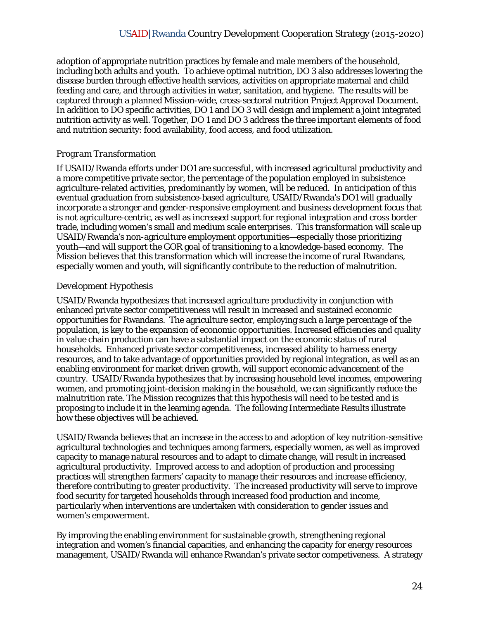adoption of appropriate nutrition practices by female and male members of the household, including both adults and youth. To achieve optimal nutrition, DO 3 also addresses lowering the disease burden through effective health services, activities on appropriate maternal and child feeding and care, and through activities in water, sanitation, and hygiene. The results will be captured through a planned Mission-wide, cross-sectoral nutrition Project Approval Document. In addition to DO specific activities, DO 1 and DO 3 will design and implement a joint integrated nutrition activity as well. Together, DO 1 and DO 3 address the three important elements of food and nutrition security: food availability, food access, and food utilization.

#### *Program Transformation*

If USAID/Rwanda efforts under DO1 are successful, with increased agricultural productivity and a more competitive private sector, the percentage of the population employed in subsistence agriculture-related activities, predominantly by women, will be reduced. In anticipation of this eventual graduation from subsistence-based agriculture, USAID/Rwanda's DO1 will gradually incorporate a stronger and gender-responsive employment and business development focus that is not agriculture-centric, as well as increased support for regional integration and cross border trade, including women's small and medium scale enterprises. This transformation will scale up USAID/Rwanda's non-agriculture employment opportunities—especially those prioritizing youth—and will support the GOR goal of transitioning to a knowledge-based economy. The Mission believes that this transformation which will increase the income of rural Rwandans, especially women and youth, will significantly contribute to the reduction of malnutrition.

## *Development Hypothesis*

USAID/Rwanda hypothesizes that increased agriculture productivity in conjunction with enhanced private sector competitiveness will result in increased and sustained economic opportunities for Rwandans. The agriculture sector, employing such a large percentage of the population, is key to the expansion of economic opportunities. Increased efficiencies and quality in value chain production can have a substantial impact on the economic status of rural households. Enhanced private sector competitiveness, increased ability to harness energy resources, and to take advantage of opportunities provided by regional integration, as well as an enabling environment for market driven growth, will support economic advancement of the country. USAID/Rwanda hypothesizes that by increasing household level incomes, empowering women, and promoting joint-decision making in the household, we can significantly reduce the malnutrition rate. The Mission recognizes that this hypothesis will need to be tested and is proposing to include it in the learning agenda. The following Intermediate Results illustrate how these objectives will be achieved.

USAID/Rwanda believes that an increase in the access to and adoption of key nutrition-sensitive agricultural technologies and techniques among farmers, especially women, as well as improved capacity to manage natural resources and to adapt to climate change, will result in increased agricultural productivity. Improved access to and adoption of production and processing practices will strengthen farmers' capacity to manage their resources and increase efficiency, therefore contributing to greater productivity. The increased productivity will serve to improve food security for targeted households through increased food production and income, particularly when interventions are undertaken with consideration to gender issues and women's empowerment.

By improving the enabling environment for sustainable growth, strengthening regional integration and women's financial capacities, and enhancing the capacity for energy resources management, USAID/Rwanda will enhance Rwandan's private sector competiveness. A strategy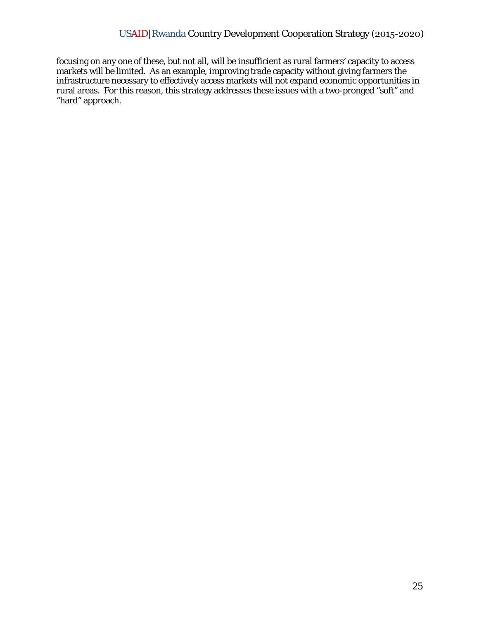focusing on any one of these, but not all, will be insufficient as rural farmers' capacity to access markets will be limited. As an example, improving trade capacity without giving farmers the infrastructure necessary to effectively access markets will not expand economic opportunities in rural areas. For this reason, this strategy addresses these issues with a two-pronged "soft" and "hard" approach.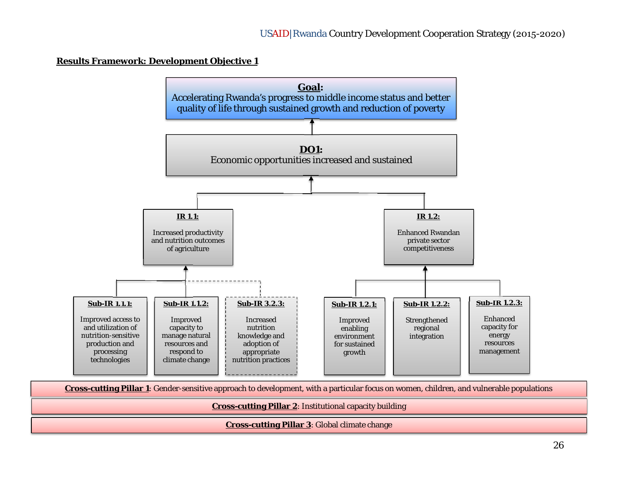#### **Results Framework: Development Objective 1**



**Cross-cutting Pillar 1**: Gender-sensitive approach to development, with a particular focus on women, children, and vulnerable populations **Cross-cutting Pillar 2**: Institutional capacity building **Cross-cutting Pillar 3**: Global climate change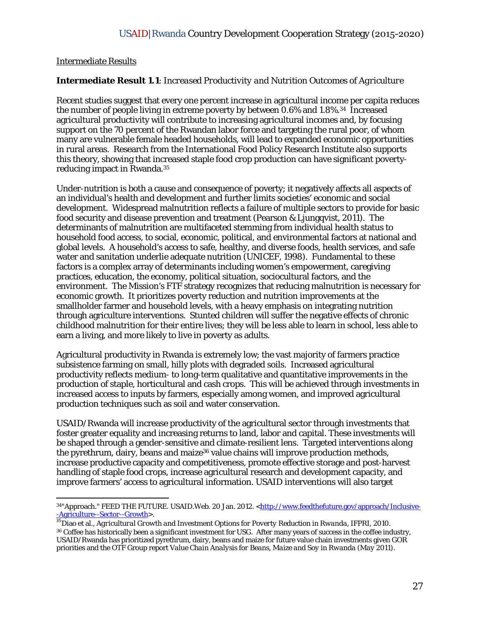#### Intermediate Results

#### **Intermediate Result 1.1**: *Increased Productivity and Nutrition Outcomes of Agriculture*

Recent studies suggest that every one percent increase in agricultural income per capita reduces the number of people living in extreme poverty by between 0.6% and 1.8%.34 Increased agricultural productivity will contribute to increasing agricultural incomes and, by focusing support on the 70 percent of the Rwandan labor force and targeting the rural poor, of whom many are vulnerable female headed households, will lead to expanded economic opportunities in rural areas. Research from the International Food Policy Research Institute also supports this theory, showing that increased staple food crop production can have significant povertyreducing impact in Rwanda.35

Under-nutrition is both a cause and consequence of poverty; it negatively affects all aspects of an individual's health and development and further limits societies' economic and social development. Widespread malnutrition reflects a failure of multiple sectors to provide for basic food security and disease prevention and treatment (Pearson & Ljungqvist, 2011). The determinants of malnutrition are multifaceted stemming from individual health status to household food access, to social, economic, political, and environmental factors at national and global levels. A household's access to safe, healthy, and diverse foods, health services, and safe water and sanitation underlie adequate nutrition (UNICEF, 1998). Fundamental to these factors is a complex array of determinants including women's empowerment, caregiving practices, education, the economy, political situation, sociocultural factors, and the environment. The Mission's FTF strategy recognizes that reducing malnutrition is necessary for economic growth. It prioritizes poverty reduction and nutrition improvements at the smallholder farmer and household levels, with a heavy emphasis on integrating nutrition through agriculture interventions. Stunted children will suffer the negative effects of chronic childhood malnutrition for their entire lives; they will be less able to learn in school, less able to earn a living, and more likely to live in poverty as adults.

Agricultural productivity in Rwanda is extremely low; the vast majority of farmers practice subsistence farming on small, hilly plots with degraded soils. Increased agricultural productivity reflects medium- to long-term qualitative and quantitative improvements in the production of staple, horticultural and cash crops. This will be achieved through investments in increased access to inputs by farmers, especially among women, and improved agricultural production techniques such as soil and water conservation.

USAID/Rwanda will increase productivity of the agricultural sector through investments that foster greater equality and increasing returns to land, labor and capital. These investments will be shaped through a gender-sensitive and climate-resilient lens. Targeted interventions along the pyrethrum, dairy, beans and maize<sup>36</sup> value chains will improve production methods, increase productive capacity and competitiveness, promote effective storage and post-harvest handling of staple food crops, increase agricultural research and development capacity, and improve farmers' access to agricultural information. USAID interventions will also target

<sup>34&</sup>quot;Approach." *FEED THE FUTURE*. USAID.Web. 20 Jan. 2012. <http://www.feedthefuture.gov/approach/Inclusive-

<sup>-</sup>Agriculture--Sector--Growth>. 35Diao et al., *Agricultural Growth and Investment Options for Poverty Reduction in Rwanda*, IFPRI, 2010. 36 Coffee has historically been a significant investment for USG. After many years of success in the coffee industry, USAID/Rwanda has prioritized pyrethrum, dairy, beans and maize for future value chain investments given GOR priorities and the OTF Group report *Value Chain Analysis for Beans, Maize and Soy in Rwanda (May 2011)*.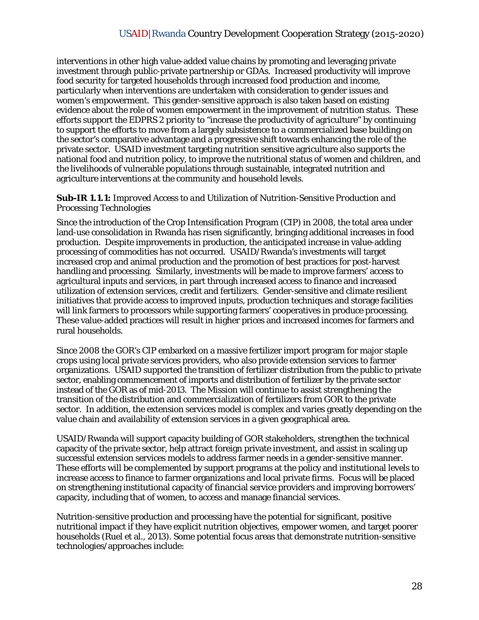interventions in other high value-added value chains by promoting and leveraging private investment through public-private partnership or GDAs. Increased productivity will improve food security for targeted households through increased food production and income, particularly when interventions are undertaken with consideration to gender issues and women's empowerment. This gender-sensitive approach is also taken based on existing evidence about the role of women empowerment in the improvement of nutrition status. These efforts support the EDPRS 2 priority to "increase the productivity of agriculture" by continuing to support the efforts to move from a largely subsistence to a commercialized base building on the sector's comparative advantage and a progressive shift towards enhancing the role of the private sector. USAID investment targeting nutrition sensitive agriculture also supports the national food and nutrition policy, to improve the nutritional status of women and children, and the livelihoods of vulnerable populations through sustainable, integrated nutrition and agriculture interventions at the community and household levels.

#### **Sub-IR 1.1.1:** *Improved Access to and Utilization of Nutrition-Sensitive Production and Processing Technologies*

Since the introduction of the Crop Intensification Program (CIP) in 2008, the total area under land-use consolidation in Rwanda has risen significantly, bringing additional increases in food production. Despite improvements in production, the anticipated increase in value-adding processing of commodities has not occurred. USAID/Rwanda's investments will target increased crop and animal production and the promotion of best practices for post-harvest handling and processing. Similarly, investments will be made to improve farmers' access to agricultural inputs and services, in part through increased access to finance and increased utilization of extension services, credit and fertilizers. Gender-sensitive and climate resilient initiatives that provide access to improved inputs, production techniques and storage facilities will link farmers to processors while supporting farmers' cooperatives in produce processing. These value-added practices will result in higher prices and increased incomes for farmers and rural households.

Since 2008 the GOR's CIP embarked on a massive fertilizer import program for major staple crops using local private services providers, who also provide extension services to farmer organizations. USAID supported the transition of fertilizer distribution from the public to private sector, enabling commencement of imports and distribution of fertilizer by the private sector instead of the GOR as of mid-2013. The Mission will continue to assist strengthening the transition of the distribution and commercialization of fertilizers from GOR to the private sector. In addition, the extension services model is complex and varies greatly depending on the value chain and availability of extension services in a given geographical area.

USAID/Rwanda will support capacity building of GOR stakeholders, strengthen the technical capacity of the private sector, help attract foreign private investment, and assist in scaling up successful extension services models to address farmer needs in a gender-sensitive manner. These efforts will be complemented by support programs at the policy and institutional levels to increase access to finance to farmer organizations and local private firms. Focus will be placed on strengthening institutional capacity of financial service providers and improving borrowers' capacity, including that of women, to access and manage financial services.

Nutrition-sensitive production and processing have the potential for significant, positive nutritional impact if they have explicit nutrition objectives, empower women, and target poorer households (Ruel et al., 2013). Some potential focus areas that demonstrate nutrition-sensitive technologies/approaches include: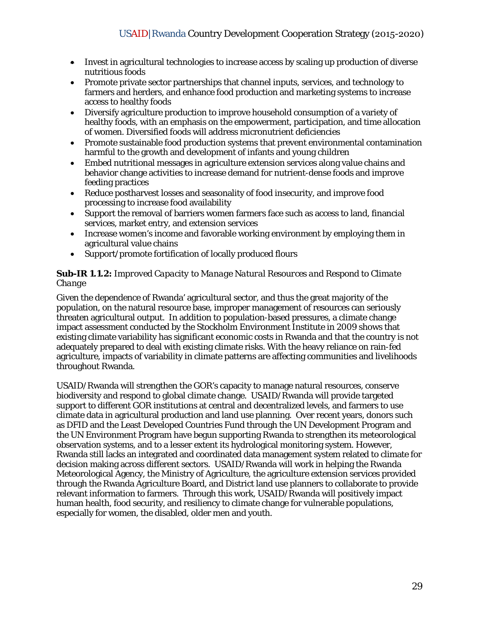- Invest in agricultural technologies to increase access by scaling up production of diverse nutritious foods
- Promote private sector partnerships that channel inputs, services, and technology to farmers and herders, and enhance food production and marketing systems to increase access to healthy foods
- Diversify agriculture production to improve household consumption of a variety of healthy foods, with an emphasis on the empowerment, participation, and time allocation of women. Diversified foods will address micronutrient deficiencies
- Promote sustainable food production systems that prevent environmental contamination harmful to the growth and development of infants and young children
- Embed nutritional messages in agriculture extension services along value chains and behavior change activities to increase demand for nutrient-dense foods and improve feeding practices
- Reduce postharvest losses and seasonality of food insecurity, and improve food processing to increase food availability
- Support the removal of barriers women farmers face such as access to land, financial services, market entry, and extension services
- Increase women's income and favorable working environment by employing them in agricultural value chains
- Support/promote fortification of locally produced flours

## **Sub-IR 1.1.2:** *Improved Capacity to Manage Natural Resources and Respond to Climate Change*

Given the dependence of Rwanda' agricultural sector, and thus the great majority of the population, on the natural resource base, improper management of resources can seriously threaten agricultural output. In addition to population-based pressures, a climate change impact assessment conducted by the Stockholm Environment Institute in 2009 shows that existing climate variability has significant economic costs in Rwanda and that the country is not adequately prepared to deal with existing climate risks. With the heavy reliance on rain-fed agriculture, impacts of variability in climate patterns are affecting communities and livelihoods throughout Rwanda.

USAID/Rwanda will strengthen the GOR's capacity to manage natural resources, conserve biodiversity and respond to global climate change. USAID/Rwanda will provide targeted support to different GOR institutions at central and decentralized levels, and farmers to use climate data in agricultural production and land use planning. Over recent years, donors such as DFID and the Least Developed Countries Fund through the UN Development Program and the UN Environment Program have begun supporting Rwanda to strengthen its meteorological observation systems, and to a lesser extent its hydrological monitoring system. However, Rwanda still lacks an integrated and coordinated data management system related to climate for decision making across different sectors. USAID/Rwanda will work in helping the Rwanda Meteorological Agency, the Ministry of Agriculture, the agriculture extension services provided through the Rwanda Agriculture Board, and District land use planners to collaborate to provide relevant information to farmers. Through this work, USAID/Rwanda will positively impact human health, food security, and resiliency to climate change for vulnerable populations, especially for women, the disabled, older men and youth.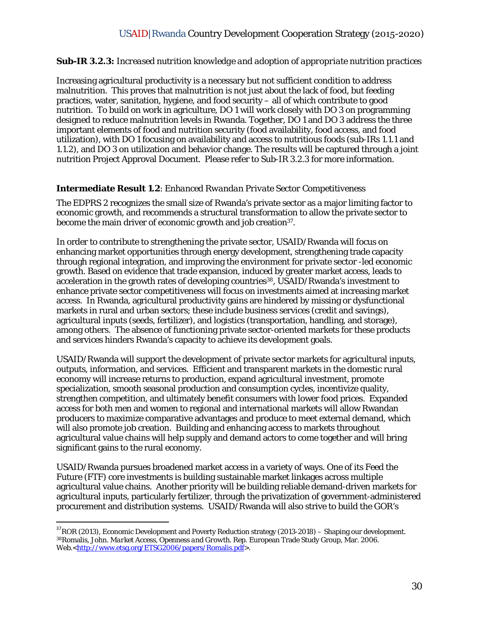#### **Sub-IR 3.2.3:** *Increased nutrition knowledge and adoption of appropriate nutrition practices*

Increasing agricultural productivity is a necessary but not sufficient condition to address malnutrition. This proves that malnutrition is not just about the lack of food, but feeding practices, water, sanitation, hygiene, and food security – all of which contribute to good nutrition. To build on work in agriculture, DO 1 will work closely with DO 3 on programming designed to reduce malnutrition levels in Rwanda. Together, DO 1 and DO 3 address the three important elements of food and nutrition security (food availability, food access, and food utilization), with DO 1 focusing on availability and access to nutritious foods (sub-IRs 1.1.1 and 1.1.2), and DO 3 on utilization and behavior change. The results will be captured through a joint nutrition Project Approval Document. Please refer to Sub-IR 3.2.3 for more information.

#### **Intermediate Result 1.2**: *Enhanced Rwandan Private Sector Competitiveness*

The EDPRS 2 recognizes the small size of Rwanda's private sector as a major limiting factor to economic growth, and recommends a structural transformation to allow the private sector to become the main driver of economic growth and job creation<sup>37</sup>.

In order to contribute to strengthening the private sector, USAID/Rwanda will focus on enhancing market opportunities through energy development, strengthening trade capacity through regional integration, and improving the environment for private sector -led economic growth. Based on evidence that trade expansion, induced by greater market access, leads to acceleration in the growth rates of developing countries<sup>38</sup>, USAID/Rwanda's investment to enhance private sector competitiveness will focus on investments aimed at increasing market access. In Rwanda, agricultural productivity gains are hindered by missing or dysfunctional markets in rural and urban sectors; these include business services (credit and savings), agricultural inputs (seeds, fertilizer), and logistics (transportation, handling, and storage), among others. The absence of functioning private sector-oriented markets for these products and services hinders Rwanda's capacity to achieve its development goals.

USAID/Rwanda will support the development of private sector markets for agricultural inputs, outputs, information, and services. Efficient and transparent markets in the domestic rural economy will increase returns to production, expand agricultural investment, promote specialization, smooth seasonal production and consumption cycles, incentivize quality, strengthen competition, and ultimately benefit consumers with lower food prices. Expanded access for both men and women to regional and international markets will allow Rwandan producers to maximize comparative advantages and produce to meet external demand, which will also promote job creation. Building and enhancing access to markets throughout agricultural value chains will help supply and demand actors to come together and will bring significant gains to the rural economy.

USAID/Rwanda pursues broadened market access in a variety of ways. One of its Feed the Future (FTF) core investments is building sustainable market linkages across multiple agricultural value chains. Another priority will be building reliable demand-driven markets for agricultural inputs, particularly fertilizer, through the privatization of government-administered procurement and distribution systems. USAID/Rwanda will also strive to build the GOR's

<sup>&</sup>lt;sup>37</sup>ROR (2013), Economic Development and Poverty Reduction strategy (2013-2018) – Shaping our development. 38Romalis, John. *Market Access, Openness and Growth*. Rep. European Trade Study Group, Mar. 2006. Web.<http://www.etsg.org/ETSG2006/papers/Romalis.pdf>.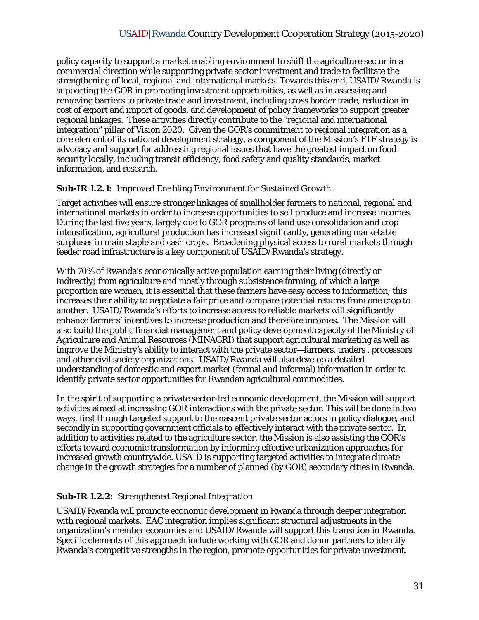policy capacity to support a market enabling environment to shift the agriculture sector in a commercial direction while supporting private sector investment and trade to facilitate the strengthening of local, regional and international markets. Towards this end, USAID/Rwanda is supporting the GOR in promoting investment opportunities, as well as in assessing and removing barriers to private trade and investment, including cross border trade, reduction in cost of export and import of goods, and development of policy frameworks to support greater regional linkages. These activities directly contribute to the "regional and international integration" pillar of Vision 2020. Given the GOR's commitment to regional integration as a core element of its national development strategy, a component of the Mission's FTF strategy is advocacy and support for addressing regional issues that have the greatest impact on food security locally, including transit efficiency, food safety and quality standards, market information, and research.

#### **Sub-IR 1.2.1:** *Improved Enabling Environment for Sustained Growth*

Target activities will ensure stronger linkages of smallholder farmers to national, regional and international markets in order to increase opportunities to sell produce and increase incomes. During the last five years, largely due to GOR programs of land use consolidation and crop intensification, agricultural production has increased significantly, generating marketable surpluses in main staple and cash crops. Broadening physical access to rural markets through feeder road infrastructure is a key component of USAID/Rwanda's strategy.

With 70% of Rwanda's economically active population earning their living (directly or indirectly) from agriculture and mostly through subsistence farming, of which a large proportion are women, it is essential that these farmers have easy access to information; this increases their ability to negotiate a fair price and compare potential returns from one crop to another. USAID/Rwanda's efforts to increase access to reliable markets will significantly enhance farmers' incentives to increase production and therefore incomes. The Mission will also build the public financial management and policy development capacity of the Ministry of Agriculture and Animal Resources (MINAGRI) that support agricultural marketing as well as improve the Ministry's ability to interact with the private sector—farmers, traders , processors and other civil society organizations. USAID/Rwanda will also develop a detailed understanding of domestic and export market (formal and informal) information in order to identify private sector opportunities for Rwandan agricultural commodities.

In the spirit of supporting a private sector-led economic development, the Mission will support activities aimed at increasing GOR interactions with the private sector. This will be done in two ways, first through targeted support to the nascent private sector actors in policy dialogue, and secondly in supporting government officials to effectively interact with the private sector. In addition to activities related to the agriculture sector, the Mission is also assisting the GOR's efforts toward economic transformation by informing effective urbanization approaches for increased growth countrywide. USAID is supporting targeted activities to integrate climate change in the growth strategies for a number of planned (by GOR) secondary cities in Rwanda.

# **Sub-IR 1.2.2:** *Strengthened Regional Integration*

USAID/Rwanda will promote economic development in Rwanda through deeper integration with regional markets. EAC integration implies significant structural adjustments in the organization's member economies and USAID/Rwanda will support this transition in Rwanda. Specific elements of this approach include working with GOR and donor partners to identify Rwanda's competitive strengths in the region, promote opportunities for private investment,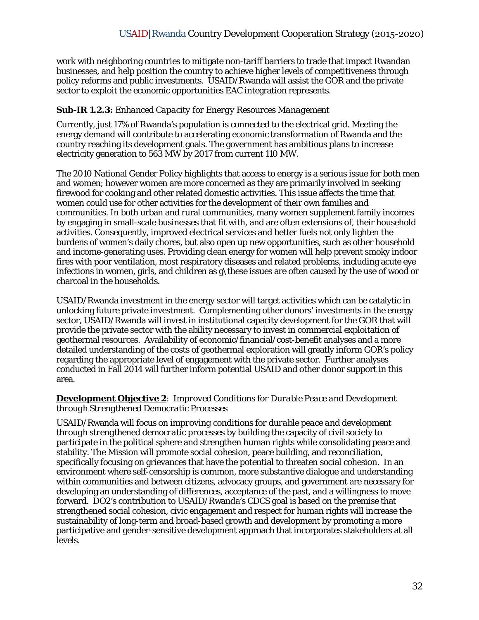work with neighboring countries to mitigate non-tariff barriers to trade that impact Rwandan businesses, and help position the country to achieve higher levels of competitiveness through policy reforms and public investments. USAID/Rwanda will assist the GOR and the private sector to exploit the economic opportunities EAC integration represents.

#### **Sub-IR 1.2.3:** *Enhanced Capacity for Energy Resources Management*

Currently, just 17% of Rwanda's population is connected to the electrical grid. Meeting the energy demand will contribute to accelerating economic transformation of Rwanda and the country reaching its development goals. The government has ambitious plans to increase electricity generation to 563 MW by 2017 from current 110 MW.

The 2010 National Gender Policy highlights that access to energy is a serious issue for both men and women; however women are more concerned as they are primarily involved in seeking firewood for cooking and other related domestic activities. This issue affects the time that women could use for other activities for the development of their own families and communities. In both urban and rural communities, many women supplement family incomes by engaging in small-scale businesses that fit with, and are often extensions of, their household activities. Consequently, improved electrical services and better fuels not only lighten the burdens of women's daily chores, but also open up new opportunities, such as other household and income-generating uses. Providing clean energy for women will help prevent smoky indoor fires with poor ventilation, most respiratory diseases and related problems, including acute eye infections in women, girls, and children as g\these issues are often caused by the use of wood or charcoal in the households.

USAID/Rwanda investment in the energy sector will target activities which can be catalytic in unlocking future private investment. Complementing other donors' investments in the energy sector, USAID/Rwanda will invest in institutional capacity development for the GOR that will provide the private sector with the ability necessary to invest in commercial exploitation of geothermal resources. Availability of economic/financial/cost-benefit analyses and a more detailed understanding of the costs of geothermal exploration will greatly inform GOR's policy regarding the appropriate level of engagement with the private sector. Further analyses conducted in Fall 2014 will further inform potential USAID and other donor support in this area.

#### **Development Objective 2**: *Improved Conditions for Durable Peace and Development through Strengthened Democratic Processes*

USAID/Rwanda will focus on *improving conditions for durable peace and development through strengthened democratic processes* by building the capacity of civil society to participate in the political sphere and strengthen human rights while consolidating peace and stability. The Mission will promote social cohesion, peace building, and reconciliation, specifically focusing on grievances that have the potential to threaten social cohesion. In an environment where self-censorship is common, more substantive dialogue and understanding within communities and between citizens, advocacy groups, and government are necessary for developing an understanding of differences, acceptance of the past, and a willingness to move forward. DO2's contribution to USAID/Rwanda's CDCS goal is based on the premise that strengthened social cohesion, civic engagement and respect for human rights will increase the sustainability of long-term and broad-based growth and development by promoting a more participative and gender-sensitive development approach that incorporates stakeholders at all levels.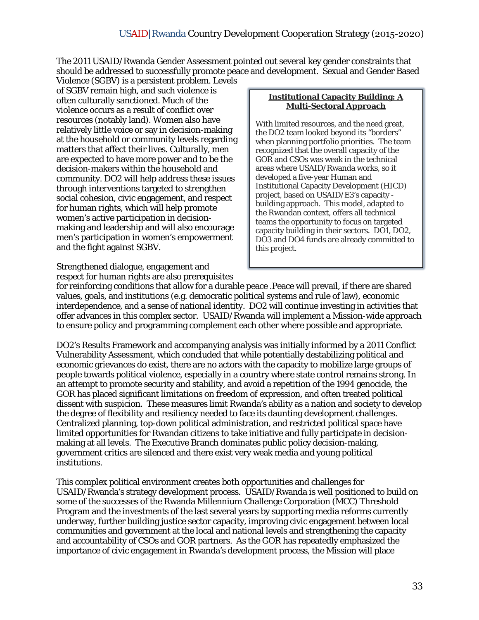The 2011 USAID/Rwanda Gender Assessment pointed out several key gender constraints that should be addressed to successfully promote peace and development. Sexual and Gender Based

Violence (SGBV) is a persistent problem. Levels of SGBV remain high, and such violence is often culturally sanctioned. Much of the violence occurs as a result of conflict over resources (notably land). Women also have relatively little voice or say in decision-making at the household or community levels regarding matters that affect their lives. Culturally, men are expected to have more power and to be the decision-makers within the household and community. DO2 will help address these issues through interventions targeted to strengthen social cohesion, civic engagement, and respect for human rights, which will help promote women's active participation in decisionmaking and leadership and will also encourage men's participation in women's empowerment and the fight against SGBV.

Strengthened dialogue, engagement and respect for human rights are also prerequisites

#### **Institutional Capacity Building: A Multi-Sectoral Approach**

With limited resources, and the need great, the DO2 team looked beyond its "borders" when planning portfolio priorities. The team recognized that the overall capacity of the GOR and CSOs was weak in the technical areas where USAID/Rwanda works, so it developed a five-year Human and Institutional Capacity Development (HICD) project, based on USAID/E3's capacity building approach. This model, adapted to the Rwandan context, offers all technical teams the opportunity to focus on targeted capacity building in their sectors. DO1, DO2, DO3 and DO4 funds are already committed to this project.

for reinforcing conditions that allow for a durable peace .Peace will prevail, if there are shared values, goals, and institutions (e.g. democratic political systems and rule of law), economic interdependence, and a sense of national identity. DO2 will continue investing in activities that offer advances in this complex sector. USAID/Rwanda will implement a Mission-wide approach to ensure policy and programming complement each other where possible and appropriate.

DO2's Results Framework and accompanying analysis was initially informed by a 2011 Conflict Vulnerability Assessment, which concluded that while potentially destabilizing political and economic grievances do exist, there are no actors with the capacity to mobilize large groups of people towards political violence, especially in a country where state control remains strong. In an attempt to promote security and stability, and avoid a repetition of the 1994 genocide, the GOR has placed significant limitations on freedom of expression, and often treated political dissent with suspicion. These measures limit Rwanda's ability as a nation and society to develop the degree of flexibility and resiliency needed to face its daunting development challenges. Centralized planning, top-down political administration, and restricted political space have limited opportunities for Rwandan citizens to take initiative and fully participate in decisionmaking at all levels. The Executive Branch dominates public policy decision-making, government critics are silenced and there exist very weak media and young political institutions.

This complex political environment creates both opportunities and challenges for USAID/Rwanda's strategy development process. USAID/Rwanda is well positioned to build on some of the successes of the Rwanda Millennium Challenge Corporation (MCC) Threshold Program and the investments of the last several years by supporting media reforms currently underway, further building justice sector capacity, improving civic engagement between local communities and government at the local and national levels and strengthening the capacity and accountability of CSOs and GOR partners. As the GOR has repeatedly emphasized the importance of civic engagement in Rwanda's development process, the Mission will place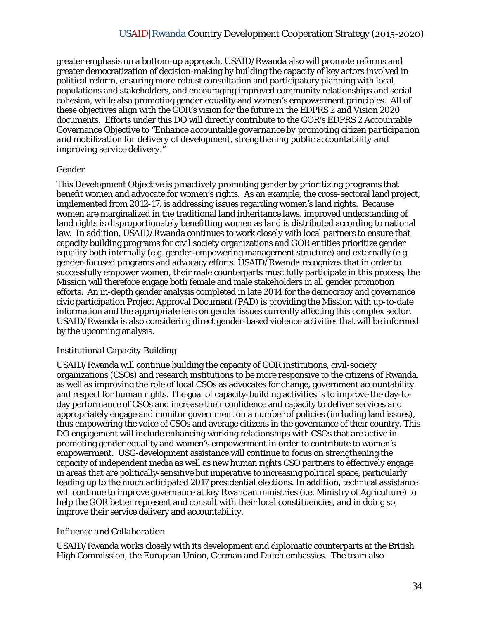greater emphasis on a bottom-up approach. USAID/Rwanda also will promote reforms and greater democratization of decision-making by building the capacity of key actors involved in political reform, ensuring more robust consultation and participatory planning with local populations and stakeholders, and encouraging improved community relationships and social cohesion, while also promoting gender equality and women's empowerment principles. All of these objectives align with the GOR's vision for the future in the EDPRS 2 and Vision 2020 documents. Efforts under this DO will directly contribute to the GOR's EDPRS 2 Accountable Governance Objective to *"Enhance accountable governance by promoting citizen participation and mobilization for delivery of development, strengthening public accountability and improving service delivery."*

#### *Gender*

This Development Objective is proactively promoting gender by prioritizing programs that benefit women and advocate for women's rights. As an example, the cross-sectoral land project, implemented from 2012-17, is addressing issues regarding women's land rights. Because women are marginalized in the traditional land inheritance laws, improved understanding of land rights is disproportionately benefitting women as land is distributed according to national law. In addition, USAID/Rwanda continues to work closely with local partners to ensure that capacity building programs for civil society organizations and GOR entities prioritize gender equality both internally (e.g. gender-empowering management structure) and externally (e.g. gender-focused programs and advocacy efforts. USAID/Rwanda recognizes that in order to successfully empower women, their male counterparts must fully participate in this process; the Mission will therefore engage both female and male stakeholders in all gender promotion efforts. An in-depth gender analysis completed in late 2014 for the democracy and governance civic participation Project Approval Document (PAD) is providing the Mission with up-to-date information and the appropriate lens on gender issues currently affecting this complex sector. USAID/Rwanda is also considering direct gender-based violence activities that will be informed by the upcoming analysis.

#### *Institutional Capacity Building*

USAID/Rwanda will continue building the capacity of GOR institutions, civil-society organizations (CSOs) and research institutions to be more responsive to the citizens of Rwanda, as well as improving the role of local CSOs as advocates for change, government accountability and respect for human rights. The goal of capacity-building activities is to improve the day-today performance of CSOs and increase their confidence and capacity to deliver services and appropriately engage and monitor government on a number of policies (including land issues), thus empowering the voice of CSOs and average citizens in the governance of their country. This DO engagement will include enhancing working relationships with CSOs that are active in promoting gender equality and women's empowerment in order to contribute to women's empowerment. USG-development assistance will continue to focus on strengthening the capacity of independent media as well as new human rights CSO partners to effectively engage in areas that are politically-sensitive but imperative to increasing political space, particularly leading up to the much anticipated 2017 presidential elections. In addition, technical assistance will continue to improve governance at key Rwandan ministries (i.e. Ministry of Agriculture) to help the GOR better represent and consult with their local constituencies, and in doing so, improve their service delivery and accountability.

#### *Influence and Collaboration*

USAID/Rwanda works closely with its development and diplomatic counterparts at the British High Commission, the European Union, German and Dutch embassies. The team also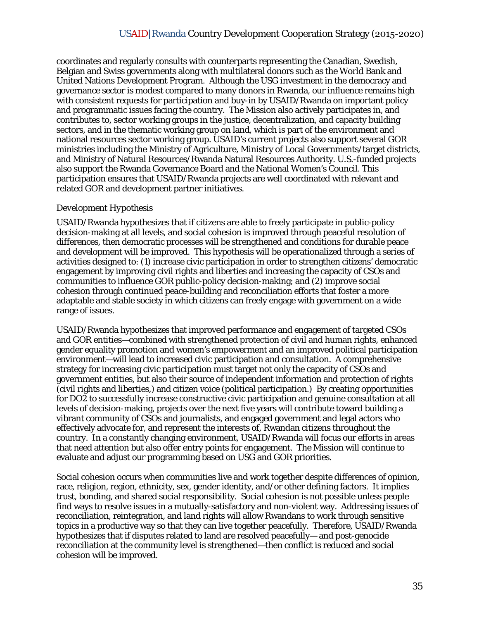coordinates and regularly consults with counterparts representing the Canadian, Swedish, Belgian and Swiss governments along with multilateral donors such as the World Bank and United Nations Development Program. Although the USG investment in the democracy and governance sector is modest compared to many donors in Rwanda, our influence remains high with consistent requests for participation and buy-in by USAID/Rwanda on important policy and programmatic issues facing the country. The Mission also actively participates in, and contributes to, sector working groups in the justice, decentralization, and capacity building sectors, and in the thematic working group on land, which is part of the environment and national resources sector working group. USAID's current projects also support several GOR ministries including the Ministry of Agriculture, Ministry of Local Governments/target districts, and Ministry of Natural Resources/Rwanda Natural Resources Authority. U.S.-funded projects also support the Rwanda Governance Board and the National Women's Council. This participation ensures that USAID/Rwanda projects are well coordinated with relevant and related GOR and development partner initiatives.

#### *Development Hypothesis*

USAID/Rwanda hypothesizes that if citizens are able to freely participate in public-policy decision-making at all levels, and social cohesion is improved through peaceful resolution of differences, then democratic processes will be strengthened and conditions for durable peace and development will be improved. This hypothesis will be operationalized through a series of activities designed to: (1) increase civic participation in order to strengthen citizens' democratic engagement by improving civil rights and liberties and increasing the capacity of CSOs and communities to influence GOR public-policy decision-making; and (2) improve social cohesion through continued peace-building and reconciliation efforts that foster a more adaptable and stable society in which citizens can freely engage with government on a wide range of issues.

USAID/Rwanda hypothesizes that improved performance and engagement of targeted CSOs and GOR entities—combined with strengthened protection of civil and human rights, enhanced gender equality promotion and women's empowerment and an improved political participation environment—will lead to increased civic participation and consultation. A comprehensive strategy for increasing civic participation must target not only the capacity of CSOs and government entities, but also their source of independent information and protection of rights (civil rights and liberties,) and citizen voice (political participation.) By creating opportunities for DO2 to successfully increase constructive civic participation and genuine consultation at all levels of decision-making, projects over the next five years will contribute toward building a vibrant community of CSOs and journalists, and engaged government and legal actors who effectively advocate for, and represent the interests of, Rwandan citizens throughout the country. In a constantly changing environment, USAID/Rwanda will focus our efforts in areas that need attention but also offer entry points for engagement. The Mission will continue to evaluate and adjust our programming based on USG and GOR priorities.

Social cohesion occurs when communities live and work together despite differences of opinion, race, religion, region, ethnicity, sex, gender identity, and/or other defining factors. It implies trust, bonding, and shared social responsibility. Social cohesion is not possible unless people find ways to resolve issues in a mutually-satisfactory and non-violent way. Addressing issues of reconciliation, reintegration, and land rights will allow Rwandans to work through sensitive topics in a productive way so that they can live together peacefully. Therefore, USAID/Rwanda hypothesizes that if disputes related to land are resolved peacefully— and post-genocide reconciliation at the community level is strengthened—then conflict is reduced and social cohesion will be improved.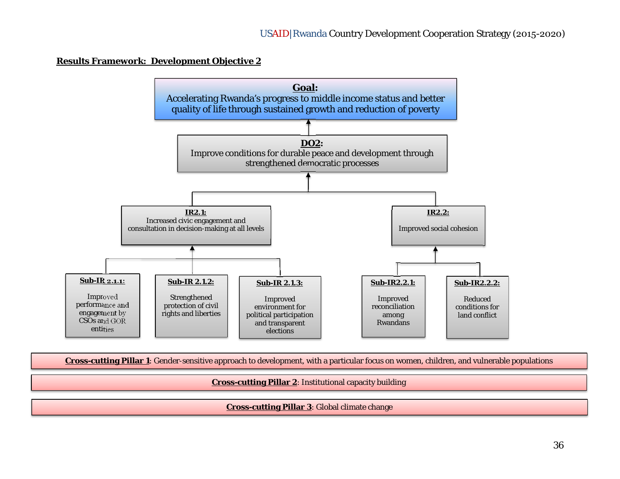#### **Results Framework: Development Objective 2**



**Cross-cutting Pillar 1**: Gender-sensitive approach to development, with a particular focus on women, children, and vulnerable populations

**Cross-cutting Pillar 2**: Institutional capacity building

**Cross-cutting Pillar 3**: Global climate change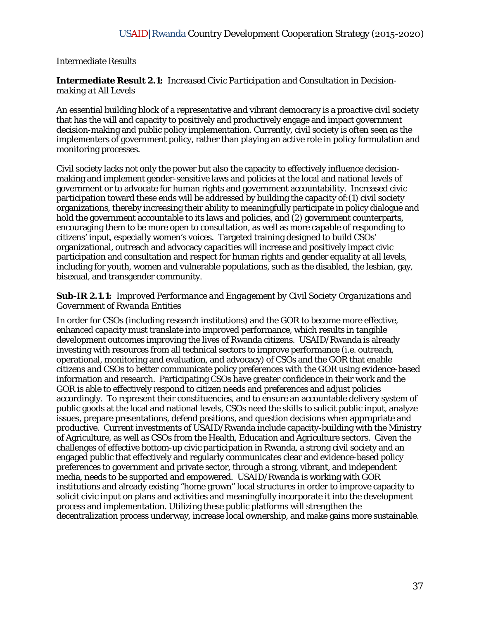## Intermediate Results

**Intermediate Result 2.1:** *Increased Civic Participation and Consultation in Decisionmaking at All Levels*

An essential building block of a representative and vibrant democracy is a proactive civil society that has the will and capacity to positively and productively engage and impact government decision-making and public policy implementation. Currently, civil society is often seen as the implementers of government policy, rather than playing an active role in policy formulation and monitoring processes.

Civil society lacks not only the power but also the capacity to effectively influence decisionmaking and implement gender-sensitive laws and policies at the local and national levels of government or to advocate for human rights and government accountability. Increased civic participation toward these ends will be addressed by building the capacity of:(1) civil society organizations, thereby increasing their ability to meaningfully participate in policy dialogue and hold the government accountable to its laws and policies, and (2) government counterparts, encouraging them to be more open to consultation, as well as more capable of responding to citizens' input, especially women's voices. Targeted training designed to build CSOs' organizational, outreach and advocacy capacities will increase and positively impact civic participation and consultation and respect for human rights and gender equality at all levels, including for youth, women and vulnerable populations, such as the disabled, the lesbian, gay, bisexual, and transgender community.

## **Sub-IR 2.1.1:** *Improved Performance and Engagement by Civil Society Organizations and Government of Rwanda Entities*

In order for CSOs (including research institutions) and the GOR to become more effective, enhanced capacity must translate into improved performance, which results in tangible development outcomes improving the lives of Rwanda citizens. USAID/Rwanda is already investing with resources from all technical sectors to improve performance (i.e. outreach, operational, monitoring and evaluation, and advocacy) of CSOs and the GOR that enable citizens and CSOs to better communicate policy preferences with the GOR using evidence-based information and research. Participating CSOs have greater confidence in their work and the GOR is able to effectively respond to citizen needs and preferences and adjust policies accordingly. To represent their constituencies, and to ensure an accountable delivery system of public goods at the local and national levels, CSOs need the skills to solicit public input, analyze issues, prepare presentations, defend positions, and question decisions when appropriate and productive. Current investments of USAID/Rwanda include capacity-building with the Ministry of Agriculture, as well as CSOs from the Health, Education and Agriculture sectors. Given the challenges of effective bottom-up civic participation in Rwanda, a strong civil society and an engaged public that effectively and regularly communicates clear and evidence-based policy preferences to government and private sector, through a strong, vibrant, and independent media, needs to be supported and empowered. USAID/Rwanda is working with GOR institutions and already existing "home grown" local structures in order to improve capacity to solicit civic input on plans and activities and meaningfully incorporate it into the development process and implementation. Utilizing these public platforms will strengthen the decentralization process underway, increase local ownership, and make gains more sustainable.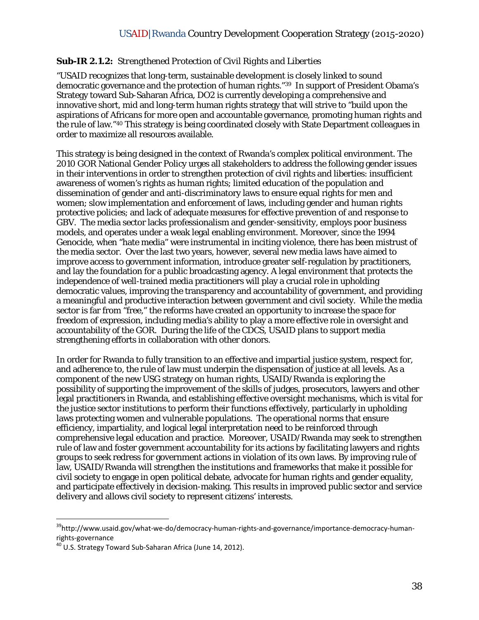## **Sub-IR 2.1.2:** *Strengthened Protection of Civil Rights and Liberties*

"USAID recognizes that long-term, sustainable development is closely linked to sound democratic governance and the protection of human rights."39 In support of President Obama's Strategy toward Sub-Saharan Africa, DO2 is currently developing a comprehensive and innovative short, mid and long-term human rights strategy that will strive to "build upon the aspirations of Africans for more open and accountable governance, promoting human rights and the rule of law."40 This strategy is being coordinated closely with State Department colleagues in order to maximize all resources available.

This strategy is being designed in the context of Rwanda's complex political environment. The 2010 GOR National Gender Policy urges all stakeholders to address the following gender issues in their interventions in order to strengthen protection of civil rights and liberties: insufficient awareness of women's rights as human rights; limited education of the population and dissemination of gender and anti-discriminatory laws to ensure equal rights for men and women; slow implementation and enforcement of laws, including gender and human rights protective policies; and lack of adequate measures for effective prevention of and response to GBV. The media sector lacks professionalism and gender-sensitivity, employs poor business models, and operates under a weak legal enabling environment. Moreover, since the 1994 Genocide, when "hate media" were instrumental in inciting violence, there has been mistrust of the media sector. Over the last two years, however, several new media laws have aimed to improve access to government information, introduce greater self-regulation by practitioners, and lay the foundation for a public broadcasting agency. A legal environment that protects the independence of well-trained media practitioners will play a crucial role in upholding democratic values, improving the transparency and accountability of government, and providing a meaningful and productive interaction between government and civil society. While the media sector is far from "free," the reforms have created an opportunity to increase the space for freedom of expression, including media's ability to play a more effective role in oversight and accountability of the GOR. During the life of the CDCS, USAID plans to support media strengthening efforts in collaboration with other donors.

In order for Rwanda to fully transition to an effective and impartial justice system, respect for, and adherence to, the rule of law must underpin the dispensation of justice at all levels. As a component of the new USG strategy on human rights, USAID/Rwanda is exploring the possibility of supporting the improvement of the skills of judges, prosecutors, lawyers and other legal practitioners in Rwanda, and establishing effective oversight mechanisms, which is vital for the justice sector institutions to perform their functions effectively, particularly in upholding laws protecting women and vulnerable populations. The operational norms that ensure efficiency, impartiality, and logical legal interpretation need to be reinforced through comprehensive legal education and practice. Moreover, USAID/Rwanda may seek to strengthen rule of law and foster government accountability for its actions by facilitating lawyers and rights groups to seek redress for government actions in violation of its own laws. By improving rule of law, USAID/Rwanda will strengthen the institutions and frameworks that make it possible for civil society to engage in open political debate, advocate for human rights and gender equality, and participate effectively in decision-making. This results in improved public sector and service delivery and allows civil society to represent citizens' interests.

<sup>&</sup>lt;sup>39</sup>http://www.usaid.gov/what‐we‐do/democracy‐human‐rights‐and‐governance/importance‐democracy‐human‐ rights-governance<br><sup>40</sup> U.S. Strategy Toward Sub-Saharan Africa (June 14, 2012).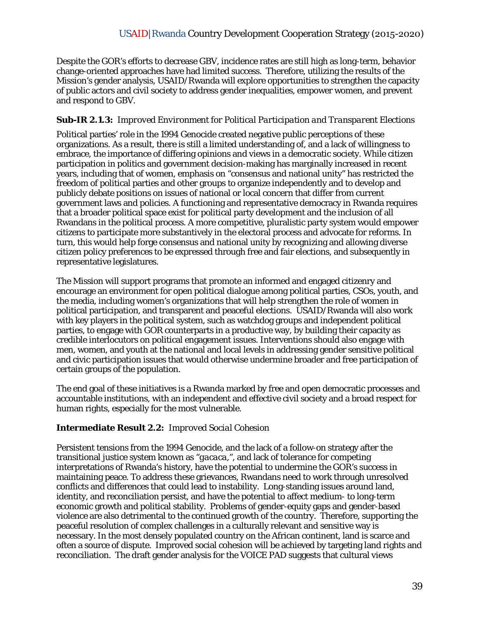Despite the GOR's efforts to decrease GBV, incidence rates are still high as long-term, behavior change-oriented approaches have had limited success. Therefore, utilizing the results of the Mission's gender analysis, USAID/Rwanda will explore opportunities to strengthen the capacity of public actors and civil society to address gender inequalities, empower women, and prevent and respond to GBV.

## **Sub-IR 2.1.3:** *Improved Environment for Political Participation and Transparent Elections*

Political parties' role in the 1994 Genocide created negative public perceptions of these organizations. As a result, there is still a limited understanding of, and a lack of willingness to embrace, the importance of differing opinions and views in a democratic society. While citizen participation in politics and government decision-making has marginally increased in recent years, including that of women, emphasis on "consensus and national unity" has restricted the freedom of political parties and other groups to organize independently and to develop and publicly debate positions on issues of national or local concern that differ from current government laws and policies. A functioning and representative democracy in Rwanda requires that a broader political space exist for political party development and the inclusion of all Rwandans in the political process. A more competitive, pluralistic party system would empower citizens to participate more substantively in the electoral process and advocate for reforms. In turn, this would help forge consensus and national unity by recognizing and allowing diverse citizen policy preferences to be expressed through free and fair elections, and subsequently in representative legislatures.

The Mission will support programs that promote an informed and engaged citizenry and encourage an environment for open political dialogue among political parties, CSOs, youth, and the media, including women's organizations that will help strengthen the role of women in political participation, and transparent and peaceful elections. USAID/Rwanda will also work with key players in the political system, such as watchdog groups and independent political parties, to engage with GOR counterparts in a productive way, by building their capacity as credible interlocutors on political engagement issues. Interventions should also engage with men, women, and youth at the national and local levels in addressing gender sensitive political and civic participation issues that would otherwise undermine broader and free participation of certain groups of the population.

The end goal of these initiatives is a Rwanda marked by free and open democratic processes and accountable institutions, with an independent and effective civil society and a broad respect for human rights, especially for the most vulnerable.

## **Intermediate Result 2.2:** *Improved Social Cohesion*

Persistent tensions from the 1994 Genocide, and the lack of a follow-on strategy after the transitional justice system known as "*gacaca,"*, and lack of tolerance for competing interpretations of Rwanda's history, have the potential to undermine the GOR's success in maintaining peace. To address these grievances, Rwandans need to work through unresolved conflicts and differences that could lead to instability. Long-standing issues around land, identity, and reconciliation persist, and have the potential to affect medium- to long-term economic growth and political stability. Problems of gender-equity gaps and gender-based violence are also detrimental to the continued growth of the country. Therefore, supporting the peaceful resolution of complex challenges in a culturally relevant and sensitive way is necessary. In the most densely populated country on the African continent, land is scarce and often a source of dispute. Improved social cohesion will be achieved by targeting land rights and reconciliation. The draft gender analysis for the VOICE PAD suggests that cultural views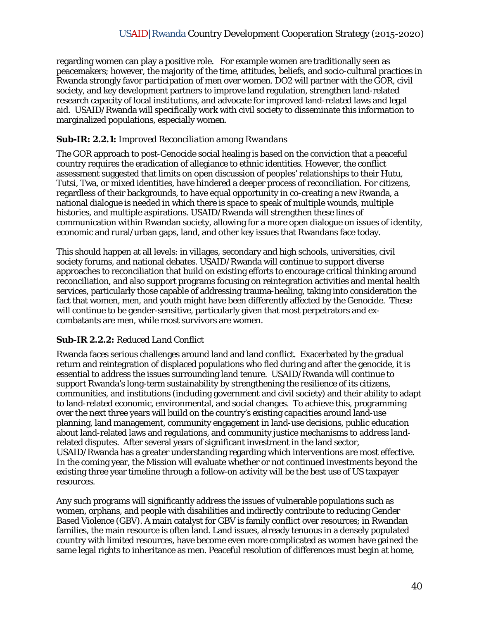regarding women can play a positive role. For example women are traditionally seen as peacemakers; however, the majority of the time, attitudes, beliefs, and socio-cultural practices in Rwanda strongly favor participation of men over women. DO2 will partner with the GOR, civil society, and key development partners to improve land regulation, strengthen land-related research capacity of local institutions, and advocate for improved land-related laws and legal aid. USAID/Rwanda will specifically work with civil society to disseminate this information to marginalized populations, especially women.

## **Sub-IR: 2.2.1:** *Improved Reconciliation among Rwandans*

The GOR approach to post-Genocide social healing is based on the conviction that a peaceful country requires the eradication of allegiance to ethnic identities. However, the conflict assessment suggested that limits on open discussion of peoples' relationships to their Hutu, Tutsi, Twa, or mixed identities, have hindered a deeper process of reconciliation. For citizens, regardless of their backgrounds, to have equal opportunity in co-creating a new Rwanda, a national dialogue is needed in which there is space to speak of multiple wounds, multiple histories, and multiple aspirations. USAID/Rwanda will strengthen these lines of communication within Rwandan society, allowing for a more open dialogue on issues of identity, economic and rural/urban gaps, land, and other key issues that Rwandans face today.

This should happen at all levels: in villages, secondary and high schools, universities, civil society forums, and national debates. USAID/Rwanda will continue to support diverse approaches to reconciliation that build on existing efforts to encourage critical thinking around reconciliation, and also support programs focusing on reintegration activities and mental health services, particularly those capable of addressing trauma-healing, taking into consideration the fact that women, men, and youth might have been differently affected by the Genocide. These will continue to be gender-sensitive, particularly given that most perpetrators and excombatants are men, while most survivors are women.

## **Sub-IR 2.2.2:** *Reduced Land Conflict*

Rwanda faces serious challenges around land and land conflict. Exacerbated by the gradual return and reintegration of displaced populations who fled during and after the genocide, it is essential to address the issues surrounding land tenure. USAID/Rwanda will continue to support Rwanda's long-term sustainability by strengthening the resilience of its citizens, communities, and institutions (including government and civil society) and their ability to adapt to land-related economic, environmental, and social changes. To achieve this, programming over the next three years will build on the country's existing capacities around land-use planning, land management, community engagement in land-use decisions, public education about land-related laws and regulations, and community justice mechanisms to address landrelated disputes. After several years of significant investment in the land sector, USAID/Rwanda has a greater understanding regarding which interventions are most effective. In the coming year, the Mission will evaluate whether or not continued investments beyond the existing three year timeline through a follow-on activity will be the best use of US taxpayer resources.

Any such programs will significantly address the issues of vulnerable populations such as women, orphans, and people with disabilities and indirectly contribute to reducing Gender Based Violence (GBV). A main catalyst for GBV is family conflict over resources; in Rwandan families, the main resource is often land. Land issues, already tenuous in a densely populated country with limited resources, have become even more complicated as women have gained the same legal rights to inheritance as men. Peaceful resolution of differences must begin at home,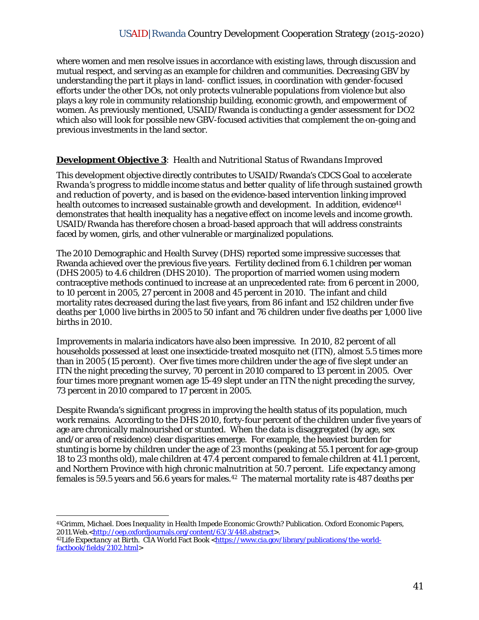where women and men resolve issues in accordance with existing laws, through discussion and mutual respect, and serving as an example for children and communities. Decreasing GBV by understanding the part it plays in land- conflict issues, in coordination with gender-focused efforts under the other DOs, not only protects vulnerable populations from violence but also plays a key role in community relationship building, economic growth, and empowerment of women. As previously mentioned, USAID/Rwanda is conducting a gender assessment for DO2 which also will look for possible new GBV-focused activities that complement the on-going and previous investments in the land sector.

## **Development Objective 3**: *Health and Nutritional Status of Rwandans Improved*

This development objective directly contributes to USAID/Rwanda's CDCS Goal to *accelerate Rwanda's progress to middle income status and better quality of life through sustained growth and reduction of poverty,* and is based on the evidence-based intervention linking improved health outcomes to increased sustainable growth and development. In addition, evidence<sup>41</sup> demonstrates that health inequality has a negative effect on income levels and income growth. USAID/Rwanda has therefore chosen a broad-based approach that will address constraints faced by women, girls, and other vulnerable or marginalized populations.

The 2010 Demographic and Health Survey (DHS) reported some impressive successes that Rwanda achieved over the previous five years. Fertility declined from 6.1 children per woman (DHS 2005) to 4.6 children (DHS 2010). The proportion of married women using modern contraceptive methods continued to increase at an unprecedented rate: from 6 percent in 2000, to 10 percent in 2005, 27 percent in 2008 and 45 percent in 2010. The infant and child mortality rates decreased during the last five years, from 86 infant and 152 children under five deaths per 1,000 live births in 2005 to 50 infant and 76 children under five deaths per 1,000 live births in 2010.

Improvements in malaria indicators have also been impressive. In 2010, 82 percent of all households possessed at least one insecticide-treated mosquito net (ITN), almost 5.5 times more than in 2005 (15 percent). Over five times more children under the age of five slept under an ITN the night preceding the survey, 70 percent in 2010 compared to 13 percent in 2005. Over four times more pregnant women age 15-49 slept under an ITN the night preceding the survey, 73 percent in 2010 compared to 17 percent in 2005.

Despite Rwanda's significant progress in improving the health status of its population, much work remains. According to the DHS 2010, forty-four percent of the children under five years of age are chronically malnourished or stunted. When the data is disaggregated (by age, sex and/or area of residence) clear disparities emerge. For example, the heaviest burden for stunting is borne by children under the age of 23 months (peaking at 55.1 percent for age-group 18 to 23 months old), male children at 47.4 percent compared to female children at 41.1 percent, and Northern Province with high chronic malnutrition at 50.7 percent. Life expectancy among females is 59.5 years and 56.6 years for males.42 The maternal mortality rate is 487 deaths per

<sup>41</sup>Grimm, Michael. *Does Inequality in Health Impede Economic Growth?* Publication. Oxford Economic Papers, 2011. Web.<http://oep.oxfordjournals.org/content/63/3/448.abstract>.

<sup>&</sup>lt;sup>42</sup>Life Expectancy at Birth. CIA World Fact Book <https://www.cia.gov/library/publications/the-worldfactbook/fields/2102.html>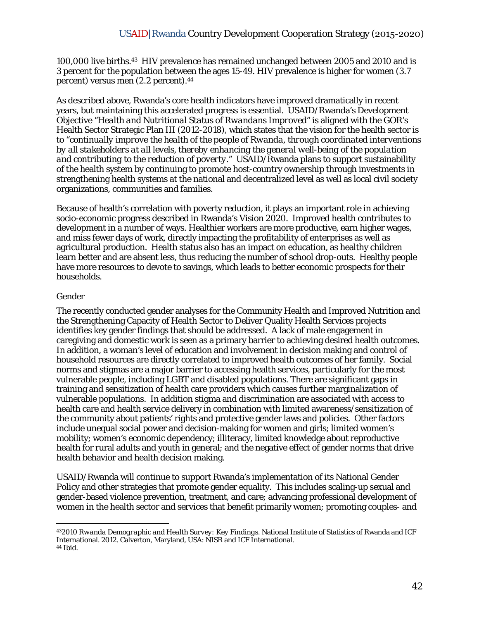100,000 live births.43 HIV prevalence has remained unchanged between 2005 and 2010 and is 3 percent for the population between the ages 15-49. HIV prevalence is higher for women (3.7 percent) versus men (2.2 percent).44

As described above, Rwanda's core health indicators have improved dramatically in recent years, but maintaining this accelerated progress is essential. USAID/Rwanda's Development Objective "*Health and Nutritional Status of Rwandans Improved"* is aligned with the GOR's Health Sector Strategic Plan III (2012-2018), which states that the vision for the health sector is to "*continually improve the health of the people of Rwanda, through coordinated interventions by all stakeholders at all levels, thereby enhancing the general well-being of the population and contributing to the reduction of poverty*." USAID/Rwanda plans to support sustainability of the health system by continuing to promote host-country ownership through investments in strengthening health systems at the national and decentralized level as well as local civil society organizations, communities and families.

Because of health's correlation with poverty reduction, it plays an important role in achieving socio-economic progress described in Rwanda's Vision 2020. Improved health contributes to development in a number of ways. Healthier workers are more productive, earn higher wages, and miss fewer days of work, directly impacting the profitability of enterprises as well as agricultural production. Health status also has an impact on education, as healthy children learn better and are absent less, thus reducing the number of school drop-outs. Healthy people have more resources to devote to savings, which leads to better economic prospects for their households.

## *Gender*

The recently conducted gender analyses for the Community Health and Improved Nutrition and the Strengthening Capacity of Health Sector to Deliver Quality Health Services projects identifies key gender findings that should be addressed. A lack of male engagement in caregiving and domestic work is seen as a primary barrier to achieving desired health outcomes. In addition, a woman's level of education and involvement in decision making and control of household resources are directly correlated to improved health outcomes of her family. Social norms and stigmas are a major barrier to accessing health services, particularly for the most vulnerable people, including LGBT and disabled populations. There are significant gaps in training and sensitization of health care providers which causes further marginalization of vulnerable populations. In addition stigma and discrimination are associated with access to health care and health service delivery in combination with limited awareness/sensitization of the community about patients' rights and protective gender laws and policies. Other factors include unequal social power and decision-making for women and girls; limited women's mobility; women's economic dependency; illiteracy, limited knowledge about reproductive health for rural adults and youth in general; and the negative effect of gender norms that drive health behavior and health decision making.

USAID/Rwanda will continue to support Rwanda's implementation of its National Gender Policy and other strategies that promote gender equality. This includes scaling-up sexual and gender-based violence prevention, treatment, and care; advancing professional development of women in the health sector and services that benefit primarily women; promoting couples- and

<sup>43</sup>*2010 Rwanda Demographic and Health Survey: Key Findings*. National Institute of Statistics of Rwanda and ICF International. 2012. Calverton, Maryland, USA: NISR and ICF International. 44 Ibid.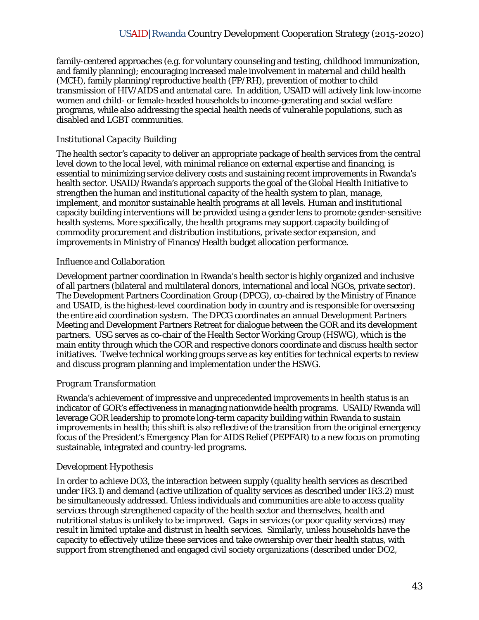family-centered approaches (e.g. for voluntary counseling and testing, childhood immunization, and family planning); encouraging increased male involvement in maternal and child health (MCH), family planning/reproductive health (FP/RH), prevention of mother to child transmission of HIV/AIDS and antenatal care. In addition, USAID will actively link low-income women and child- or female-headed households to income-generating and social welfare programs, while also addressing the special health needs of vulnerable populations, such as disabled and LGBT communities.

## *Institutional Capacity Building*

The health sector's capacity to deliver an appropriate package of health services from the central level down to the local level, with minimal reliance on external expertise and financing, is essential to minimizing service delivery costs and sustaining recent improvements in Rwanda's health sector. USAID/Rwanda's approach supports the goal of the Global Health Initiative to strengthen the human and institutional capacity of the health system to plan, manage, implement, and monitor sustainable health programs at all levels. Human and institutional capacity building interventions will be provided using a gender lens to promote gender-sensitive health systems. More specifically, the health programs may support capacity building of commodity procurement and distribution institutions, private sector expansion, and improvements in Ministry of Finance/Health budget allocation performance.

## *Influence and Collaboration*

Development partner coordination in Rwanda's health sector is highly organized and inclusive of all partners (bilateral and multilateral donors, international and local NGOs, private sector). The Development Partners Coordination Group (DPCG), co-chaired by the Ministry of Finance and USAID, is the highest-level coordination body in country and is responsible for overseeing the entire aid coordination system. The DPCG coordinates an annual Development Partners Meeting and Development Partners Retreat for dialogue between the GOR and its development partners. USG serves as co-chair of the Health Sector Working Group (HSWG), which is the main entity through which the GOR and respective donors coordinate and discuss health sector initiatives. Twelve technical working groups serve as key entities for technical experts to review and discuss program planning and implementation under the HSWG.

## *Program Transformation*

Rwanda's achievement of impressive and unprecedented improvements in health status is an indicator of GOR's effectiveness in managing nationwide health programs. USAID/Rwanda will leverage GOR leadership to promote long-term capacity building within Rwanda to sustain improvements in health; this shift is also reflective of the transition from the original emergency focus of the President's Emergency Plan for AIDS Relief (PEPFAR) to a new focus on promoting sustainable, integrated and country-led programs.

## *Development Hypothesis*

In order to achieve DO3, the interaction between supply (quality health services as described under IR3.1) and demand (active utilization of quality services as described under IR3.2) must be simultaneously addressed. Unless individuals and communities are able to access quality services through strengthened capacity of the health sector and themselves, health and nutritional status is unlikely to be improved. Gaps in services (or poor quality services) may result in limited uptake and distrust in health services. Similarly, unless households have the capacity to effectively utilize these services and take ownership over their health status, with support from strengthened and engaged civil society organizations (described under DO2,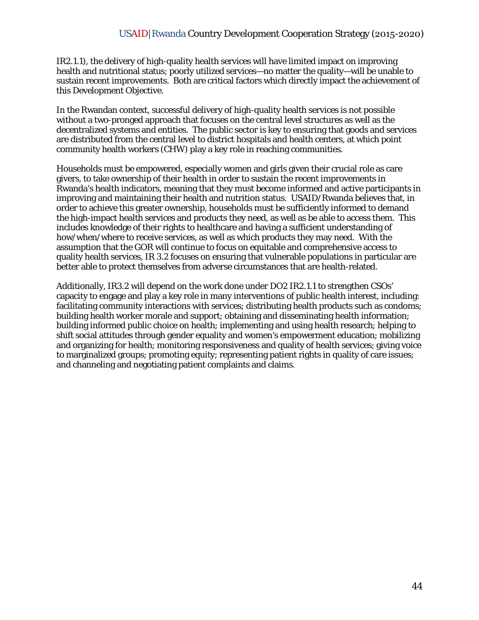IR2.1.1), the delivery of high-quality health services will have limited impact on improving health and nutritional status; poorly utilized services—no matter the quality—will be unable to sustain recent improvements. Both are critical factors which directly impact the achievement of this Development Objective.

In the Rwandan context, successful delivery of high-quality health services is not possible without a two-pronged approach that focuses on the central level structures as well as the decentralized systems and entities. The public sector is key to ensuring that goods and services are distributed from the central level to district hospitals and health centers, at which point community health workers (CHW) play a key role in reaching communities.

Households must be empowered, especially women and girls given their crucial role as care givers, to take ownership of their health in order to sustain the recent improvements in Rwanda's health indicators, meaning that they must become informed and active participants in improving and maintaining their health and nutrition status. USAID/Rwanda believes that, in order to achieve this greater ownership, households must be sufficiently informed to demand the high-impact health services and products they need, as well as be able to access them. This includes knowledge of their rights to healthcare and having a sufficient understanding of how/when/where to receive services, as well as which products they may need. With the assumption that the GOR will continue to focus on equitable and comprehensive access to quality health services, IR 3.2 focuses on ensuring that vulnerable populations in particular are better able to protect themselves from adverse circumstances that are health-related.

Additionally, IR3.2 will depend on the work done under DO2 IR2.1.1 to strengthen CSOs' capacity to engage and play a key role in many interventions of public health interest, including: facilitating community interactions with services; distributing health products such as condoms; building health worker morale and support; obtaining and disseminating health information; building informed public choice on health; implementing and using health research; helping to shift social attitudes through gender equality and women's empowerment education; mobilizing and organizing for health; monitoring responsiveness and quality of health services; giving voice to marginalized groups; promoting equity; representing patient rights in quality of care issues; and channeling and negotiating patient complaints and claims.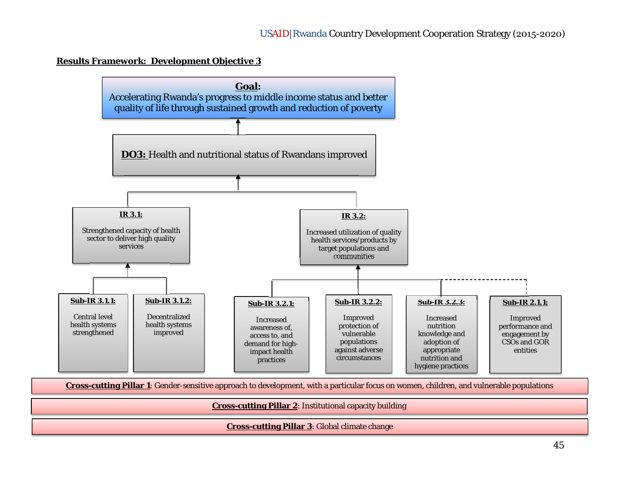#### **Results Framework: Development Objective 3**



**Cross-cutting Pillar 1**: Gender-sensitive approach to development, with a particular focus on women, children, and vulnerable populations

**Cross-cutting Pillar 2**: Institutional capacity building

**Cross-cutting Pillar 3**: Global climate change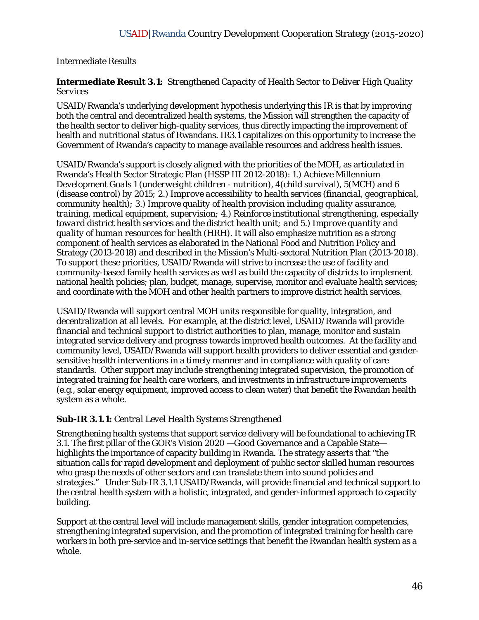## Intermediate Results

## **Intermediate Result 3.1:** *Strengthened Capacity of Health Sector to Deliver High Quality Services*

USAID/Rwanda's underlying development hypothesis underlying this IR is that by improving both the central and decentralized health systems, the Mission will strengthen the capacity of the health sector to deliver high-quality services, thus directly impacting the improvement of health and nutritional status of Rwandans. IR3.1 capitalizes on this opportunity to increase the Government of Rwanda's capacity to manage available resources and address health issues*.*

USAID/Rwanda's support is closely aligned with the priorities of the MOH, as articulated in Rwanda's Health Sector Strategic Plan (HSSP III 2012-2018): 1.) *Achieve Millennium Development Goals 1 (underweight children - nutrition), 4(child survival), 5(MCH) and 6 (disease control) by 2015;* 2.) *Improve accessibility to health services (financial, geographical, community health);* 3.) *Improve quality of health provision including quality assurance, training, medical equipment, supervision;* 4.) *Reinforce institutional strengthening, especially toward district health services and the district health unit; and* 5.) *Improve quantity and quality of human resources for health (HRH).* It will also emphasize nutrition as a strong component of health services as elaborated in the National Food and Nutrition Policy and Strategy (2013-2018) and described in the Mission's Multi-sectoral Nutrition Plan (2013-2018). To support these priorities, USAID/Rwanda will strive to increase the use of facility and community-based family health services as well as build the capacity of districts to implement national health policies; plan, budget, manage, supervise, monitor and evaluate health services; and coordinate with the MOH and other health partners to improve district health services.

USAID/Rwanda will support central MOH units responsible for quality, integration, and decentralization at all levels. For example, at the district level, USAID/Rwanda will provide financial and technical support to district authorities to plan, manage, monitor and sustain integrated service delivery and progress towards improved health outcomes. At the facility and community level, USAID/Rwanda will support health providers to deliver essential and gendersensitive health interventions in a timely manner and in compliance with quality of care standards. Other support may include strengthening integrated supervision, the promotion of integrated training for health care workers, and investments in infrastructure improvements (e.g., solar energy equipment, improved access to clean water) that benefit the Rwandan health system as a whole.

## **Sub-IR 3.1.1:** *Central Level Health Systems Strengthened*

Strengthening health systems that support service delivery will be foundational to achieving IR 3.1. The first pillar of the GOR's Vision 2020 —Good Governance and a Capable State highlights the importance of capacity building in Rwanda. The strategy asserts that "the situation calls for rapid development and deployment of public sector skilled human resources who grasp the needs of other sectors and can translate them into sound policies and strategies." Under Sub-IR 3.1.1 USAID/Rwanda, will provide financial and technical support to the central health system with a holistic, integrated, and gender-informed approach to capacity building.

Support at the central level will include management skills, gender integration competencies, strengthening integrated supervision, and the promotion of integrated training for health care workers in both pre-service and in-service settings that benefit the Rwandan health system as a whole.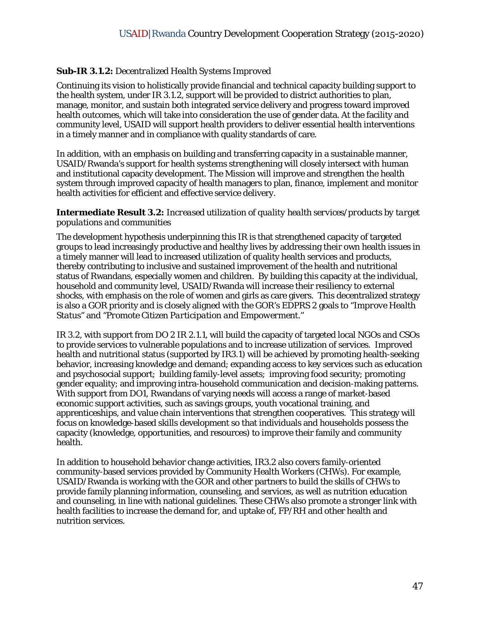## **Sub-IR 3.1.2:** *Decentralized Health Systems Improved*

Continuing its vision to holistically provide financial and technical capacity building support to the health system, under IR 3.1.2, support will be provided to district authorities to plan, manage, monitor, and sustain both integrated service delivery and progress toward improved health outcomes, which will take into consideration the use of gender data. At the facility and community level, USAID will support health providers to deliver essential health interventions in a timely manner and in compliance with quality standards of care.

In addition, with an emphasis on building and transferring capacity in a sustainable manner, USAID/Rwanda's support for health systems strengthening will closely intersect with human and institutional capacity development. The Mission will improve and strengthen the health system through improved capacity of health managers to plan, finance, implement and monitor health activities for efficient and effective service delivery.

### **Intermediate Result 3.2:** *Increased utilization of quality health services/products by target populations and communities*

The development hypothesis underpinning this IR is that strengthened capacity of targeted groups to lead increasingly productive and healthy lives by addressing their own health issues in a timely manner will lead to increased utilization of quality health services and products, thereby contributing to inclusive and sustained improvement of the health and nutritional status of Rwandans, especially women and children. By building this capacity at the individual, household and community level, USAID/Rwanda will increase their resiliency to external shocks, with emphasis on the role of women and girls as care givers. This decentralized strategy is also a GOR priority and is closely aligned with the GOR's EDPRS 2 goals to "*Improve Health Status*" and "*Promote Citizen Participation and Empowerment*."

IR 3.2, with support from DO 2 IR 2.1.1, will build the capacity of targeted local NGOs and CSOs to provide services to vulnerable populations and to increase utilization of services. Improved health and nutritional status (supported by IR3.1) will be achieved by promoting health-seeking behavior, increasing knowledge and demand; expanding access to key services such as education and psychosocial support; building family-level assets; improving food security; promoting gender equality; and improving intra-household communication and decision-making patterns. With support from DO1, Rwandans of varying needs will access a range of market-based economic support activities, such as savings groups, youth vocational training, and apprenticeships, and value chain interventions that strengthen cooperatives. This strategy will focus on knowledge-based skills development so that individuals and households possess the capacity (knowledge, opportunities, and resources) to improve their family and community health.

In addition to household behavior change activities, IR3.2 also covers family-oriented community-based services provided by Community Health Workers (CHWs). For example, USAID/Rwanda is working with the GOR and other partners to build the skills of CHWs to provide family planning information, counseling, and services, as well as nutrition education and counseling, in line with national guidelines. These CHWs also promote a stronger link with health facilities to increase the demand for, and uptake of, FP/RH and other health and nutrition services.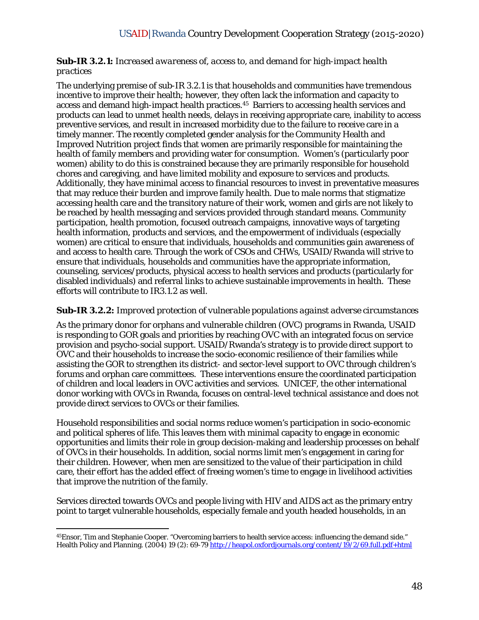## **Sub-IR 3.2.1:** *Increased awareness of, access to, and demand for high-impact health practices*

The underlying premise of sub-IR 3.2.1 is that households and communities have tremendous incentive to improve their health; however, they often lack the information and capacity to access and demand high-impact health practices.45 Barriers to accessing health services and products can lead to unmet health needs, delays in receiving appropriate care, inability to access preventive services, and result in increased morbidity due to the failure to receive care in a timely manner. The recently completed gender analysis for the Community Health and Improved Nutrition project finds that women are primarily responsible for maintaining the health of family members and providing water for consumption. Women's (particularly poor women) ability to do this is constrained because they are primarily responsible for household chores and caregiving, and have limited mobility and exposure to services and products. Additionally, they have minimal access to financial resources to invest in preventative measures that may reduce their burden and improve family health. Due to male norms that stigmatize accessing health care and the transitory nature of their work, women and girls are not likely to be reached by health messaging and services provided through standard means. Community participation, health promotion, focused outreach campaigns, innovative ways of targeting health information, products and services, and the empowerment of individuals (especially women) are critical to ensure that individuals, households and communities gain awareness of and access to health care. Through the work of CSOs and CHWs, USAID/Rwanda will strive to ensure that individuals, households and communities have the appropriate information, counseling, services/products, physical access to health services and products (particularly for disabled individuals) and referral links to achieve sustainable improvements in health. These efforts will contribute to IR3.1.2 as well.

## **Sub-IR 3.2.2:** *Improved protection of vulnerable populations against adverse circumstances*

As the primary donor for orphans and vulnerable children (OVC) programs in Rwanda, USAID is responding to GOR goals and priorities by reaching OVC with an integrated focus on service provision and psycho-social support. USAID/Rwanda's strategy is to provide direct support to OVC and their households to increase the socio-economic resilience of their families while assisting the GOR to strengthen its district- and sector-level support to OVC through children's forums and orphan care committees. These interventions ensure the coordinated participation of children and local leaders in OVC activities and services. UNICEF, the other international donor working with OVCs in Rwanda, focuses on central-level technical assistance and does not provide direct services to OVCs or their families.

Household responsibilities and social norms reduce women's participation in socio-economic and political spheres of life. This leaves them with minimal capacity to engage in economic opportunities and limits their role in group decision-making and leadership processes on behalf of OVCs in their households. In addition, social norms limit men's engagement in caring for their children. However, when men are sensitized to the value of their participation in child care, their effort has the added effect of freeing women's time to engage in livelihood activities that improve the nutrition of the family.

Services directed towards OVCs and people living with HIV and AIDS act as the primary entry point to target vulnerable households, especially female and youth headed households, in an

<sup>45</sup>Ensor, Tim and Stephanie Cooper. "Overcoming barriers to health service access: influencing the demand side." Health Policy and Planning. (2004) 19 (2): 69-79 http://heapol.oxfordjournals.org/content/19/2/69.full.pdf+html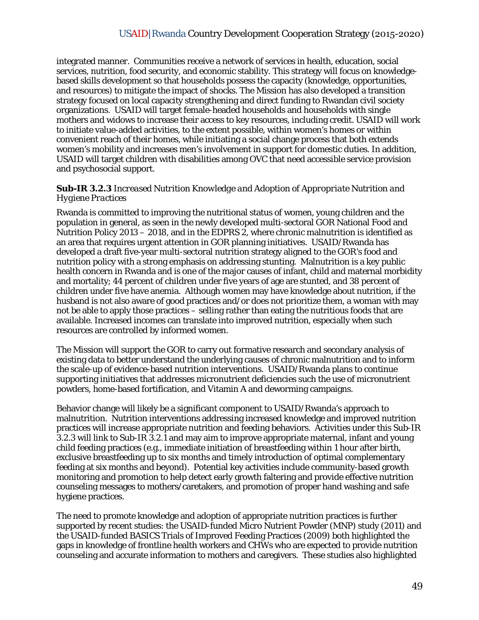integrated manner. Communities receive a network of services in health, education, social services, nutrition, food security, and economic stability. This strategy will focus on knowledgebased skills development so that households possess the capacity (knowledge, opportunities, and resources) to mitigate the impact of shocks. The Mission has also developed a transition strategy focused on local capacity strengthening and direct funding to Rwandan civil society organizations. USAID will target female-headed households and households with single mothers and widows to increase their access to key resources, including credit. USAID will work to initiate value-added activities, to the extent possible, within women's homes or within convenient reach of their homes, while initiating a social change process that both extends women's mobility and increases men's involvement in support for domestic duties. In addition, USAID will target children with disabilities among OVC that need accessible service provision and psychosocial support.

## *Sub-IR 3.2.3 Increased Nutrition Knowledge and Adoption of Appropriate Nutrition and Hygiene Practices*

Rwanda is committed to improving the nutritional status of women, young children and the population in general, as seen in the newly developed multi-sectoral GOR National Food and Nutrition Policy 2013 – 2018, and in the EDPRS 2, where chronic malnutrition is identified as an area that requires urgent attention in GOR planning initiatives. USAID/Rwanda has developed a draft five-year multi-sectoral nutrition strategy aligned to the GOR's food and nutrition policy with a strong emphasis on addressing stunting. Malnutrition is a key public health concern in Rwanda and is one of the major causes of infant, child and maternal morbidity and mortality; 44 percent of children under five years of age are stunted, and 38 percent of children under five have anemia. Although women may have knowledge about nutrition, if the husband is not also aware of good practices and/or does not prioritize them, a woman with may not be able to apply those practices – selling rather than eating the nutritious foods that are available. Increased incomes can translate into improved nutrition, especially when such resources are controlled by informed women.

The Mission will support the GOR to carry out formative research and secondary analysis of existing data to better understand the underlying causes of chronic malnutrition and to inform the scale-up of evidence-based nutrition interventions. USAID/Rwanda plans to continue supporting initiatives that addresses micronutrient deficiencies such the use of micronutrient powders, home-based fortification, and Vitamin A and deworming campaigns.

Behavior change will likely be a significant component to USAID/Rwanda's approach to malnutrition. Nutrition interventions addressing increased knowledge and improved nutrition practices will increase appropriate nutrition and feeding behaviors. Activities under this Sub-IR 3.2.3 will link to Sub-IR 3.2.1 and may aim to improve appropriate maternal, infant and young child feeding practices (e.g., immediate initiation of breastfeeding within 1 hour after birth, exclusive breastfeeding up to six months and timely introduction of optimal complementary feeding at six months and beyond). Potential key activities include community-based growth monitoring and promotion to help detect early growth faltering and provide effective nutrition counseling messages to mothers/caretakers, and promotion of proper hand washing and safe hygiene practices.

The need to promote knowledge and adoption of appropriate nutrition practices is further supported by recent studies: the USAID-funded Micro Nutrient Powder (MNP) study (2011) and the USAID-funded BASICS Trials of Improved Feeding Practices (2009) both highlighted the gaps in knowledge of frontline health workers and CHWs who are expected to provide nutrition counseling and accurate information to mothers and caregivers. These studies also highlighted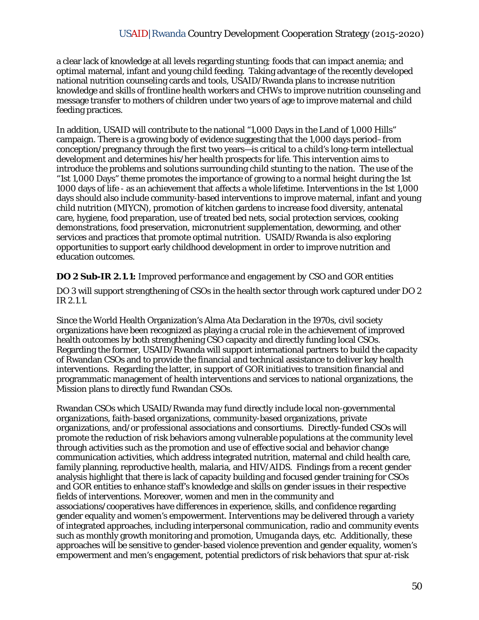a clear lack of knowledge at all levels regarding stunting; foods that can impact anemia; and optimal maternal, infant and young child feeding. Taking advantage of the recently developed national nutrition counseling cards and tools, USAID/Rwanda plans to increase nutrition knowledge and skills of frontline health workers and CHWs to improve nutrition counseling and message transfer to mothers of children under two years of age to improve maternal and child feeding practices.

In addition, USAID will contribute to the national "1,000 Days in the Land of 1,000 Hills" campaign. There is a growing body of evidence suggesting that the 1,000 days period–from conception/pregnancy through the first two years—is critical to a child's long-term intellectual development and determines his/her health prospects for life. This intervention aims to introduce the problems and solutions surrounding child stunting to the nation. The use of the "1st 1,000 Days" theme promotes the importance of growing to a normal height during the 1st 1000 days of life - as an achievement that affects a whole lifetime. Interventions in the 1st 1,000 days should also include community-based interventions to improve maternal, infant and young child nutrition (MIYCN), promotion of kitchen gardens to increase food diversity, antenatal care, hygiene, food preparation, use of treated bed nets, social protection services, cooking demonstrations, food preservation, micronutrient supplementation, deworming, and other services and practices that promote optimal nutrition. USAID/Rwanda is also exploring opportunities to support early childhood development in order to improve nutrition and education outcomes.

## **DO 2 Sub-IR 2.1.1:** *Improved performance and engagement by CSO and GOR entities*

DO 3 will support strengthening of CSOs in the health sector through work captured under DO 2 IR 2.1.1.

Since the World Health Organization's Alma Ata Declaration in the 1970s, civil society organizations have been recognized as playing a crucial role in the achievement of improved health outcomes by both strengthening CSO capacity and directly funding local CSOs. Regarding the former, USAID/Rwanda will support international partners to build the capacity of Rwandan CSOs and to provide the financial and technical assistance to deliver key health interventions. Regarding the latter, in support of GOR initiatives to transition financial and programmatic management of health interventions and services to national organizations, the Mission plans to directly fund Rwandan CSOs.

Rwandan CSOs which USAID/Rwanda may fund directly include local non-governmental organizations, faith-based organizations, community-based organizations, private organizations, and/or professional associations and consortiums. Directly-funded CSOs will promote the reduction of risk behaviors among vulnerable populations at the community level through activities such as the promotion and use of effective social and behavior change communication activities, which address integrated nutrition, maternal and child health care, family planning, reproductive health, malaria, and HIV/AIDS. Findings from a recent gender analysis highlight that there is lack of capacity building and focused gender training for CSOs and GOR entities to enhance staff's knowledge and skills on gender issues in their respective fields of interventions. Moreover, women and men in the community and associations/cooperatives have differences in experience, skills, and confidence regarding gender equality and women's empowerment. Interventions may be delivered through a variety of integrated approaches, including interpersonal communication, radio and community events such as monthly growth monitoring and promotion, *Umuganda* days, etc. Additionally, these approaches will be sensitive to gender-based violence prevention and gender equality, women's empowerment and men's engagement, potential predictors of risk behaviors that spur at-risk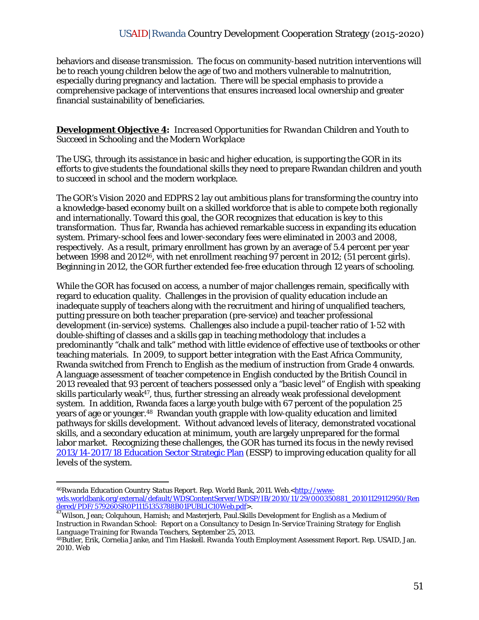behaviors and disease transmission. The focus on community-based nutrition interventions will be to reach young children below the age of two and mothers vulnerable to malnutrition, especially during pregnancy and lactation. There will be special emphasis to provide a comprehensive package of interventions that ensures increased local ownership and greater financial sustainability of beneficiaries.

## **Development Objective 4:** *Increased Opportunities for Rwandan Children and Youth to Succeed in Schooling and the Modern Workplace*

The USG, through its assistance in basic and higher education, is supporting the GOR in its efforts to give students the foundational skills they need to prepare Rwandan children and youth to succeed in school and the modern workplace.

The GOR's Vision 2020 and EDPRS 2 lay out ambitious plans for transforming the country into a knowledge-based economy built on a skilled workforce that is able to compete both regionally and internationally. Toward this goal, the GOR recognizes that education is key to this transformation. Thus far, Rwanda has achieved remarkable success in expanding its education system. Primary-school fees and lower-secondary fees were eliminated in 2003 and 2008, respectively. As a result, primary enrollment has grown by an average of 5.4 percent per year between 1998 and 201246, with net enrollment reaching 97 percent in 2012; (51 percent girls). Beginning in 2012, the GOR further extended fee-free education through 12 years of schooling.

While the GOR has focused on access, a number of major challenges remain, specifically with regard to education quality. Challenges in the provision of quality education include an inadequate supply of teachers along with the recruitment and hiring of unqualified teachers, putting pressure on both teacher preparation (pre-service) and teacher professional development (in-service) systems. Challenges also include a pupil-teacher ratio of 1-52 with double-shifting of classes and a skills gap in teaching methodology that includes a predominantly "chalk and talk" method with little evidence of effective use of textbooks or other teaching materials. In 2009, to support better integration with the East Africa Community, Rwanda switched from French to English as the medium of instruction from Grade 4 onwards. A language assessment of teacher competence in English conducted by the British Council in 2013 revealed that 93 percent of teachers possessed only a "basic level" of English with speaking skills particularly weak47, thus, further stressing an already weak professional development system. In addition, Rwanda faces a large youth bulge with 67 percent of the population 25 years of age or younger.48 Rwandan youth grapple with low-quality education and limited pathways for skills development. Without advanced levels of literacy, demonstrated vocational skills, and a secondary education at minimum, youth are largely unprepared for the formal labor market. Recognizing these challenges, the GOR has turned its focus in the newly revised 2013/14-2017/18 Education Sector Strategic Plan (ESSP) to improving education quality for all levels of the system.

<sup>&</sup>lt;sup>46</sup> Rwanda Education Country Status Report. Rep. World Bank, 2011. Web.<http://wwwwds.worldbank.org/external/default/WDSContentServer/WDSP/IB/2010/11/29/000350881\_20101129112950/Ren dered/PDF/579260SR0P11151353788B01PUBLIC10Web.pdf>.

<sup>47</sup>Wilson, Jean; Colquhoun, Hamish; and Masterjerb, Paul.*Skills Development for English as a Medium of Instruction in Rwandan School: Report on a Consultancy to Design In-Service Training Strategy for English Language Training for Rwanda Teachers*, September 25, 2013.

<sup>48</sup>Butler, Erik, Cornelia Janke, and Tim Haskell. *Rwanda Youth Employment Assessment Report*. Rep. USAID, Jan. 2010. Web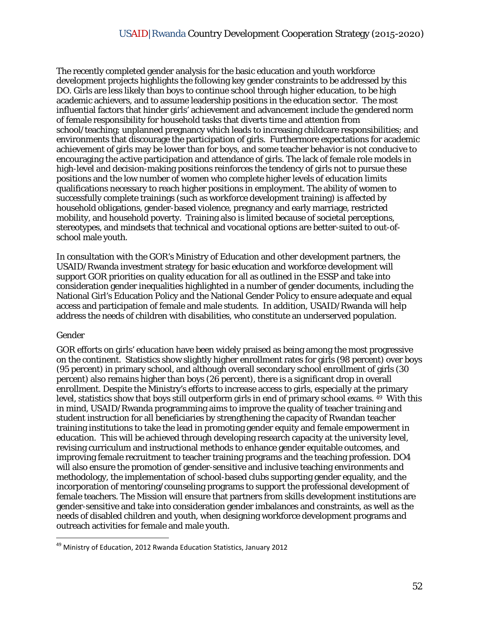The recently completed gender analysis for the basic education and youth workforce development projects highlights the following key gender constraints to be addressed by this DO. Girls are less likely than boys to continue school through higher education, to be high academic achievers, and to assume leadership positions in the education sector. The most influential factors that hinder girls' achievement and advancement include the gendered norm of female responsibility for household tasks that diverts time and attention from school/teaching; unplanned pregnancy which leads to increasing childcare responsibilities; and environments that discourage the participation of girls. Furthermore expectations for academic achievement of girls may be lower than for boys, and some teacher behavior is not conducive to encouraging the active participation and attendance of girls. The lack of female role models in high-level and decision-making positions reinforces the tendency of girls not to pursue these positions and the low number of women who complete higher levels of education limits qualifications necessary to reach higher positions in employment. The ability of women to successfully complete trainings (such as workforce development training) is affected by household obligations, gender-based violence, pregnancy and early marriage, restricted mobility, and household poverty. Training also is limited because of societal perceptions, stereotypes, and mindsets that technical and vocational options are better-suited to out-ofschool male youth.

In consultation with the GOR's Ministry of Education and other development partners, the USAID/Rwanda investment strategy for basic education and workforce development will support GOR priorities on quality education for all as outlined in the ESSP and take into consideration gender inequalities highlighted in a number of gender documents, including the National Girl's Education Policy and the National Gender Policy to ensure adequate and equal access and participation of female and male students. In addition, USAID/Rwanda will help address the needs of children with disabilities, who constitute an underserved population.

## *Gender*

GOR efforts on girls' education have been widely praised as being among the most progressive on the continent. Statistics show slightly higher enrollment rates for girls (98 percent) over boys (95 percent) in primary school, and although overall secondary school enrollment of girls (30 percent) also remains higher than boys (26 percent), there is a significant drop in overall enrollment. Despite the Ministry's efforts to increase access to girls, especially at the primary level, statistics show that boys still outperform girls in end of primary school exams. 49 With this in mind, USAID/Rwanda programming aims to improve the quality of teacher training and student instruction for all beneficiaries by strengthening the capacity of Rwandan teacher training institutions to take the lead in promoting gender equity and female empowerment in education. This will be achieved through developing research capacity at the university level, revising curriculum and instructional methods to enhance gender equitable outcomes, and improving female recruitment to teacher training programs and the teaching profession. DO4 will also ensure the promotion of gender-sensitive and inclusive teaching environments and methodology, the implementation of school-based clubs supporting gender equality, and the incorporation of mentoring/counseling programs to support the professional development of female teachers. The Mission will ensure that partners from skills development institutions are gender-sensitive and take into consideration gender imbalances and constraints, as well as the needs of disabled children and youth, when designing workforce development programs and outreach activities for female and male youth.

<sup>&</sup>lt;sup>49</sup> Ministry of Education, 2012 Rwanda Education Statistics, January 2012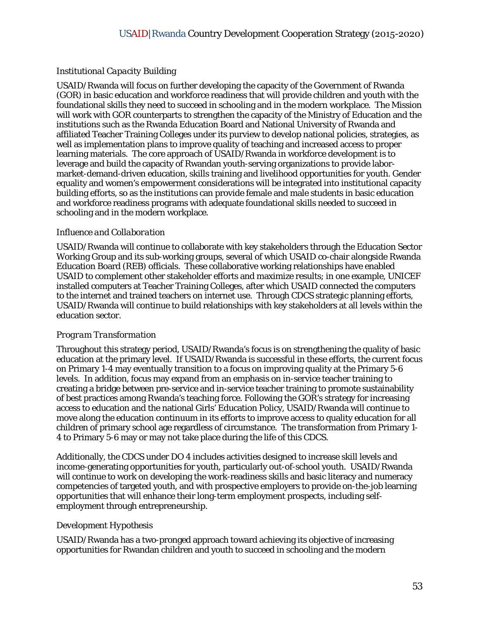## *Institutional Capacity Building*

USAID/Rwanda will focus on further developing the capacity of the Government of Rwanda (GOR) in basic education and workforce readiness that will provide children and youth with the foundational skills they need to succeed in schooling and in the modern workplace. The Mission will work with GOR counterparts to strengthen the capacity of the Ministry of Education and the institutions such as the Rwanda Education Board and National University of Rwanda and affiliated Teacher Training Colleges under its purview to develop national policies, strategies, as well as implementation plans to improve quality of teaching and increased access to proper learning materials. The core approach of USAID/Rwanda in workforce development is to leverage and build the capacity of Rwandan youth-serving organizations to provide labormarket-demand-driven education, skills training and livelihood opportunities for youth. Gender equality and women's empowerment considerations will be integrated into institutional capacity building efforts, so as the institutions can provide female and male students in basic education and workforce readiness programs with adequate foundational skills needed to succeed in schooling and in the modern workplace.

## *Influence and Collaboration*

USAID/Rwanda will continue to collaborate with key stakeholders through the Education Sector Working Group and its sub-working groups, several of which USAID co-chair alongside Rwanda Education Board (REB) officials. These collaborative working relationships have enabled USAID to complement other stakeholder efforts and maximize results; in one example, UNICEF installed computers at Teacher Training Colleges, after which USAID connected the computers to the internet and trained teachers on internet use. Through CDCS strategic planning efforts, USAID/Rwanda will continue to build relationships with key stakeholders at all levels within the education sector.

## *Program Transformation*

Throughout this strategy period, USAID/Rwanda's focus is on strengthening the quality of basic education at the primary level. If USAID/Rwanda is successful in these efforts, the current focus on Primary 1-4 may eventually transition to a focus on improving quality at the Primary 5-6 levels. In addition, focus may expand from an emphasis on in-service teacher training to creating a bridge between pre-service and in-service teacher training to promote sustainability of best practices among Rwanda's teaching force. Following the GOR's strategy for increasing access to education and the national Girls' Education Policy, USAID/Rwanda will continue to move along the education continuum in its efforts to improve access to quality education for all children of primary school age regardless of circumstance. The transformation from Primary 1- 4 to Primary 5-6 may or may not take place during the life of this CDCS.

Additionally, the CDCS under DO 4 includes activities designed to increase skill levels and income-generating opportunities for youth, particularly out-of-school youth. USAID/Rwanda will continue to work on developing the work-readiness skills and basic literacy and numeracy competencies of targeted youth, and with prospective employers to provide on-the-job learning opportunities that will enhance their long-term employment prospects, including selfemployment through entrepreneurship.

## *Development Hypothesis*

USAID/Rwanda has a two-pronged approach toward achieving its objective of increasing opportunities for Rwandan children and youth to succeed in schooling and the modern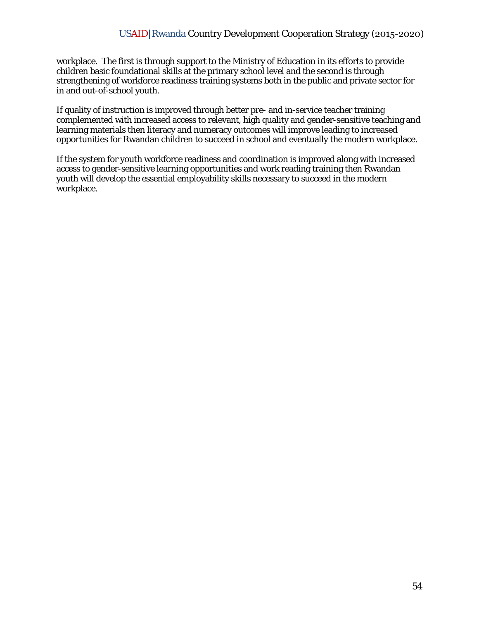workplace. The first is through support to the Ministry of Education in its efforts to provide children basic foundational skills at the primary school level and the second is through strengthening of workforce readiness training systems both in the public and private sector for in and out-of-school youth.

If quality of instruction is improved through better pre- and in-service teacher training complemented with increased access to relevant, high quality and gender-sensitive teaching and learning materials then literacy and numeracy outcomes will improve leading to increased opportunities for Rwandan children to succeed in school and eventually the modern workplace.

If the system for youth workforce readiness and coordination is improved along with increased access to gender-sensitive learning opportunities and work reading training then Rwandan youth will develop the essential employability skills necessary to succeed in the modern workplace.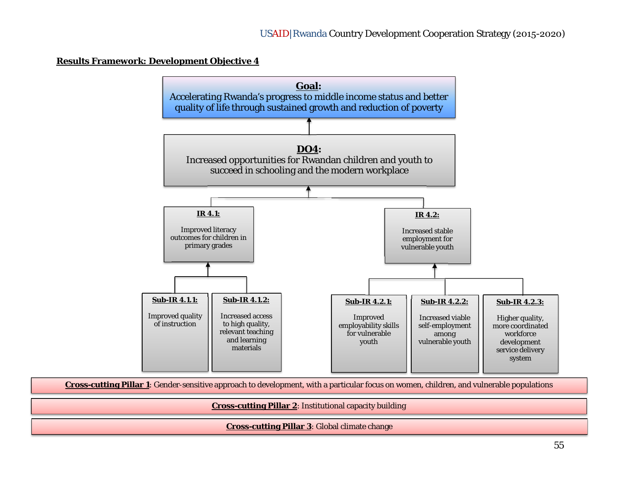#### **Results Framework: Development Objective 4**



**Cross-cutting Pillar 1**: Gender-sensitive approach to development, with a particular focus on women, children, and vulnerable populations

**Cross-cutting Pillar 2**: Institutional capacity building

**Cross-cutting Pillar 3**: Global climate change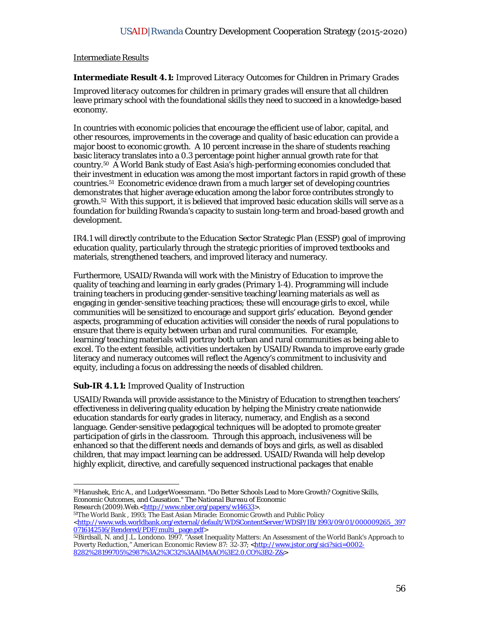#### Intermediate Results

## **Intermediate Result 4.1:** *Improved Literacy Outcomes for Children in Primary Grades*

*Improved literacy outcomes for children in primary grades* will ensure that all children leave primary school with the foundational skills they need to succeed in a knowledge-based economy.

In countries with economic policies that encourage the efficient use of labor, capital, and other resources, improvements in the coverage and quality of basic education can provide a major boost to economic growth. A 10 percent increase in the share of students reaching basic literacy translates into a 0.3 percentage point higher annual growth rate for that country.50 A World Bank study of East Asia's high-performing economies concluded that their investment in education was among the most important factors in rapid growth of these countries.51 Econometric evidence drawn from a much larger set of developing countries demonstrates that higher average education among the labor force contributes strongly to growth.52 With this support, it is believed that improved basic education skills will serve as a foundation for building Rwanda's capacity to sustain long-term and broad-based growth and development.

IR4.1 will directly contribute to the Education Sector Strategic Plan (ESSP) goal of improving education quality, particularly through the strategic priorities of improved textbooks and materials, strengthened teachers, and improved literacy and numeracy.

Furthermore, USAID/Rwanda will work with the Ministry of Education to improve the quality of teaching and learning in early grades (Primary 1-4). Programming will include training teachers in producing gender-sensitive teaching/learning materials as well as engaging in gender-sensitive teaching practices; these will encourage girls to excel, while communities will be sensitized to encourage and support girls' education. Beyond gender aspects, programming of education activities will consider the needs of rural populations to ensure that there is equity between urban and rural communities. For example, learning/teaching materials will portray both urban and rural communities as being able to excel. To the extent feasible, activities undertaken by USAID/Rwanda to improve early grade literacy and numeracy outcomes will reflect the Agency's commitment to inclusivity and equity, including a focus on addressing the needs of disabled children.

## **Sub-IR 4.1.1:** *Improved Quality of Instruction*

USAID/Rwanda will provide assistance to the Ministry of Education to strengthen teachers' effectiveness in delivering quality education by helping the Ministry create nationwide education standards for early grades in literacy, numeracy, and English as a second language. Gender-sensitive pedagogical techniques will be adopted to promote greater participation of girls in the classroom. Through this approach, inclusiveness will be enhanced so that the different needs and demands of boys and girls, as well as disabled children, that may impact learning can be addressed. USAID/Rwanda will help develop highly explicit, directive, and carefully sequenced instructional packages that enable

<sup>51</sup>The World Bank, 1993; The East Asian Miracle: Economic Growth and Public Policy

<sup>50</sup>Hanushek, Eric A., and LudgerWoessmann. "Do Better Schools Lead to More Growth? Cognitive Skills, Economic Outcomes, and Causation." *The National Bureau of Economic* 

<sup>&</sup>lt;http://www.wds.worldbank.org/external/default/WDSContentServer/WDSP/IB/1993/09/01/000009265\_397<br>0716142516/Rendered/PDF/multi\_page.pdf>

<sup>&</sup>lt;sup>52</sup>Birdsall, N. and J.L. Londono. 1997. "Asset Inequality Matters: An Assessment of the World Bank's Approach to Poverty Reduction," *American Economic Review 87:*  $32-37$ ; <http://www.jstor.org/sici?sici=0002-8282%28199705%2987%3A2%3C32%3AAIMAAO%3E2.0.CO%3B2-Z&>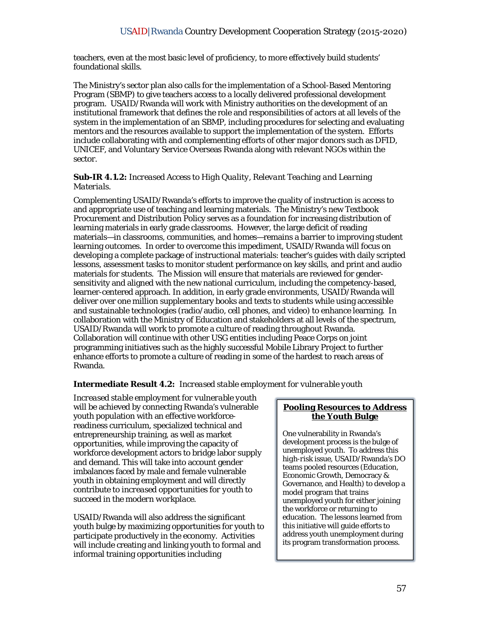teachers, even at the most basic level of proficiency, to more effectively build students' foundational skills.

The Ministry's sector plan also calls for the implementation of a School-Based Mentoring Program (SBMP) to give teachers access to a locally delivered professional development program. USAID/Rwanda will work with Ministry authorities on the development of an institutional framework that defines the role and responsibilities of actors at all levels of the system in the implementation of an SBMP, including procedures for selecting and evaluating mentors and the resources available to support the implementation of the system. Efforts include collaborating with and complementing efforts of other major donors such as DFID, UNICEF, and Voluntary Service Overseas Rwanda along with relevant NGOs within the sector.

#### **Sub-IR 4.1.2:** *Increased Access to High Quality, Relevant Teaching and Learning Materials.*

Complementing USAID/Rwanda's efforts to improve the quality of instruction is access to and appropriate use of teaching and learning materials. The Ministry's new Textbook Procurement and Distribution Policy serves as a foundation for increasing distribution of learning materials in early grade classrooms. However, the large deficit of reading materials—in classrooms, communities, and homes—remains a barrier to improving student learning outcomes. In order to overcome this impediment, USAID/Rwanda will focus on developing a complete package of instructional materials: teacher's guides with daily scripted lessons, assessment tasks to monitor student performance on key skills, and print and audio materials for students. The Mission will ensure that materials are reviewed for gendersensitivity and aligned with the new national curriculum, including the competency-based, learner-centered approach. In addition, in early grade environments, USAID/Rwanda will deliver over one million supplementary books and texts to students while using accessible and sustainable technologies (radio/audio, cell phones, and video) to enhance learning. In collaboration with the Ministry of Education and stakeholders at all levels of the spectrum, USAID/Rwanda will work to promote a culture of reading throughout Rwanda. Collaboration will continue with other USG entities including Peace Corps on joint programming initiatives such as the highly successful Mobile Library Project to further enhance efforts to promote a culture of reading in some of the hardest to reach areas of Rwanda.

## **Intermediate Result 4.2:** *Increased stable employment for vulnerable youth*

*Increased stable employment for vulnerable youth* will be achieved by connecting Rwanda's vulnerable youth population with an effective workforcereadiness curriculum, specialized technical and entrepreneurship training, as well as market opportunities, while improving the capacity of workforce development actors to bridge labor supply and demand. This will take into account gender imbalances faced by male and female vulnerable youth in obtaining employment and will directly contribute to *increased opportunities for youth to succeed in the modern workplace.*

USAID/Rwanda will also address the significant youth bulge by maximizing opportunities for youth to participate productively in the economy. Activities will include creating and linking youth to formal and informal training opportunities including

#### **Pooling Resources to Address the Youth Bulge**

One vulnerability in Rwanda's development process is the bulge of unemployed youth. To address this *high-risk* issue, USAID/Rwanda's DO teams pooled resources (Education, Economic Growth, Democracy & Governance, and Health) to develop a model program that trains unemployed youth for either joining the workforce or returning to education. The lessons learned from this initiative will guide efforts to address youth unemployment during its program transformation process.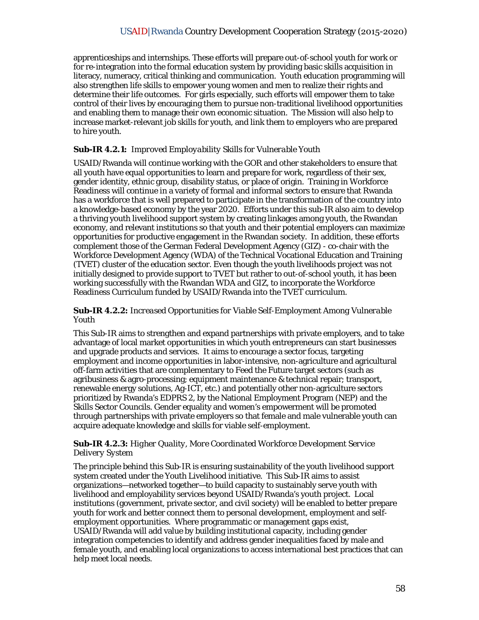apprenticeships and internships. These efforts will prepare out-of-school youth for work or for re-integration into the formal education system by providing basic skills acquisition in literacy, numeracy, critical thinking and communication. Youth education programming will also strengthen life skills to empower young women and men to realize their rights and determine their life outcomes. For girls especially, such efforts will empower them to take control of their lives by encouraging them to pursue non-traditional livelihood opportunities and enabling them to manage their own economic situation. The Mission will also help to increase market-relevant job skills for youth, and link them to employers who are prepared to hire youth.

#### **Sub-IR 4.2.1:** *Improved Employability Skills for Vulnerable Youth*

USAID/Rwanda will continue working with the GOR and other stakeholders to ensure that all youth have equal opportunities to learn and prepare for work, regardless of their sex, gender identity, ethnic group, disability status, or place of origin. Training in Workforce Readiness will continue in a variety of formal and informal sectors to ensure that Rwanda has a workforce that is well prepared to participate in the transformation of the country into a knowledge-based economy by the year 2020. Efforts under this sub-IR also aim to develop a thriving youth livelihood support system by creating linkages among youth, the Rwandan economy, and relevant institutions so that youth and their potential employers can maximize opportunities for productive engagement in the Rwandan society. In addition, these efforts complement those of the German Federal Development Agency (GIZ) - co-chair with the Workforce Development Agency (WDA) of the Technical Vocational Education and Training (TVET) cluster of the education sector. Even though the youth livelihoods project was not initially designed to provide support to TVET but rather to out-of-school youth, it has been working successfully with the Rwandan WDA and GIZ, to incorporate the Workforce Readiness Curriculum funded by USAID/Rwanda into the TVET curriculum.

#### **Sub-IR 4.2.2:** *Increased Opportunities for Viable Self-Employment Among Vulnerable Youth*

This Sub-IR aims to strengthen and expand partnerships with private employers, and to take advantage of local market opportunities in which youth entrepreneurs can start businesses and upgrade products and services. It aims to encourage a sector focus, targeting employment and income opportunities in labor-intensive, non-agriculture and agricultural off-farm activities that are complementary to Feed the Future target sectors (such as agribusiness & agro-processing; equipment maintenance & technical repair; transport, renewable energy solutions, Ag-ICT, etc.) and potentially other non-agriculture sectors prioritized by Rwanda's EDPRS 2, by the National Employment Program (NEP) and the Skills Sector Councils. Gender equality and women's empowerment will be promoted through partnerships with private employers so that female and male vulnerable youth can acquire adequate knowledge and skills for viable self-employment.

#### **Sub-IR 4.2.3:** *Higher Quality, More Coordinated Workforce Development Service Delivery System*

The principle behind this Sub-IR is ensuring sustainability of the youth livelihood support system created under the Youth Livelihood initiative. This Sub-IR aims to assist organizations—networked together—to build capacity to sustainably serve youth with livelihood and employability services beyond USAID/Rwanda's youth project. Local institutions (government, private sector, and civil society) will be enabled to better prepare youth for work and better connect them to personal development, employment and selfemployment opportunities. Where programmatic or management gaps exist, USAID/Rwanda will add value by building institutional capacity, including gender integration competencies to identify and address gender inequalities faced by male and female youth, and enabling local organizations to access international best practices that can help meet local needs.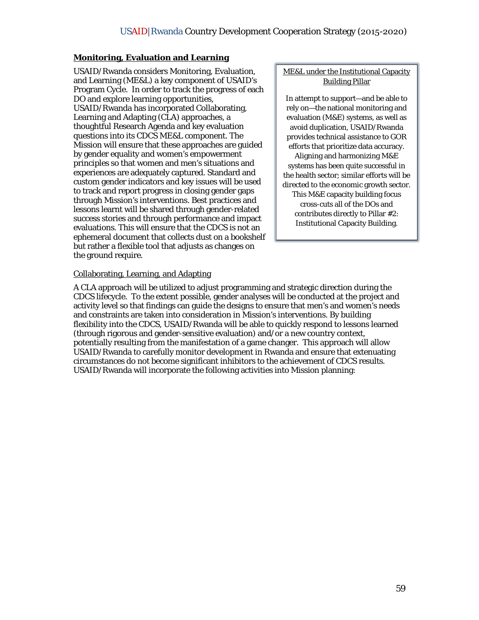#### **Monitoring, Evaluation and Learning**

USAID/Rwanda considers Monitoring, Evaluation, and Learning (ME&L) a key component of USAID's Program Cycle. In order to track the progress of each DO and explore learning opportunities, USAID/Rwanda has incorporated Collaborating, Learning and Adapting (CLA) approaches, a thoughtful Research Agenda and key evaluation questions into its CDCS ME&L component. The Mission will ensure that these approaches are guided by gender equality and women's empowerment principles so that women and men's situations and experiences are adequately captured. Standard and custom gender indicators and key issues will be used to track and report progress in closing gender gaps through Mission's interventions. Best practices and lessons learnt will be shared through gender-related success stories and through performance and impact evaluations. This will ensure that the CDCS is not an ephemeral document that collects dust on a bookshelf but rather a flexible tool that adjusts as changes on the ground require.

## ME&L under the Institutional Capacity Building Pillar

In attempt to support—and be able to rely on—the national monitoring and evaluation (M&E) systems, as well as avoid duplication, USAID/Rwanda provides technical assistance to GOR efforts that prioritize data accuracy. Aligning and harmonizing M&E systems has been quite successful in the health sector; similar efforts will be directed to the economic growth sector. This M&E capacity building focus cross-cuts all of the DOs and contributes directly to Pillar #2: Institutional Capacity Building.

## Collaborating, Learning, and Adapting

A CLA approach will be utilized to adjust programming and strategic direction during the CDCS lifecycle. To the extent possible, gender analyses will be conducted at the project and activity level so that findings can guide the designs to ensure that men's and women's needs and constraints are taken into consideration in Mission's interventions. By building flexibility into the CDCS, USAID/Rwanda will be able to quickly respond to lessons learned (through rigorous and gender-sensitive evaluation) and/or a new country context, potentially resulting from the manifestation of a game changer. This approach will allow USAID/Rwanda to carefully monitor development in Rwanda and ensure that extenuating circumstances do not become significant inhibitors to the achievement of CDCS results. USAID/Rwanda will incorporate the following activities into Mission planning: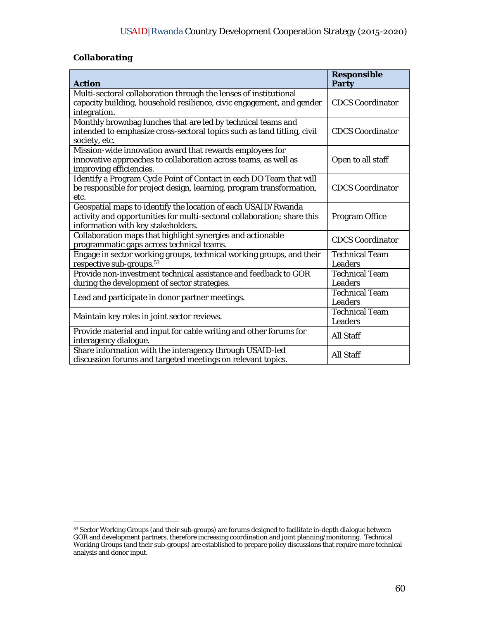## *Collaborating*

| <b>Action</b>                                                                                                                                                                  | <b>Responsible</b><br><b>Party</b>      |
|--------------------------------------------------------------------------------------------------------------------------------------------------------------------------------|-----------------------------------------|
| Multi-sectoral collaboration through the lenses of institutional<br>capacity building, household resilience, civic engagement, and gender<br>integration.                      | <b>CDCS Coordinator</b>                 |
| Monthly brownbag lunches that are led by technical teams and<br>intended to emphasize cross-sectoral topics such as land titling, civil<br>society, etc.                       | <b>CDCS</b> Coordinator                 |
| Mission-wide innovation award that rewards employees for<br>innovative approaches to collaboration across teams, as well as<br>improving efficiencies.                         | Open to all staff                       |
| Identify a Program Cycle Point of Contact in each DO Team that will<br>be responsible for project design, learning, program transformation,<br>etc.                            | <b>CDCS Coordinator</b>                 |
| Geospatial maps to identify the location of each USAID/Rwanda<br>activity and opportunities for multi-sectoral collaboration; share this<br>information with key stakeholders. | <b>Program Office</b>                   |
| Collaboration maps that highlight synergies and actionable<br>programmatic gaps across technical teams.                                                                        | <b>CDCS Coordinator</b>                 |
| Engage in sector working groups, technical working groups, and their<br>respective sub-groups. <sup>53</sup>                                                                   | <b>Technical Team</b><br><b>Leaders</b> |
| Provide non-investment technical assistance and feedback to GOR<br>during the development of sector strategies.                                                                | <b>Technical Team</b><br>Leaders        |
| Lead and participate in donor partner meetings.                                                                                                                                | <b>Technical Team</b><br><b>Leaders</b> |
| Maintain key roles in joint sector reviews.                                                                                                                                    | <b>Technical Team</b><br>Leaders        |
| Provide material and input for cable writing and other forums for<br>interagency dialogue.                                                                                     | <b>All Staff</b>                        |
| Share information with the interagency through USAID-led<br>discussion forums and targeted meetings on relevant topics.                                                        | <b>All Staff</b>                        |

<sup>53</sup> Sector Working Groups (and their sub-groups) are forums designed to facilitate in-depth dialogue between GOR and development partners, therefore increasing coordination and joint planning/monitoring. Technical Working Groups (and their sub-groups) are established to prepare policy discussions that require more technical analysis and donor input.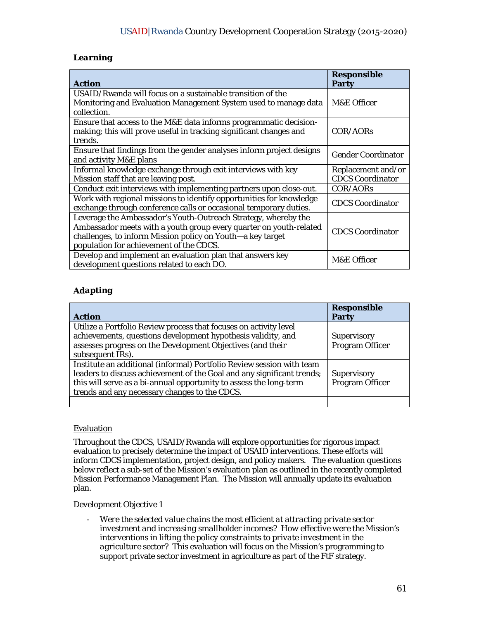## *Learning*

| <b>Action</b>                                                                                                                                                                                                                                 | <b>Responsible</b><br><b>Party</b> |
|-----------------------------------------------------------------------------------------------------------------------------------------------------------------------------------------------------------------------------------------------|------------------------------------|
| USAID/Rwanda will focus on a sustainable transition of the<br>Monitoring and Evaluation Management System used to manage data                                                                                                                 | M&E Officer                        |
| collection.                                                                                                                                                                                                                                   |                                    |
| Ensure that access to the M&E data informs programmatic decision-<br>making; this will prove useful in tracking significant changes and<br>trends.                                                                                            | COR/AORs                           |
| Ensure that findings from the gender analyses inform project designs<br>and activity M&E plans                                                                                                                                                | <b>Gender Coordinator</b>          |
| Informal knowledge exchange through exit interviews with key                                                                                                                                                                                  | Replacement and/or                 |
| Mission staff that are leaving post.                                                                                                                                                                                                          | <b>CDCS Coordinator</b>            |
| Conduct exit interviews with implementing partners upon close-out.                                                                                                                                                                            | COR/AORs                           |
| Work with regional missions to identify opportunities for knowledge<br>exchange through conference calls or occasional temporary duties.                                                                                                      | <b>CDCS Coordinator</b>            |
| Leverage the Ambassador's Youth-Outreach Strategy, whereby the<br>Ambassador meets with a youth group every quarter on youth-related<br>challenges, to inform Mission policy on Youth—a key target<br>population for achievement of the CDCS. | <b>CDCS Coordinator</b>            |
| Develop and implement an evaluation plan that answers key<br>development questions related to each DO.                                                                                                                                        | M&E Officer                        |

## *Adapting*

| <b>Action</b>                                                                                                                                                                                                                                                          | <b>Responsible</b><br><b>Party</b>    |
|------------------------------------------------------------------------------------------------------------------------------------------------------------------------------------------------------------------------------------------------------------------------|---------------------------------------|
| Utilize a Portfolio Review process that focuses on activity level<br>achievements, questions development hypothesis validity, and<br>assesses progress on the Development Objectives (and their<br>subsequent IRs).                                                    | <b>Supervisory</b><br>Program Officer |
| Institute an additional (informal) Portfolio Review session with team<br>leaders to discuss achievement of the Goal and any significant trends;<br>this will serve as a bi-annual opportunity to assess the long-term<br>trends and any necessary changes to the CDCS. | Supervisory<br>Program Officer        |
|                                                                                                                                                                                                                                                                        |                                       |

## **Evaluation**

Throughout the CDCS, USAID/Rwanda will explore opportunities for rigorous impact evaluation to precisely determine the impact of USAID interventions. These efforts will inform CDCS implementation, project design, and policy makers. The evaluation questions below reflect a sub-set of the Mission's evaluation plan as outlined in the recently completed Mission Performance Management Plan. The Mission will annually update its evaluation plan.

## *Development Objective 1*

‐ *Were the selected value chains the most efficient at attracting private sector investment and increasing smallholder incomes? How effective were the Mission's interventions in lifting the policy constraints to private investment in the agriculture sector?* This evaluation will focus on the Mission's programming to support private sector investment in agriculture as part of the FtF strategy.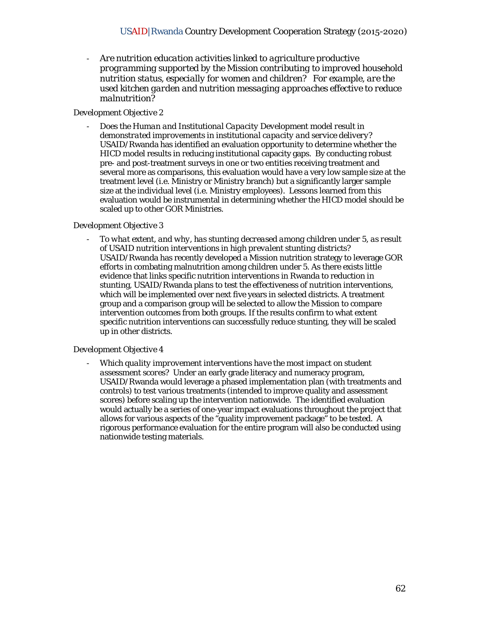‐ *Are nutrition education activities linked to agriculture productive programming supported by the Mission contributing to improved household nutrition status, especially for women and children? For example, are the used kitchen garden and nutrition messaging approaches effective to reduce malnutrition?* 

### *Development Objective 2*

- *Does the Human and Institutional Capacity Development model result in demonstrated improvements in institutional capacity and service delivery?* USAID/Rwanda has identified an evaluation opportunity to determine whether the HICD model results in reducing institutional capacity gaps. By conducting robust pre- and post-treatment surveys in one or two entities receiving treatment and several more as comparisons, this evaluation would have a very low sample size at the treatment level (i.e. Ministry or Ministry branch) but a significantly larger sample size at the individual level (i.e. Ministry employees). Lessons learned from this evaluation would be instrumental in determining whether the HICD model should be scaled up to other GOR Ministries.

### *Development Objective 3*

- *To what extent, and why, has stunting decreased among children under 5, as result of USAID nutrition interventions in high prevalent stunting districts?*  USAID/Rwanda has recently developed a Mission nutrition strategy to leverage GOR efforts in combating malnutrition among children under 5. As there exists little evidence that links specific nutrition interventions in Rwanda to reduction in stunting, USAID/Rwanda plans to test the effectiveness of nutrition interventions, which will be implemented over next five years in selected districts. A treatment group and a comparison group will be selected to allow the Mission to compare intervention outcomes from both groups. If the results confirm to what extent specific nutrition interventions can successfully reduce stunting, they will be scaled up in other districts.

#### *Development Objective 4*

- *Which quality improvement interventions have the most impact on student assessment scores?* Under an early grade literacy and numeracy program, USAID/Rwanda would leverage a phased implementation plan (with treatments and controls) to test various treatments (intended to improve quality and assessment scores) before scaling up the intervention nationwide. The identified evaluation would actually be a series of one-year impact evaluations throughout the project that allows for various aspects of the "quality improvement package" to be tested. A rigorous performance evaluation for the entire program will also be conducted using nationwide testing materials.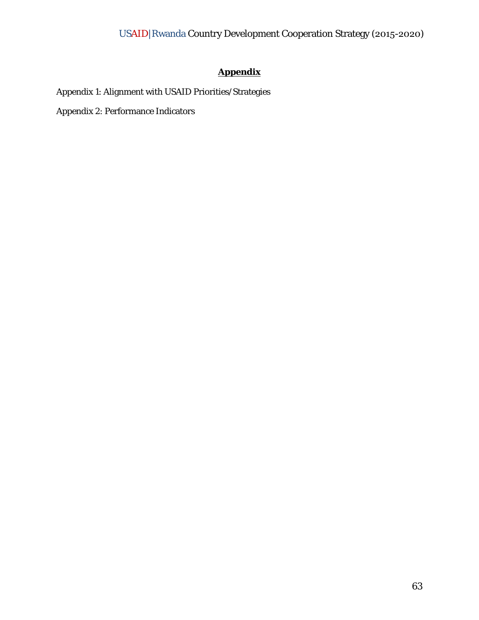## **Appendix**

Appendix 1: Alignment with USAID Priorities/Strategies

Appendix 2: Performance Indicators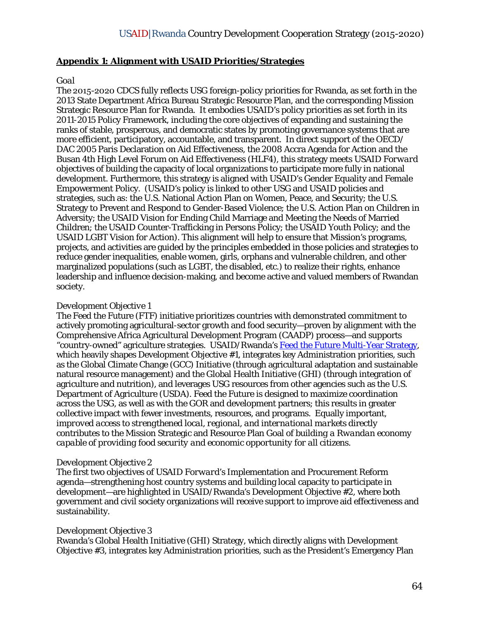### **Appendix 1: Alignment with USAID Priorities/Strategies**

#### *Goal*

The 2015-2020 CDCS fully reflects USG foreign-policy priorities for Rwanda, as set forth in the 2013 State Department Africa Bureau Strategic Resource Plan, and the corresponding Mission Strategic Resource Plan for Rwanda. It embodies USAID's policy priorities as set forth in its 2011-2015 Policy Framework, including the core objectives of expanding and sustaining the ranks of stable, prosperous, and democratic states by promoting governance systems that are more efficient, participatory, accountable, and transparent. In direct support of the OECD/ DAC 2005 Paris Declaration on Aid Effectiveness, the 2008 Accra Agenda for Action and the Busan 4th High Level Forum on Aid Effectiveness (HLF4), this strategy meets USAID *Forward* objectives of building the capacity of local organizations to participate more fully in national development. Furthermore, this strategy is aligned with USAID's Gender Equality and Female Empowerment Policy. (USAID's policy is linked to other USG and USAID policies and strategies, such as: the U.S. National Action Plan on Women, Peace, and Security; the U.S. Strategy to Prevent and Respond to Gender-Based Violence; the U.S. Action Plan on Children in Adversity; the USAID Vision for Ending Child Marriage and Meeting the Needs of Married Children; the USAID Counter-Trafficking in Persons Policy; the USAID Youth Policy; and the USAID LGBT Vision for Action). This alignment will help to ensure that Mission's programs, projects, and activities are guided by the principles embedded in those policies and strategies to reduce gender inequalities, enable women, girls, orphans and vulnerable children, and other marginalized populations (such as LGBT, the disabled, etc.) to realize their rights, enhance leadership and influence decision-making, and become active and valued members of Rwandan society.

#### *Development Objective 1*

The Feed the Future (FTF) initiative prioritizes countries with demonstrated commitment to actively promoting agricultural-sector growth and food security—proven by alignment with the Comprehensive Africa Agricultural Development Program (CAADP) process—and supports "country-owned" agriculture strategies. USAID/Rwanda's Feed the Future Multi-Year Strategy, which heavily shapes Development Objective #1, integrates key Administration priorities, such as the Global Climate Change (GCC) Initiative (through agricultural adaptation and sustainable natural resource management) and the Global Health Initiative (GHI) (through integration of agriculture and nutrition), and leverages USG resources from other agencies such as the U.S. Department of Agriculture (USDA). Feed the Future is designed to maximize coordination across the USG, as well as with the GOR and development partners; this results in greater collective impact with fewer investments, resources, and programs. Equally important, *improved access to strengthened local, regional, and international markets* directly contributes to the Mission Strategic and Resource Plan Goal of *building a Rwandan economy capable of providing food security and economic opportunity for all citizens*.

#### *Development Objective 2*

The first two objectives of USAID *Forward*'s Implementation and Procurement Reform agenda—strengthening host country systems and building local capacity to participate in development—are highlighted in USAID/Rwanda's Development Objective #2, where both government and civil society organizations will receive support to improve aid effectiveness and sustainability.

### *Development Objective 3*

Rwanda's Global Health Initiative (GHI) Strategy, which directly aligns with Development Objective #3, integrates key Administration priorities, such as the President's Emergency Plan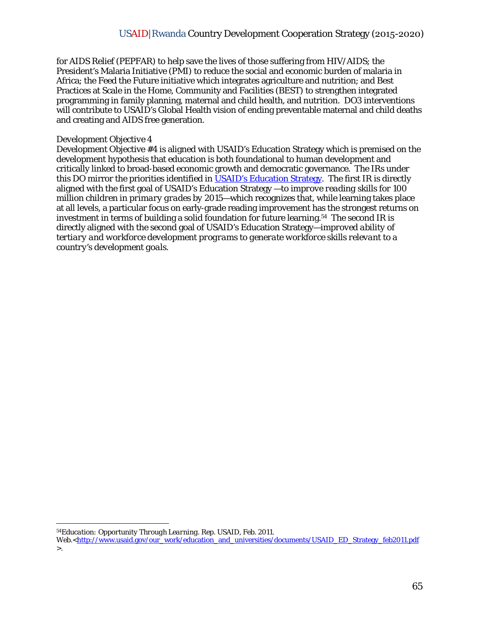for AIDS Relief (PEPFAR) to help save the lives of those suffering from HIV/AIDS; the President's Malaria Initiative (PMI) to reduce the social and economic burden of malaria in Africa; the Feed the Future initiative which integrates agriculture and nutrition; and Best Practices at Scale in the Home, Community and Facilities (BEST) to strengthen integrated programming in family planning, maternal and child health, and nutrition. DO3 interventions will contribute to USAID's Global Health vision of ending preventable maternal and child deaths and creating and AIDS free generation.

### *Development Objective 4*

Development Objective #4 is aligned with USAID's Education Strategy which is premised on the development hypothesis that education is both foundational to human development and critically linked to broad-based economic growth and democratic governance. The IRs under this DO mirror the priorities identified in USAID's Education Strategy. The first IR is directly aligned with the first goal of USAID's Education Strategy —*to improve reading skills for 100 million children in primary grades by 2015*—which recognizes that, while learning takes place at all levels, a particular focus on early-grade reading improvement has the strongest returns on investment in terms of building a solid foundation for future learning.<sup>54</sup> The second IR is directly aligned with the second goal of USAID's Education Strategy—*improved ability of tertiary and workforce development programs to generate workforce skills relevant to a country's development goals*.

<sup>54</sup>*Education: Opportunity Through Learning*. Rep. USAID, Feb. 2011.

Web.<http://www.usaid.gov/our\_work/education\_and\_universities/documents/USAID\_ED\_Strategy\_feb2011.pdf  $>$ .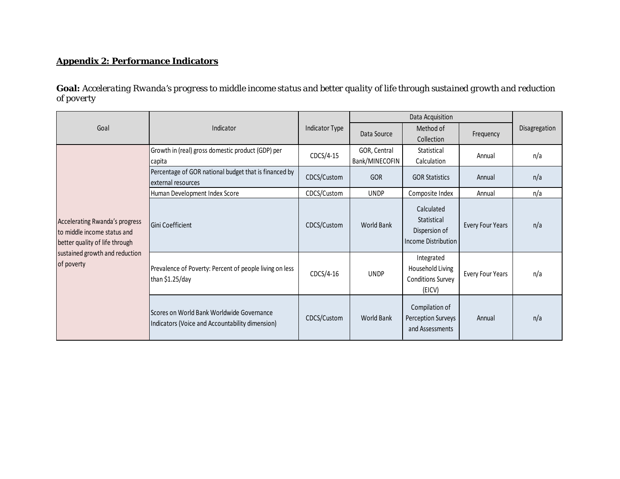## **Appendix 2: Performance Indicators**

**Goal:** *Accelerating Rwanda's progress to middle income status and better quality of life through sustained growth and reduction of poverty*

|                                                                                                 |                                                                                              |                |                                | Data Acquisition                                                     |                         |               |  |
|-------------------------------------------------------------------------------------------------|----------------------------------------------------------------------------------------------|----------------|--------------------------------|----------------------------------------------------------------------|-------------------------|---------------|--|
| Goal                                                                                            | Indicator                                                                                    | Indicator Type | Data Source                    | Method of<br>Collection                                              | Frequency               | Disagregation |  |
|                                                                                                 | Growth in (real) gross domestic product (GDP) per<br>capita                                  | CDCS/4-15      | GOR, Central<br>Bank/MINECOFIN | Statistical<br>Calculation                                           | Annual                  | n/a           |  |
|                                                                                                 | Percentage of GOR national budget that is financed by<br>external resources                  | CDCS/Custom    | <b>GOR</b>                     | <b>GOR Statistics</b>                                                | Annual                  | n/a           |  |
|                                                                                                 | Human Development Index Score                                                                | CDCS/Custom    | <b>UNDP</b>                    | Composite Index                                                      | Annual                  | n/a           |  |
| Accelerating Rwanda's progress<br>to middle income status and<br>better quality of life through | Gini Coefficient                                                                             | CDCS/Custom    | <b>World Bank</b>              | Calculated<br>Statistical<br>Dispersion of<br>Income Distribution    | <b>Every Four Years</b> | n/a           |  |
| sustained growth and reduction<br>of poverty                                                    | Prevalence of Poverty: Percent of people living on less<br>than \$1.25/day                   | CDCS/4-16      | <b>UNDP</b>                    | Integrated<br>Household Living<br><b>Conditions Survey</b><br>(EICV) | Every Four Years        | n/a           |  |
|                                                                                                 | Scores on World Bank Worldwide Governance<br>Indicators (Voice and Accountability dimension) | CDCS/Custom    | <b>World Bank</b>              | Compilation of<br>Perception Surveys<br>and Assessments              | Annual                  | n/a           |  |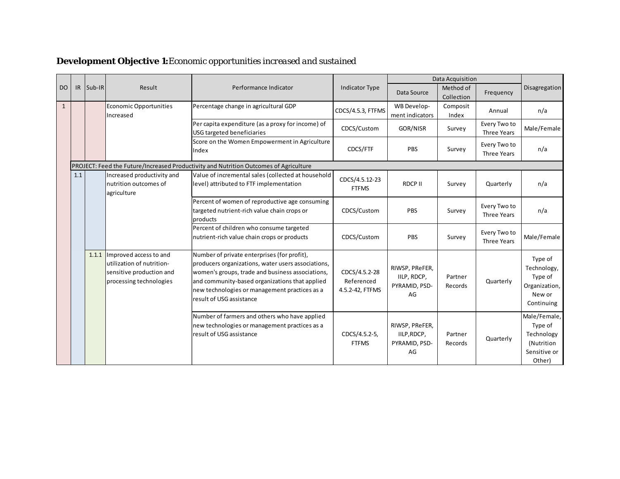# **Development Objective 1:***Economic opportunities increased and sustained*

|              |     |             |                                                                                                                                                                                                                                                                                                                                                                                                          |                                                                                                                            |                                                      |                                                      | Data Acquisition        |                                                                            |                                                                               |
|--------------|-----|-------------|----------------------------------------------------------------------------------------------------------------------------------------------------------------------------------------------------------------------------------------------------------------------------------------------------------------------------------------------------------------------------------------------------------|----------------------------------------------------------------------------------------------------------------------------|------------------------------------------------------|------------------------------------------------------|-------------------------|----------------------------------------------------------------------------|-------------------------------------------------------------------------------|
| <b>DO</b>    |     | $IR$ Sub-IR | Result                                                                                                                                                                                                                                                                                                                                                                                                   | Performance Indicator                                                                                                      | Indicator Type                                       | Data Source                                          | Method of<br>Collection | Frequency                                                                  | Disagregation                                                                 |
| $\mathbf{1}$ |     |             | Economic Opportunities<br>Increased                                                                                                                                                                                                                                                                                                                                                                      | Percentage change in agricultural GDP                                                                                      | CDCS/4.5.3, FTFMS                                    | WB Develop-<br>ment indicators                       | Composit<br>Index       | Annual                                                                     | n/a                                                                           |
|              |     |             |                                                                                                                                                                                                                                                                                                                                                                                                          | Per capita expenditure (as a proxy for income) of<br>USG targeted beneficiaries                                            | CDCS/Custom                                          | GOR/NISR                                             | Survey                  | Every Two to<br>Three Years                                                | Male/Female                                                                   |
|              |     |             |                                                                                                                                                                                                                                                                                                                                                                                                          | Score on the Women Empowerment in Agriculture<br>Index                                                                     | CDCS/FTF                                             | PBS                                                  | Survey                  | Every Two to<br>Three Years                                                | n/a                                                                           |
|              |     |             |                                                                                                                                                                                                                                                                                                                                                                                                          | PROJECT: Feed the Future/Increased Productivity and Nutrition Outcomes of Agriculture                                      |                                                      |                                                      |                         |                                                                            |                                                                               |
|              | 1.1 |             | Increased productivity and<br>Inutrition outcomes of<br>agriculture                                                                                                                                                                                                                                                                                                                                      | Value of incremental sales (collected at household<br>level) attributed to FTF implementation                              | CDCS/4.5.12-23<br><b>FTFMS</b>                       | <b>RDCP II</b>                                       | Survey                  | Quarterly                                                                  | n/a                                                                           |
|              |     |             |                                                                                                                                                                                                                                                                                                                                                                                                          | Percent of women of reproductive age consuming<br>targeted nutrient-rich value chain crops or<br>products                  | CDCS/Custom                                          | PBS                                                  | Survey                  | Every Two to<br>Three Years                                                | n/a                                                                           |
|              |     |             |                                                                                                                                                                                                                                                                                                                                                                                                          | Percent of children who consume targeted<br>nutrient-rich value chain crops or products                                    | CDCS/Custom                                          | <b>PBS</b>                                           | Survey                  | Every Two to<br>Three Years                                                | Male/Female                                                                   |
|              |     |             | 1.1.1 Improved access to and<br>Number of private enterprises (for profit),<br>utilization of nutrition-<br>producers organizations, water users associations,<br>sensitive production and<br>women's groups, trade and business associations,<br>processing technologies<br>and community-based organizations that applied<br>new technologies or management practices as a<br>result of USG assistance | CDCS/4.5.2-28<br>Referenced<br>4.5.2-42, FTFMS                                                                             | RIWSP, PReFER,<br>IILP, RDCP,<br>PYRAMID, PSD-<br>AG | Partner<br>Records                                   | Quarterly               | Type of<br>Technology,<br>Type of<br>Organization,<br>New or<br>Continuing |                                                                               |
|              |     |             |                                                                                                                                                                                                                                                                                                                                                                                                          | Number of farmers and others who have applied<br>new technologies or management practices as a<br>result of USG assistance | CDCS/4.5.2-5,<br><b>FTFMS</b>                        | RIWSP, PReFER,<br>IILP, RDCP,<br>PYRAMID, PSD-<br>AG | Partner<br>Records      | Quarterly                                                                  | Male/Female,<br>Type of<br>Technology<br>(Nutrition<br>Sensitive or<br>Other) |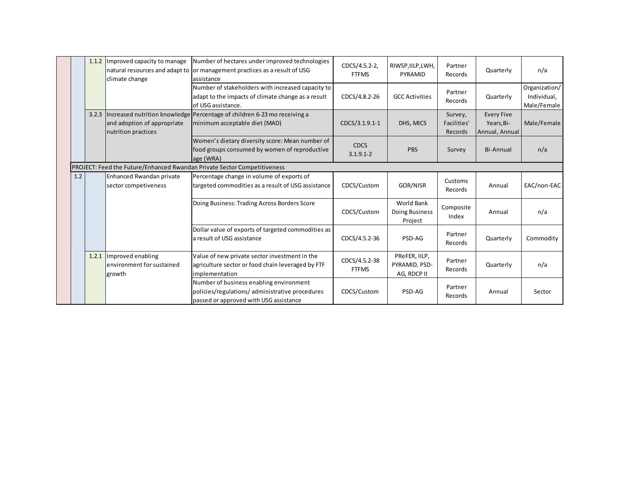|     |  | 1.1.2 Improved capacity to manage<br>climate change             | Number of hectares under improved technologies<br>Inatural resources and adapt to or management practices as a result of USG<br>assistance | CDCS/4.5.2-2,<br><b>FTFMS</b> | RIWSP, IILP, LWH,<br>PYRAMID                  | Partner<br>Records                | Quarterly                                         | n/a                                         |
|-----|--|-----------------------------------------------------------------|--------------------------------------------------------------------------------------------------------------------------------------------|-------------------------------|-----------------------------------------------|-----------------------------------|---------------------------------------------------|---------------------------------------------|
|     |  |                                                                 | Number of stakeholders with increased capacity to<br>adapt to the impacts of climate change as a result<br>of USG assistance.              | CDCS/4.8.2-26                 | <b>GCC Activities</b>                         | Partner<br>Records                | Quarterly                                         | Organization/<br>Individual,<br>Male/Female |
|     |  | and adoption of appropriate<br>nutrition practices              | 3.2.3   Increased nutrition knowledge   Percentage of children 6-23 mo receiving a<br>minimum acceptable diet (MAD)                        | CDCS/3.1.9.1-1                | DHS, MICS                                     | Survey,<br>Facilities'<br>Records | <b>Every Five</b><br>Years, Bi-<br>Annual, Annual | Male/Female                                 |
|     |  |                                                                 | Women's dietary diversity score: Mean number of<br>food groups consumed by women of reproductive<br>age (WRA)                              | <b>CDCS</b><br>$3.1.9.1 - 2$  | PBS                                           | Survey                            | <b>Bi-Annual</b>                                  | n/a                                         |
|     |  |                                                                 | PROJECT: Feed the Future/Enhanced Rwandan Private Sector Competitiveness                                                                   |                               |                                               |                                   |                                                   |                                             |
| 1.2 |  | Enhanced Rwandan private<br>sector competiveness                | Percentage change in volume of exports of<br>targeted commodities as a result of USG assistance                                            | CDCS/Custom                   | GOR/NISR                                      | Customs<br>Records                | Annual                                            | EAC/non-EAC                                 |
|     |  |                                                                 | Doing Business: Trading Across Borders Score                                                                                               | CDCS/Custom                   | World Bank<br>Doing Business<br>Project       | Composite<br>Index                | Annual                                            | n/a                                         |
|     |  |                                                                 | Dollar value of exports of targeted commodities as<br>a result of USG assistance                                                           | CDCS/4.5.2-36                 | PSD-AG                                        | Partner<br>Records                | Quarterly                                         | Commodity                                   |
|     |  | 1.2.1 Improved enabling<br>lenvironment for sustained<br>growth | Value of new private sector investment in the<br>agriculture sector or food chain leveraged by FTF<br>implementation                       | CDCS/4.5.2-38<br><b>FTFMS</b> | PReFER, IILP,<br>PYRAMID, PSD-<br>AG, RDCP II | Partner<br>Records                | Quarterly                                         | n/a                                         |
|     |  |                                                                 | Number of business enabling environment<br>policies/regulations/ administrative procedures<br>passed or approved with USG assistance       | CDCS/Custom                   | PSD-AG                                        | Partner<br>Records                | Annual                                            | Sector                                      |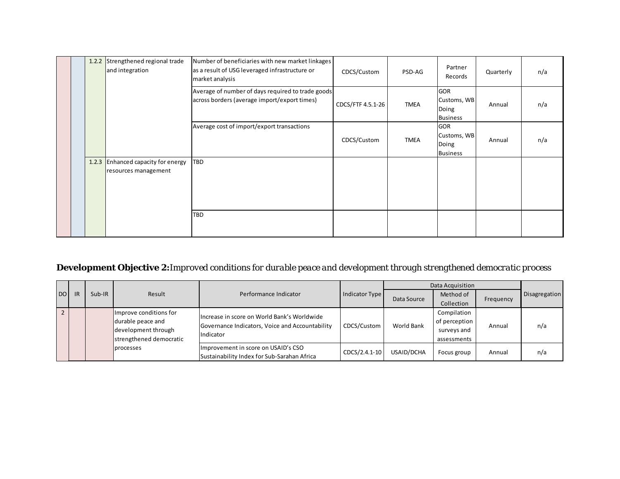|  | 1.2.2 Strengthened regional trade<br>and integration       | Number of beneficiaries with new market linkages<br>as a result of USG leveraged infrastructure or<br>market analysis | CDCS/Custom       | PSD-AG      | Partner<br>Records                                    | Quarterly | n/a |
|--|------------------------------------------------------------|-----------------------------------------------------------------------------------------------------------------------|-------------------|-------------|-------------------------------------------------------|-----------|-----|
|  |                                                            | Average of number of days required to trade goods<br>across borders (average import/export times)                     | CDCS/FTF 4.5.1-26 | <b>TMEA</b> | GOR<br>Customs, WB<br>Doing<br><b>Business</b>        | Annual    | n/a |
|  |                                                            | Average cost of import/export transactions                                                                            | CDCS/Custom       | <b>TMEA</b> | <b>GOR</b><br>Customs, WB<br>Doing<br><b>Business</b> | Annual    | n/a |
|  | 1.2.3 Enhanced capacity for energy<br>resources management | <b>TBD</b>                                                                                                            |                   |             |                                                       |           |     |
|  |                                                            | <b>TBD</b>                                                                                                            |                   |             |                                                       |           |     |

# **Development Objective 2:***Improved conditions for durable peace and development through strengthened democratic process*

|           |     |        |                                                                                               |                                                                                                             |                | Data Acquisition |                                                            |           |                      |
|-----------|-----|--------|-----------------------------------------------------------------------------------------------|-------------------------------------------------------------------------------------------------------------|----------------|------------------|------------------------------------------------------------|-----------|----------------------|
| <b>DO</b> | IR. | Sub-IR | Result                                                                                        | Performance Indicator                                                                                       | Indicator Type | Data Source      | Method of<br>Collection                                    | Frequency | <b>Disagregation</b> |
|           |     |        | Improve conditions for<br>durable peace and<br>development through<br>strengthened democratic | Increase in score on World Bank's Worldwide<br>Governance Indicators, Voice and Accountability<br>Indicator | CDCS/Custom    | World Bank       | Compilation<br>of perception<br>surveys and<br>assessments | Annual    | n/a                  |
|           |     |        | processes                                                                                     | Improvement in score on USAID's CSO<br>Sustainability Index for Sub-Sarahan Africa                          | CDCS/2.4.1-10  | USAID/DCHA       | Focus group                                                | Annual    | n/a                  |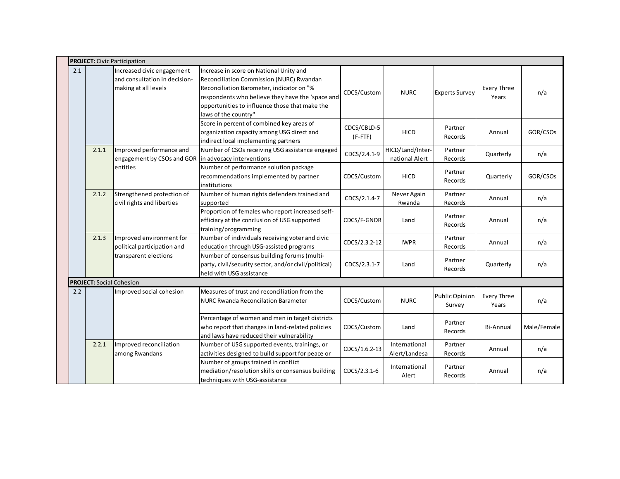|     |       | <b>PROJECT:</b> Civic Participation                                                 |                                                                                                                                                                                                                                                                |                          |                                    |                          |                             |                      |
|-----|-------|-------------------------------------------------------------------------------------|----------------------------------------------------------------------------------------------------------------------------------------------------------------------------------------------------------------------------------------------------------------|--------------------------|------------------------------------|--------------------------|-----------------------------|----------------------|
| 2.1 |       | Increased civic engagement<br>and consultation in decision-<br>making at all levels | Increase in score on National Unity and<br>Reconciliation Commission (NURC) Rwandan<br>Reconciliation Barometer, indicator on "%<br>respondents who believe they have the 'space and<br>opportunities to influence those that make the<br>laws of the country" | CDCS/Custom              | <b>NURC</b>                        | <b>Experts Survey</b>    | <b>Every Three</b><br>Years | n/a                  |
|     |       |                                                                                     | Score in percent of combined key areas of<br>organization capacity among USG direct and<br>indirect local implementing partners                                                                                                                                | CDCS/CBLD-5<br>$(F-FTF)$ | <b>HICD</b>                        | Partner<br>Records       | Annual                      | GOR/CSO <sub>S</sub> |
|     | 2.1.1 | Improved performance and<br>engagement by CSOs and GOR                              | Number of CSOs receiving USG assistance engaged<br>in advocacy interventions                                                                                                                                                                                   | CDCS/2.4.1-9             | HICD/Land/Inter-<br>national Alert | Partner<br>Records       | Quarterly                   | n/a                  |
|     |       | lentities                                                                           | Number of performance solution package<br>recommendations implemented by partner<br>institutions                                                                                                                                                               | CDCS/Custom              | <b>HICD</b>                        | Partner<br>Records       | Quarterly                   | GOR/CSOs             |
|     | 2.1.2 | Strengthened protection of<br>civil rights and liberties                            | Number of human rights defenders trained and<br>supported                                                                                                                                                                                                      | CDCS/2.1.4-7             | Never Again<br>Rwanda              | Partner<br>Records       | Annual                      | n/a                  |
|     |       |                                                                                     | Proportion of females who report increased self-<br>efficiacy at the conclusion of USG supported<br>training/programming                                                                                                                                       | CDCS/F-GNDR              | Land                               | Partner<br>Records       | Annual                      | n/a                  |
|     | 2.1.3 | Improved environment for<br>political participation and<br>transparent elections    | Number of individuals receiving voter and civic<br>education through USG-assisted programs                                                                                                                                                                     | CDCS/2.3.2-12            | <b>IWPR</b>                        | Partner<br>Records       | Annual                      | n/a                  |
|     |       |                                                                                     | Number of consensus building forums (multi-<br>party, civil/security sector, and/or civil/political)<br>held with USG assistance                                                                                                                               | CDCS/2.3.1-7             | Land                               | Partner<br>Records       | Quarterly                   | n/a                  |
|     |       | <b>PROJECT: Social Cohesion</b>                                                     |                                                                                                                                                                                                                                                                |                          |                                    |                          |                             |                      |
| 2.2 |       | Improved social cohesion                                                            | Measures of trust and reconciliation from the<br><b>NURC Rwanda Reconcilation Barameter</b>                                                                                                                                                                    | CDCS/Custom              | <b>NURC</b>                        | Public Opinion<br>Survey | <b>Every Three</b><br>Years | n/a                  |
|     |       |                                                                                     | Percentage of women and men in target districts<br>who report that changes in land-related policies<br>and laws have reduced their vulnerability                                                                                                               | CDCS/Custom              | Land                               | Partner<br>Records       | <b>Bi-Annual</b>            | Male/Female          |
|     | 2.2.1 | Improved reconciliation<br>among Rwandans                                           | Number of USG supported events, trainings, or<br>activities designed to build support for peace or                                                                                                                                                             | CDCS/1.6.2-13            | International<br>Alert/Landesa     | Partner<br>Records       | Annual                      | n/a                  |
|     |       |                                                                                     | Number of groups trained in conflict<br>mediation/resolution skills or consensus building<br>techniques with USG-assistance                                                                                                                                    | CDCS/2.3.1-6             | International<br>Alert             | Partner<br>Records       | Annual                      | n/a                  |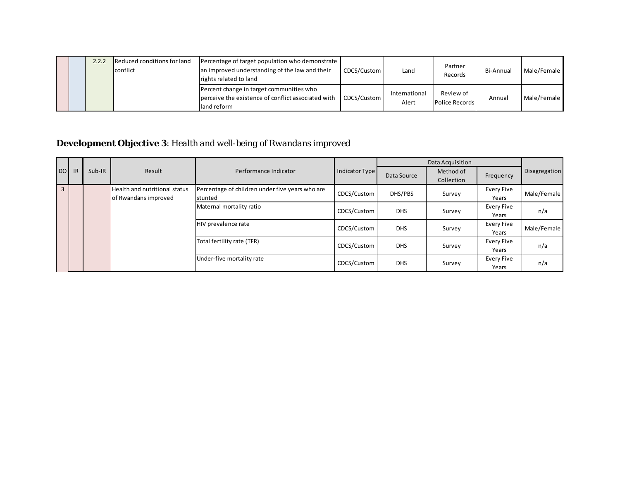|  | 2.2.2 | Reduced conditions for land<br><b>conflict</b> | Percentage of target population who demonstrate<br>an improved understanding of the law and their<br>rights related to land | CDCS/Custom | Land                   | Partner<br>Records          | Bi-Annual | Male/Female |
|--|-------|------------------------------------------------|-----------------------------------------------------------------------------------------------------------------------------|-------------|------------------------|-----------------------------|-----------|-------------|
|  |       |                                                | Percent change in target communities who<br>perceive the existence of conflict associated with<br>land reform               | CDCS/Custom | International<br>Alert | Review of<br>Police Records | Annual    | Male/Female |

# **Development Objective 3**: *Health and well-being of Rwandans improved*

|                | DOI<br><b>IR</b> | Sub-IR | Result                                                | Performance Indicator                                      | Indicator Type | Data Source | Method of<br>Collection | Frequency                  | Disagregation |
|----------------|------------------|--------|-------------------------------------------------------|------------------------------------------------------------|----------------|-------------|-------------------------|----------------------------|---------------|
| $\overline{3}$ |                  |        | Health and nutritional status<br>of Rwandans improved | Percentage of children under five years who are<br>stunted | CDCS/Custom    | DHS/PBS     | Survey                  | Every Five<br>Years        | Male/Female   |
|                |                  |        |                                                       | Maternal mortality ratio                                   | CDCS/Custom    | <b>DHS</b>  | Survey                  | Every Five<br>Years        | n/a           |
|                |                  |        |                                                       | HIV prevalence rate                                        | CDCS/Custom    | <b>DHS</b>  | Survey                  | <b>Every Five</b><br>Years | Male/Female   |
|                |                  |        |                                                       | Total fertility rate (TFR)                                 | CDCS/Custom    | <b>DHS</b>  | Survey                  | Every Five<br>Years        | n/a           |
|                |                  |        |                                                       | Under-five mortality rate                                  | CDCS/Custom    | <b>DHS</b>  | Survey                  | Every Five<br>Years        | n/a           |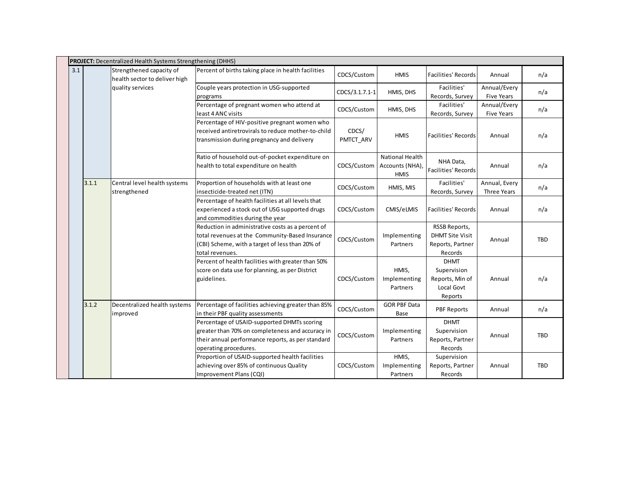|       | <b>PROJECT:</b> Decentralized Health Systems Strengthening (DHHS) |                                                                                                                                                                               |                    |                                                          |                                                                               |                                     |            |
|-------|-------------------------------------------------------------------|-------------------------------------------------------------------------------------------------------------------------------------------------------------------------------|--------------------|----------------------------------------------------------|-------------------------------------------------------------------------------|-------------------------------------|------------|
| 3.1   | Strengthened capacity of<br>health sector to deliver high         | Percent of births taking place in health facilities                                                                                                                           | CDCS/Custom        | <b>HMIS</b>                                              | <b>Facilities' Records</b>                                                    | Annual                              | n/a        |
|       | quality services                                                  | Couple years protection in USG-supported<br>programs                                                                                                                          | CDCS/3.1.7.1-1     | HMIS, DHS                                                | Facilities'<br>Records, Survey                                                | Annual/Every<br><b>Five Years</b>   | n/a        |
|       |                                                                   | Percentage of pregnant women who attend at<br>least 4 ANC visits                                                                                                              | CDCS/Custom        | HMIS, DHS                                                | Facilities'<br>Records, Survey                                                | Annual/Every<br><b>Five Years</b>   | n/a        |
|       |                                                                   | Percentage of HIV-positive pregnant women who<br>received antiretrovirals to reduce mother-to-child<br>transmission during pregnancy and delivery                             | CDCS/<br>PMTCT ARV | <b>HMIS</b>                                              | <b>Facilities' Records</b>                                                    | Annual                              | n/a        |
|       |                                                                   | Ratio of household out-of-pocket expenditure on<br>health to total expenditure on health                                                                                      | CDCS/Custom        | <b>National Health</b><br>Accounts (NHA),<br><b>HMIS</b> | NHA Data,<br><b>Facilities' Records</b>                                       | Annual                              | n/a        |
| 3.1.1 | Central level health systems<br>strengthened                      | Proportion of households with at least one<br>insecticide-treated net (ITN)                                                                                                   | CDCS/Custom        | HMIS, MIS                                                | Facilities'<br>Records, Survey                                                | Annual, Every<br><b>Three Years</b> | n/a        |
|       |                                                                   | Percentage of health facilities at all levels that<br>experienced a stock out of USG supported drugs<br>and commodities during the year                                       | CDCS/Custom        | CMIS/eLMIS                                               | <b>Facilities' Records</b>                                                    | Annual                              | n/a        |
|       |                                                                   | Reduction in administrative costs as a percent of<br>total revenues at the Community-Based Insurance<br>(CBI) Scheme, with a target of less than 20% of<br>total revenues.    | CDCS/Custom        | Implementing<br>Partners                                 | <b>RSSB Reports,</b><br><b>DHMT Site Visit</b><br>Reports, Partner<br>Records | Annual                              | <b>TBD</b> |
|       |                                                                   | Percent of health facilities with greater than 50%<br>score on data use for planning, as per District<br>guidelines.                                                          | CDCS/Custom        | HMIS,<br>Implementing<br>Partners                        | <b>DHMT</b><br>Supervision<br>Reports, Min of<br>Local Govt<br>Reports        | Annual                              | n/a        |
| 3.1.2 | Decentralized health systems<br>improved                          | Percentage of facilities achieving greater than 85%<br>in their PBF quality assessments                                                                                       | CDCS/Custom        | <b>GOR PBF Data</b><br>Base                              | <b>PBF Reports</b>                                                            | Annual                              | n/a        |
|       |                                                                   | Percentage of USAID-supported DHMTs scoring<br>greater than 70% on completeness and accuracy in<br>their annual performance reports, as per standard<br>operating procedures. | CDCS/Custom        | Implementing<br>Partners                                 | <b>DHMT</b><br>Supervision<br>Reports, Partner<br>Records                     | Annual                              | <b>TBD</b> |
|       |                                                                   | Proportion of USAID-supported health facilities<br>achieving over 85% of continuous Quality<br>Improvement Plans (CQI)                                                        | CDCS/Custom        | HMIS,<br>Implementing<br>Partners                        | Supervision<br>Reports, Partner<br>Records                                    | Annual                              | <b>TBD</b> |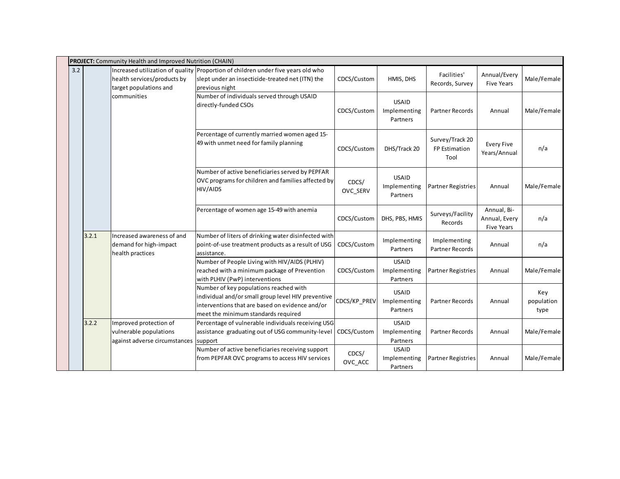|  | PROJECT: Community Health and Improved Nutrition (CHAIN) |       |                                                                                   |                                                                                                                                                                                        |                   |                                          |                                          |                                                   |                           |
|--|----------------------------------------------------------|-------|-----------------------------------------------------------------------------------|----------------------------------------------------------------------------------------------------------------------------------------------------------------------------------------|-------------------|------------------------------------------|------------------------------------------|---------------------------------------------------|---------------------------|
|  | 3.2                                                      |       | health services/products by<br>target populations and                             | Increased utilization of quality Proportion of children under five years old who<br>slept under an insecticide-treated net (ITN) the<br>previous night                                 | CDCS/Custom       | HMIS, DHS                                | Facilities'<br>Records, Survey           | Annual/Every<br><b>Five Years</b>                 | Male/Female               |
|  |                                                          |       | communities                                                                       | Number of individuals served through USAID<br>directly-funded CSOs                                                                                                                     | CDCS/Custom       | <b>USAID</b><br>Implementing<br>Partners | Partner Records                          | Annual                                            | Male/Female               |
|  |                                                          |       |                                                                                   | Percentage of currently married women aged 15-<br>49 with unmet need for family planning                                                                                               | CDCS/Custom       | DHS/Track 20                             | Survey/Track 20<br>FP Estimation<br>Tool | <b>Every Five</b><br>Years/Annual                 | n/a                       |
|  |                                                          |       |                                                                                   | Number of active beneficiaries served by PEPFAR<br>OVC programs for children and families affected by<br><b>HIV/AIDS</b>                                                               | CDCS/<br>OVC_SERV | <b>USAID</b><br>Implementing<br>Partners | <b>Partner Registries</b>                | Annual                                            | Male/Female               |
|  |                                                          |       |                                                                                   | Percentage of women age 15-49 with anemia                                                                                                                                              | CDCS/Custom       | DHS, PBS, HMIS                           | Surveys/Facility<br>Records              | Annual, Bi-<br>Annual, Every<br><b>Five Years</b> | n/a                       |
|  |                                                          | 3.2.1 | Increased awareness of and<br>demand for high-impact<br>health practices          | Number of liters of drinking water disinfected with<br>point-of-use treatment products as a result of USG<br>assistance.                                                               | CDCS/Custom       | Implementing<br>Partners                 | Implementing<br>Partner Records          | Annual                                            | n/a                       |
|  |                                                          |       |                                                                                   | Number of People Living with HIV/AIDS (PLHIV)<br>reached with a minimum package of Prevention<br>with PLHIV (PwP) interventions                                                        | CDCS/Custom       | <b>USAID</b><br>Implementing<br>Partners | <b>Partner Registries</b>                | Annual                                            | Male/Female               |
|  |                                                          |       |                                                                                   | Number of key populations reached with<br>individual and/or small group level HIV preventive<br>interventions that are based on evidence and/or<br>meet the minimum standards required | CDCS/KP_PREV      | <b>USAID</b><br>Implementing<br>Partners | Partner Records                          | Annual                                            | Key<br>population<br>type |
|  |                                                          | 3.2.2 | Improved protection of<br>vulnerable populations<br>against adverse circumstances | Percentage of vulnerable individuals receiving USG<br>assistance graduating out of USG community-level<br>support                                                                      | CDCS/Custom       | <b>USAID</b><br>Implementing<br>Partners | Partner Records                          | Annual                                            | Male/Female               |
|  |                                                          |       |                                                                                   | Number of active beneficiaries receiving support<br>from PEPFAR OVC programs to access HIV services                                                                                    | CDCS/<br>OVC_ACC  | <b>USAID</b><br>Implementing<br>Partners | <b>Partner Registries</b>                | Annual                                            | Male/Female               |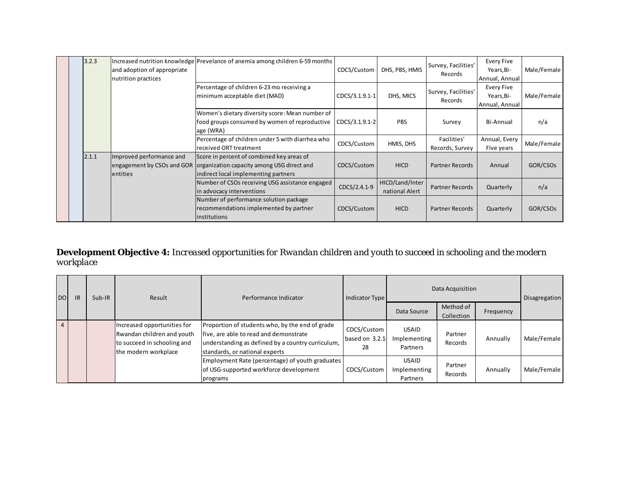|  | 3.2.3 | and adoption of appropriate<br>nutrition practices                         | Increased nutrition knowledge Prevelance of anemia among children 6-59 months                                                   | CDCS/Custom    | DHS, PBS, HMIS                    | Survey, Facilities'<br>Records | Every Five<br>Years, Bi-<br>Annual, Annual | Male/Female          |
|--|-------|----------------------------------------------------------------------------|---------------------------------------------------------------------------------------------------------------------------------|----------------|-----------------------------------|--------------------------------|--------------------------------------------|----------------------|
|  |       |                                                                            | Percentage of children 6-23 mo receiving a<br>minimum acceptable diet (MAD)                                                     | CDCS/3.1.9.1-1 | DHS, MICS                         | Survey, Facilities'<br>Records | Every Five<br>Years, Bi-<br>Annual, Annual | Male/Female          |
|  |       |                                                                            | Women's dietary diversity score: Mean number of<br>food groups consumed by women of reproductive<br>age (WRA)                   | CDCS/3.1.9.1-2 | <b>PBS</b>                        | Survey                         | Bi-Annual                                  | n/a                  |
|  |       |                                                                            | Percentage of children under 5 with diarrhea who<br>received ORT treatment                                                      | CDCS/Custom    | HMIS, DHS                         | Facilities'<br>Records, Survey | Annual, Every<br>Five years                | Male/Female          |
|  | 2.1.1 | Improved performance and<br>engagement by CSOs and GOR<br><b>lentities</b> | Score in percent of combined key areas of<br>organization capacity among USG direct and<br>indirect local implementing partners | CDCS/Custom    | <b>HICD</b>                       | Partner Records                | Annual                                     | GOR/CSO <sub>S</sub> |
|  |       |                                                                            | Number of CSOs receiving USG assistance engaged<br>in advocacy interventions                                                    | CDCS/2.4.1-9   | HICD/Land/Inter<br>national Alert | <b>Partner Records</b>         | Quarterly                                  | n/a                  |
|  |       |                                                                            | Number of performance solution package<br>recommendations implemented by partner<br>linstitutions                               | CDCS/Custom    | <b>HICD</b>                       | <b>Partner Records</b>         | Quarterly                                  | GOR/CSO <sub>S</sub> |

**Development Objective 4:** *Increased opportunities for Rwandan children and youth to succeed in schooling and the modern workplace* 

| <b>DOI</b><br><b>IR</b> |  | Sub-IR | Result                                                                                                           | Performance Indicator                                                                                                                                                            | Indicator Type                       |                                          | Data Acquisition        | Disagregation |             |
|-------------------------|--|--------|------------------------------------------------------------------------------------------------------------------|----------------------------------------------------------------------------------------------------------------------------------------------------------------------------------|--------------------------------------|------------------------------------------|-------------------------|---------------|-------------|
|                         |  |        |                                                                                                                  |                                                                                                                                                                                  |                                      | Data Source                              | Method of<br>Collection | Frequency     |             |
|                         |  |        | Increased opportunities for<br>Rwandan children and youth<br>to succeed in schooling and<br>the modern workplace | Proportion of students who, by the end of grade<br>five, are able to read and demonstrate<br>understanding as defined by a country curriculum,<br>standards, or national experts | CDCS/Custom<br>based on 3.2.1-<br>28 | <b>USAID</b><br>Implementing<br>Partners | Partner<br>Records      | Annually      | Male/Female |
|                         |  |        |                                                                                                                  | Employment Rate (percentage) of youth graduates<br>of USG-supported workforce development<br>programs                                                                            | CDCS/Custom                          | <b>USAID</b><br>Implementing<br>Partners | Partner<br>Records      | Annually      | Male/Female |